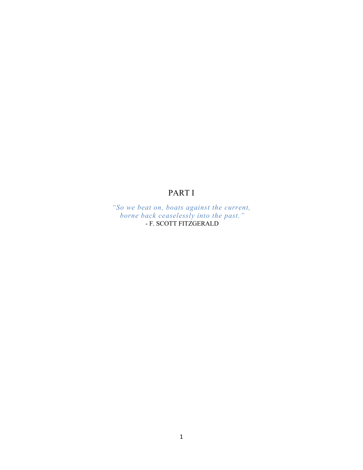## PART I

*"So we beat on, boats against the current, borne back ceaselessly into the past."* - F. SCOTT FITZGERALD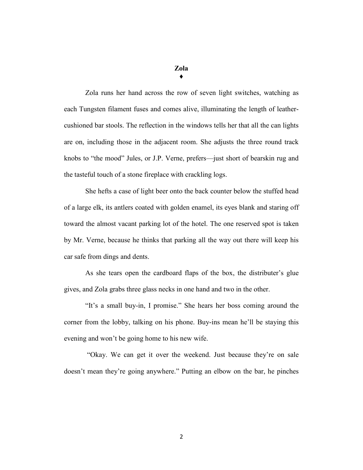## **Zola ♦**

Zola runs her hand across the row of seven light switches, watching as each Tungsten filament fuses and comes alive, illuminating the length of leathercushioned bar stools. The reflection in the windows tells her that all the can lights are on, including those in the adjacent room. She adjusts the three round track knobs to "the mood" Jules, or J.P. Verne, prefers—just short of bearskin rug and the tasteful touch of a stone fireplace with crackling logs.

She hefts a case of light beer onto the back counter below the stuffed head of a large elk, its antlers coated with golden enamel, its eyes blank and staring off toward the almost vacant parking lot of the hotel. The one reserved spot is taken by Mr. Verne, because he thinks that parking all the way out there will keep his car safe from dings and dents.

As she tears open the cardboard flaps of the box, the distributer's glue gives, and Zola grabs three glass necks in one hand and two in the other.

"It's a small buy-in, I promise." She hears her boss coming around the corner from the lobby, talking on his phone. Buy-ins mean he'll be staying this evening and won't be going home to his new wife.

"Okay. We can get it over the weekend. Just because they're on sale doesn't mean they're going anywhere." Putting an elbow on the bar, he pinches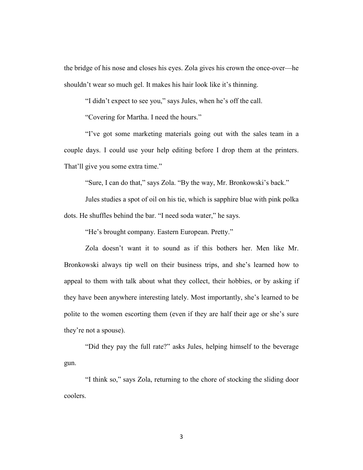the bridge of his nose and closes his eyes. Zola gives his crown the once-over—he shouldn't wear so much gel. It makes his hair look like it's thinning.

"I didn't expect to see you," says Jules, when he's off the call.

"Covering for Martha. I need the hours."

"I've got some marketing materials going out with the sales team in a couple days. I could use your help editing before I drop them at the printers. That'll give you some extra time."

"Sure, I can do that," says Zola. "By the way, Mr. Bronkowski's back."

Jules studies a spot of oil on his tie, which is sapphire blue with pink polka dots. He shuffles behind the bar. "I need soda water," he says.

"He's brought company. Eastern European. Pretty."

Zola doesn't want it to sound as if this bothers her. Men like Mr. Bronkowski always tip well on their business trips, and she's learned how to appeal to them with talk about what they collect, their hobbies, or by asking if they have been anywhere interesting lately. Most importantly, she's learned to be polite to the women escorting them (even if they are half their age or she's sure they're not a spouse).

"Did they pay the full rate?" asks Jules, helping himself to the beverage gun.

"I think so," says Zola, returning to the chore of stocking the sliding door coolers.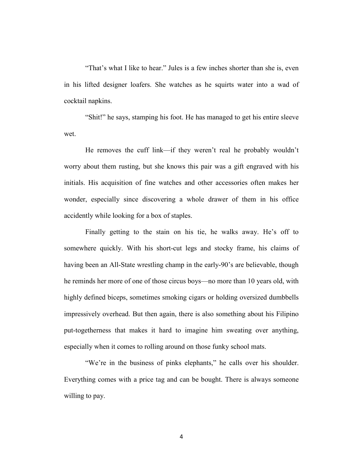"That's what I like to hear." Jules is a few inches shorter than she is, even in his lifted designer loafers. She watches as he squirts water into a wad of cocktail napkins.

"Shit!" he says, stamping his foot. He has managed to get his entire sleeve wet.

He removes the cuff link—if they weren't real he probably wouldn't worry about them rusting, but she knows this pair was a gift engraved with his initials. His acquisition of fine watches and other accessories often makes her wonder, especially since discovering a whole drawer of them in his office accidently while looking for a box of staples.

Finally getting to the stain on his tie, he walks away. He's off to somewhere quickly. With his short-cut legs and stocky frame, his claims of having been an All-State wrestling champ in the early-90's are believable, though he reminds her more of one of those circus boys—no more than 10 years old, with highly defined biceps, sometimes smoking cigars or holding oversized dumbbells impressively overhead. But then again, there is also something about his Filipino put-togetherness that makes it hard to imagine him sweating over anything, especially when it comes to rolling around on those funky school mats.

"We're in the business of pinks elephants," he calls over his shoulder. Everything comes with a price tag and can be bought. There is always someone willing to pay.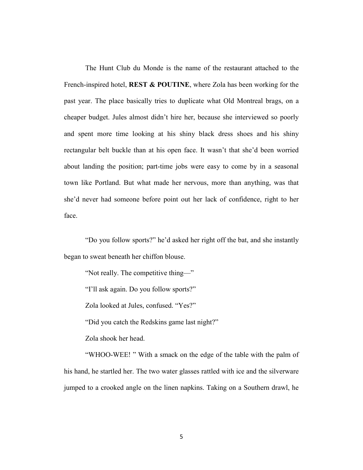The Hunt Club du Monde is the name of the restaurant attached to the French-inspired hotel, **REST & POUTINE**, where Zola has been working for the past year. The place basically tries to duplicate what Old Montreal brags, on a cheaper budget. Jules almost didn't hire her, because she interviewed so poorly and spent more time looking at his shiny black dress shoes and his shiny rectangular belt buckle than at his open face. It wasn't that she'd been worried about landing the position; part-time jobs were easy to come by in a seasonal town like Portland. But what made her nervous, more than anything, was that she'd never had someone before point out her lack of confidence, right to her face.

"Do you follow sports?" he'd asked her right off the bat, and she instantly began to sweat beneath her chiffon blouse.

"Not really. The competitive thing—"

"I'll ask again. Do you follow sports?"

Zola looked at Jules, confused. "Yes?"

"Did you catch the Redskins game last night?"

Zola shook her head.

"WHOO-WEE! " With a smack on the edge of the table with the palm of his hand, he startled her. The two water glasses rattled with ice and the silverware jumped to a crooked angle on the linen napkins. Taking on a Southern drawl, he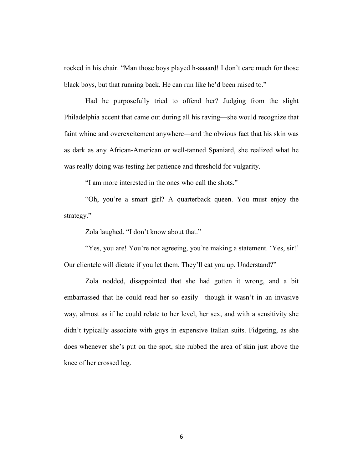rocked in his chair. "Man those boys played h-aaaard! I don't care much for those black boys, but that running back. He can run like he'd been raised to."

Had he purposefully tried to offend her? Judging from the slight Philadelphia accent that came out during all his raving—she would recognize that faint whine and overexcitement anywhere—and the obvious fact that his skin was as dark as any African-American or well-tanned Spaniard, she realized what he was really doing was testing her patience and threshold for vulgarity.

"I am more interested in the ones who call the shots."

"Oh, you're a smart girl? A quarterback queen. You must enjoy the strategy."

Zola laughed. "I don't know about that."

"Yes, you are! You're not agreeing, you're making a statement. 'Yes, sir!' Our clientele will dictate if you let them. They'll eat you up. Understand?"

Zola nodded, disappointed that she had gotten it wrong, and a bit embarrassed that he could read her so easily—though it wasn't in an invasive way, almost as if he could relate to her level, her sex, and with a sensitivity she didn't typically associate with guys in expensive Italian suits. Fidgeting, as she does whenever she's put on the spot, she rubbed the area of skin just above the knee of her crossed leg.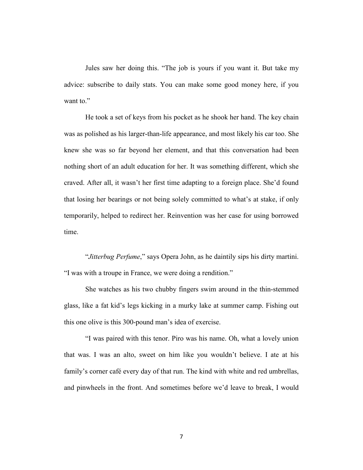Jules saw her doing this. "The job is yours if you want it. But take my advice: subscribe to daily stats. You can make some good money here, if you want to."

He took a set of keys from his pocket as he shook her hand. The key chain was as polished as his larger-than-life appearance, and most likely his car too. She knew she was so far beyond her element, and that this conversation had been nothing short of an adult education for her. It was something different, which she craved. After all, it wasn't her first time adapting to a foreign place. She'd found that losing her bearings or not being solely committed to what's at stake, if only temporarily, helped to redirect her. Reinvention was her case for using borrowed time.

"*Jitterbug Perfume*," says Opera John, as he daintily sips his dirty martini. "I was with a troupe in France, we were doing a rendition."

She watches as his two chubby fingers swim around in the thin-stemmed glass, like a fat kid's legs kicking in a murky lake at summer camp. Fishing out this one olive is this 300-pound man's idea of exercise.

"I was paired with this tenor. Piro was his name. Oh, what a lovely union that was. I was an alto, sweet on him like you wouldn't believe. I ate at his family's corner café every day of that run. The kind with white and red umbrellas, and pinwheels in the front. And sometimes before we'd leave to break, I would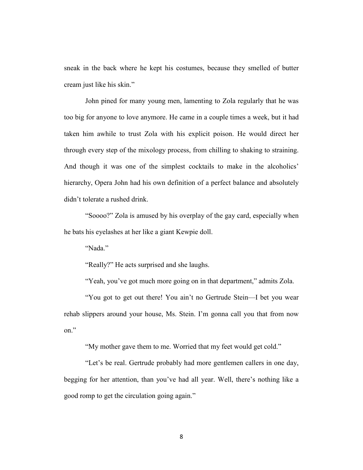sneak in the back where he kept his costumes, because they smelled of butter cream just like his skin."

John pined for many young men, lamenting to Zola regularly that he was too big for anyone to love anymore. He came in a couple times a week, but it had taken him awhile to trust Zola with his explicit poison. He would direct her through every step of the mixology process, from chilling to shaking to straining. And though it was one of the simplest cocktails to make in the alcoholics' hierarchy, Opera John had his own definition of a perfect balance and absolutely didn't tolerate a rushed drink.

"Soooo?" Zola is amused by his overplay of the gay card, especially when he bats his eyelashes at her like a giant Kewpie doll.

"Nada."

"Really?" He acts surprised and she laughs.

"Yeah, you've got much more going on in that department," admits Zola.

"You got to get out there! You ain't no Gertrude Stein—I bet you wear rehab slippers around your house, Ms. Stein. I'm gonna call you that from now on."

"My mother gave them to me. Worried that my feet would get cold."

"Let's be real. Gertrude probably had more gentlemen callers in one day, begging for her attention, than you've had all year. Well, there's nothing like a good romp to get the circulation going again."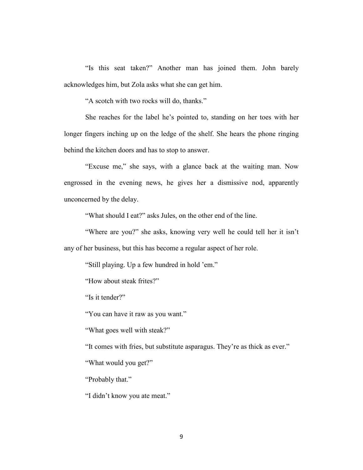"Is this seat taken?" Another man has joined them. John barely acknowledges him, but Zola asks what she can get him.

"A scotch with two rocks will do, thanks."

She reaches for the label he's pointed to, standing on her toes with her longer fingers inching up on the ledge of the shelf. She hears the phone ringing behind the kitchen doors and has to stop to answer.

"Excuse me," she says, with a glance back at the waiting man. Now engrossed in the evening news, he gives her a dismissive nod, apparently unconcerned by the delay.

"What should I eat?" asks Jules, on the other end of the line.

"Where are you?" she asks, knowing very well he could tell her it isn't any of her business, but this has become a regular aspect of her role.

"Still playing. Up a few hundred in hold 'em."

"How about steak frites?"

"Is it tender?"

"You can have it raw as you want."

"What goes well with steak?"

"It comes with fries, but substitute asparagus. They're as thick as ever."

"What would you get?"

"Probably that."

"I didn't know you ate meat."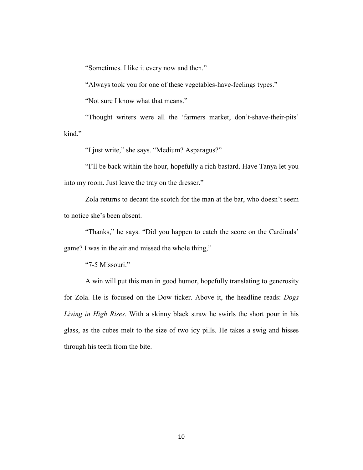"Sometimes. I like it every now and then."

"Always took you for one of these vegetables-have-feelings types."

"Not sure I know what that means."

"Thought writers were all the 'farmers market, don't-shave-their-pits' kind."

"I just write," she says. "Medium? Asparagus?"

"I'll be back within the hour, hopefully a rich bastard. Have Tanya let you into my room. Just leave the tray on the dresser."

Zola returns to decant the scotch for the man at the bar, who doesn't seem to notice she's been absent.

"Thanks," he says. "Did you happen to catch the score on the Cardinals' game? I was in the air and missed the whole thing,"

"7-5 Missouri."

A win will put this man in good humor, hopefully translating to generosity for Zola. He is focused on the Dow ticker. Above it, the headline reads: *Dogs Living in High Rises*. With a skinny black straw he swirls the short pour in his glass, as the cubes melt to the size of two icy pills. He takes a swig and hisses through his teeth from the bite.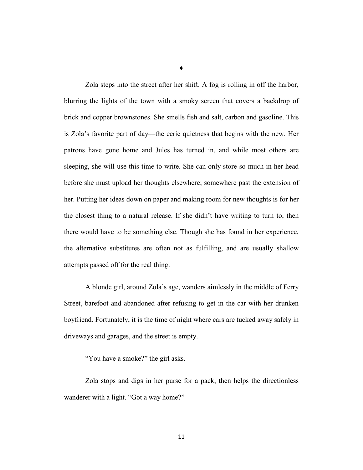Zola steps into the street after her shift. A fog is rolling in off the harbor, blurring the lights of the town with a smoky screen that covers a backdrop of brick and copper brownstones. She smells fish and salt, carbon and gasoline. This is Zola's favorite part of day—the eerie quietness that begins with the new. Her patrons have gone home and Jules has turned in, and while most others are sleeping, she will use this time to write. She can only store so much in her head before she must upload her thoughts elsewhere; somewhere past the extension of her. Putting her ideas down on paper and making room for new thoughts is for her the closest thing to a natural release. If she didn't have writing to turn to, then there would have to be something else. Though she has found in her experience, the alternative substitutes are often not as fulfilling, and are usually shallow attempts passed off for the real thing.

A blonde girl, around Zola's age, wanders aimlessly in the middle of Ferry Street, barefoot and abandoned after refusing to get in the car with her drunken boyfriend. Fortunately, it is the time of night where cars are tucked away safely in driveways and garages, and the street is empty.

"You have a smoke?" the girl asks.

Zola stops and digs in her purse for a pack, then helps the directionless wanderer with a light. "Got a way home?"

♦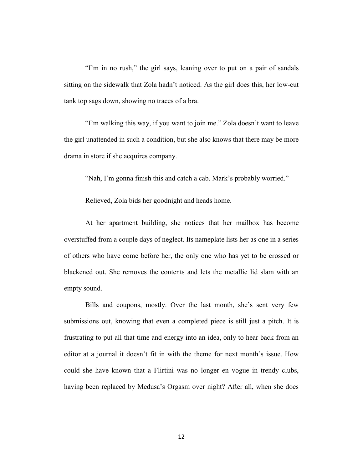"I'm in no rush," the girl says, leaning over to put on a pair of sandals sitting on the sidewalk that Zola hadn't noticed. As the girl does this, her low-cut tank top sags down, showing no traces of a bra.

"I'm walking this way, if you want to join me." Zola doesn't want to leave the girl unattended in such a condition, but she also knows that there may be more drama in store if she acquires company.

"Nah, I'm gonna finish this and catch a cab. Mark's probably worried."

Relieved, Zola bids her goodnight and heads home.

At her apartment building, she notices that her mailbox has become overstuffed from a couple days of neglect. Its nameplate lists her as one in a series of others who have come before her, the only one who has yet to be crossed or blackened out. She removes the contents and lets the metallic lid slam with an empty sound.

Bills and coupons, mostly. Over the last month, she's sent very few submissions out, knowing that even a completed piece is still just a pitch. It is frustrating to put all that time and energy into an idea, only to hear back from an editor at a journal it doesn't fit in with the theme for next month's issue. How could she have known that a Flirtini was no longer en vogue in trendy clubs, having been replaced by Medusa's Orgasm over night? After all, when she does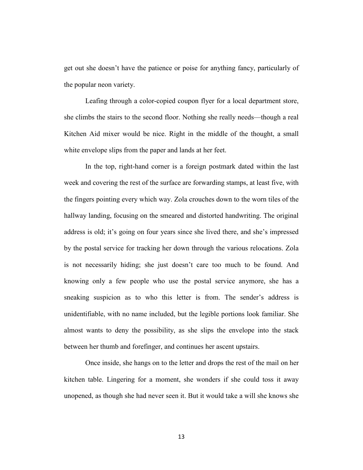get out she doesn't have the patience or poise for anything fancy, particularly of the popular neon variety.

Leafing through a color-copied coupon flyer for a local department store, she climbs the stairs to the second floor. Nothing she really needs—though a real Kitchen Aid mixer would be nice. Right in the middle of the thought, a small white envelope slips from the paper and lands at her feet.

In the top, right-hand corner is a foreign postmark dated within the last week and covering the rest of the surface are forwarding stamps, at least five, with the fingers pointing every which way. Zola crouches down to the worn tiles of the hallway landing, focusing on the smeared and distorted handwriting. The original address is old; it's going on four years since she lived there, and she's impressed by the postal service for tracking her down through the various relocations. Zola is not necessarily hiding; she just doesn't care too much to be found. And knowing only a few people who use the postal service anymore, she has a sneaking suspicion as to who this letter is from. The sender's address is unidentifiable, with no name included, but the legible portions look familiar. She almost wants to deny the possibility, as she slips the envelope into the stack between her thumb and forefinger, and continues her ascent upstairs.

Once inside, she hangs on to the letter and drops the rest of the mail on her kitchen table. Lingering for a moment, she wonders if she could toss it away unopened, as though she had never seen it. But it would take a will she knows she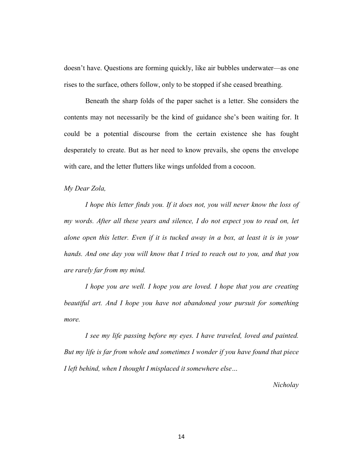doesn't have. Questions are forming quickly, like air bubbles underwater—as one rises to the surface, others follow, only to be stopped if she ceased breathing.

Beneath the sharp folds of the paper sachet is a letter. She considers the contents may not necessarily be the kind of guidance she's been waiting for. It could be a potential discourse from the certain existence she has fought desperately to create. But as her need to know prevails, she opens the envelope with care, and the letter flutters like wings unfolded from a cocoon.

*My Dear Zola,*

*I hope this letter finds you. If it does not, you will never know the loss of my words. After all these years and silence, I do not expect you to read on, let alone open this letter. Even if it is tucked away in a box, at least it is in your hands. And one day you will know that I tried to reach out to you, and that you are rarely far from my mind.* 

*I hope you are well. I hope you are loved. I hope that you are creating beautiful art. And I hope you have not abandoned your pursuit for something more.* 

*I see my life passing before my eyes. I have traveled, loved and painted. But my life is far from whole and sometimes I wonder if you have found that piece I left behind, when I thought I misplaced it somewhere else…*

*Nicholay*

14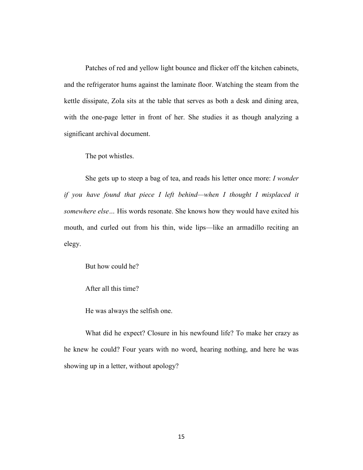Patches of red and yellow light bounce and flicker off the kitchen cabinets, and the refrigerator hums against the laminate floor. Watching the steam from the kettle dissipate, Zola sits at the table that serves as both a desk and dining area, with the one-page letter in front of her. She studies it as though analyzing a significant archival document.

The pot whistles.

She gets up to steep a bag of tea, and reads his letter once more: *I wonder if you have found that piece I left behind—when I thought I misplaced it somewhere else…* His words resonate. She knows how they would have exited his mouth, and curled out from his thin, wide lips—like an armadillo reciting an elegy.

But how could he?

After all this time?

He was always the selfish one.

What did he expect? Closure in his newfound life? To make her crazy as he knew he could? Four years with no word, hearing nothing, and here he was showing up in a letter, without apology?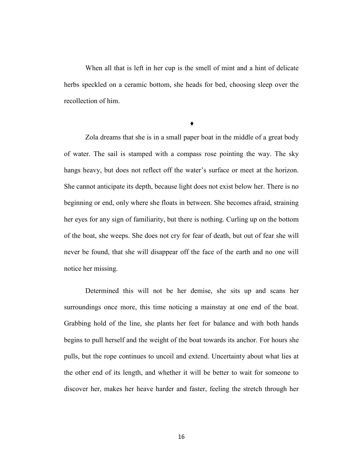When all that is left in her cup is the smell of mint and a hint of delicate herbs speckled on a ceramic bottom, she heads for bed, choosing sleep over the recollection of him.

**♦**

Zola dreams that she is in a small paper boat in the middle of a great body of water. The sail is stamped with a compass rose pointing the way. The sky hangs heavy, but does not reflect off the water's surface or meet at the horizon. She cannot anticipate its depth, because light does not exist below her. There is no beginning or end, only where she floats in between. She becomes afraid, straining her eyes for any sign of familiarity, but there is nothing. Curling up on the bottom of the boat, she weeps. She does not cry for fear of death, but out of fear she will never be found, that she will disappear off the face of the earth and no one will notice her missing.

Determined this will not be her demise, she sits up and scans her surroundings once more, this time noticing a mainstay at one end of the boat. Grabbing hold of the line, she plants her feet for balance and with both hands begins to pull herself and the weight of the boat towards its anchor. For hours she pulls, but the rope continues to uncoil and extend. Uncertainty about what lies at the other end of its length, and whether it will be better to wait for someone to discover her, makes her heave harder and faster, feeling the stretch through her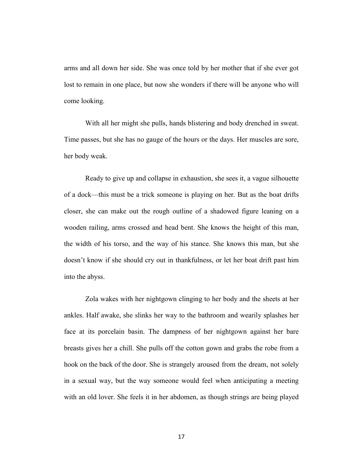arms and all down her side. She was once told by her mother that if she ever got lost to remain in one place, but now she wonders if there will be anyone who will come looking.

With all her might she pulls, hands blistering and body drenched in sweat. Time passes, but she has no gauge of the hours or the days. Her muscles are sore, her body weak.

Ready to give up and collapse in exhaustion, she sees it, a vague silhouette of a dock—this must be a trick someone is playing on her. But as the boat drifts closer, she can make out the rough outline of a shadowed figure leaning on a wooden railing, arms crossed and head bent. She knows the height of this man, the width of his torso, and the way of his stance. She knows this man, but she doesn't know if she should cry out in thankfulness, or let her boat drift past him into the abyss.

Zola wakes with her nightgown clinging to her body and the sheets at her ankles. Half awake, she slinks her way to the bathroom and wearily splashes her face at its porcelain basin. The dampness of her nightgown against her bare breasts gives her a chill. She pulls off the cotton gown and grabs the robe from a hook on the back of the door. She is strangely aroused from the dream, not solely in a sexual way, but the way someone would feel when anticipating a meeting with an old lover. She feels it in her abdomen, as though strings are being played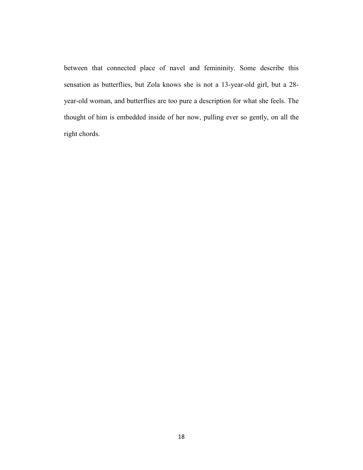between that connected place of navel and femininity. Some describe this sensation as butterflies, but Zola knows she is not a 13-year-old girl, but a 28 year-old woman, and butterflies are too pure a description for what she feels. The thought of him is embedded inside of her now, pulling ever so gently, on all the right chords.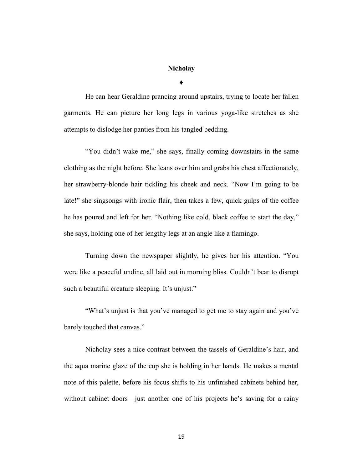## **Nicholay**

**♦**

He can hear Geraldine prancing around upstairs, trying to locate her fallen garments. He can picture her long legs in various yoga-like stretches as she attempts to dislodge her panties from his tangled bedding.

"You didn't wake me," she says, finally coming downstairs in the same clothing as the night before. She leans over him and grabs his chest affectionately, her strawberry-blonde hair tickling his cheek and neck. "Now I'm going to be late!" she singsongs with ironic flair, then takes a few, quick gulps of the coffee he has poured and left for her. "Nothing like cold, black coffee to start the day," she says, holding one of her lengthy legs at an angle like a flamingo.

Turning down the newspaper slightly, he gives her his attention. "You were like a peaceful undine, all laid out in morning bliss. Couldn't bear to disrupt such a beautiful creature sleeping. It's unjust."

"What's unjust is that you've managed to get me to stay again and you've barely touched that canvas."

Nicholay sees a nice contrast between the tassels of Geraldine's hair, and the aqua marine glaze of the cup she is holding in her hands. He makes a mental note of this palette, before his focus shifts to his unfinished cabinets behind her, without cabinet doors—just another one of his projects he's saving for a rainy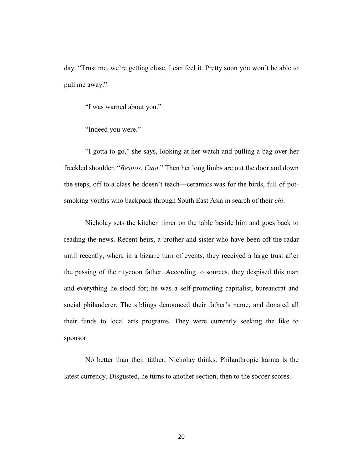day. "Trust me, we're getting close. I can feel it. Pretty soon you won't be able to pull me away."

"I was warned about you."

"Indeed you were."

"I gotta to go," she says, looking at her watch and pulling a bag over her freckled shoulder. "*Besitos*. *Ciao*." Then her long limbs are out the door and down the steps, off to a class he doesn't teach—ceramics was for the birds, full of potsmoking youths who backpack through South East Asia in search of their *chi*.

Nicholay sets the kitchen timer on the table beside him and goes back to reading the news. Recent heirs, a brother and sister who have been off the radar until recently, when, in a bizarre turn of events, they received a large trust after the passing of their tycoon father. According to sources, they despised this man and everything he stood for; he was a self-promoting capitalist, bureaucrat and social philanderer. The siblings denounced their father's name, and donated all their funds to local arts programs. They were currently seeking the like to sponsor.

No better than their father, Nicholay thinks. Philanthropic karma is the latest currency. Disgusted, he turns to another section, then to the soccer scores.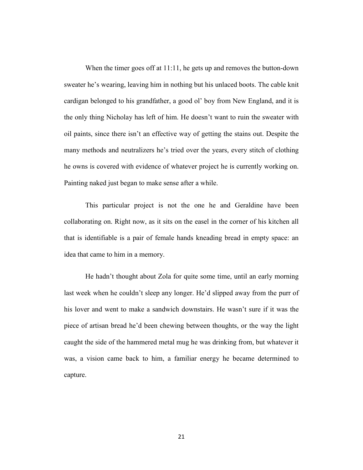When the timer goes off at 11:11, he gets up and removes the button-down sweater he's wearing, leaving him in nothing but his unlaced boots. The cable knit cardigan belonged to his grandfather, a good ol' boy from New England, and it is the only thing Nicholay has left of him. He doesn't want to ruin the sweater with oil paints, since there isn't an effective way of getting the stains out. Despite the many methods and neutralizers he's tried over the years, every stitch of clothing he owns is covered with evidence of whatever project he is currently working on. Painting naked just began to make sense after a while.

This particular project is not the one he and Geraldine have been collaborating on. Right now, as it sits on the easel in the corner of his kitchen all that is identifiable is a pair of female hands kneading bread in empty space: an idea that came to him in a memory.

He hadn't thought about Zola for quite some time, until an early morning last week when he couldn't sleep any longer. He'd slipped away from the purr of his lover and went to make a sandwich downstairs. He wasn't sure if it was the piece of artisan bread he'd been chewing between thoughts, or the way the light caught the side of the hammered metal mug he was drinking from, but whatever it was, a vision came back to him, a familiar energy he became determined to capture.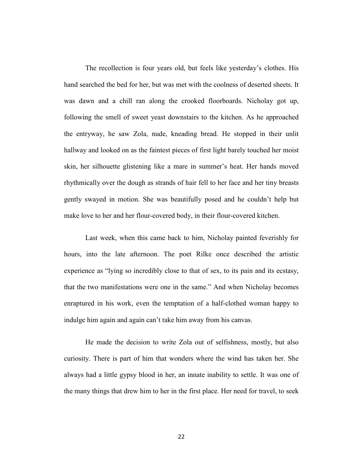The recollection is four years old, but feels like yesterday's clothes. His hand searched the bed for her, but was met with the coolness of deserted sheets. It was dawn and a chill ran along the crooked floorboards. Nicholay got up, following the smell of sweet yeast downstairs to the kitchen. As he approached the entryway, he saw Zola, nude, kneading bread. He stopped in their unlit hallway and looked on as the faintest pieces of first light barely touched her moist skin, her silhouette glistening like a mare in summer's heat. Her hands moved rhythmically over the dough as strands of hair fell to her face and her tiny breasts gently swayed in motion. She was beautifully posed and he couldn't help but make love to her and her flour-covered body, in their flour-covered kitchen.

Last week, when this came back to him, Nicholay painted feverishly for hours, into the late afternoon. The poet Rilke once described the artistic experience as "lying so incredibly close to that of sex, to its pain and its ecstasy, that the two manifestations were one in the same." And when Nicholay becomes enraptured in his work, even the temptation of a half-clothed woman happy to indulge him again and again can't take him away from his canvas.

He made the decision to write Zola out of selfishness, mostly, but also curiosity. There is part of him that wonders where the wind has taken her. She always had a little gypsy blood in her, an innate inability to settle. It was one of the many things that drew him to her in the first place. Her need for travel, to seek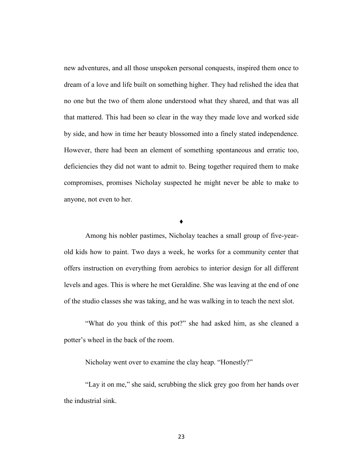new adventures, and all those unspoken personal conquests, inspired them once to dream of a love and life built on something higher. They had relished the idea that no one but the two of them alone understood what they shared, and that was all that mattered. This had been so clear in the way they made love and worked side by side, and how in time her beauty blossomed into a finely stated independence. However, there had been an element of something spontaneous and erratic too, deficiencies they did not want to admit to. Being together required them to make compromises, promises Nicholay suspected he might never be able to make to anyone, not even to her.

**♦**

Among his nobler pastimes, Nicholay teaches a small group of five-yearold kids how to paint. Two days a week, he works for a community center that offers instruction on everything from aerobics to interior design for all different levels and ages. This is where he met Geraldine. She was leaving at the end of one of the studio classes she was taking, and he was walking in to teach the next slot.

"What do you think of this pot?" she had asked him, as she cleaned a potter's wheel in the back of the room.

Nicholay went over to examine the clay heap. "Honestly?"

"Lay it on me," she said, scrubbing the slick grey goo from her hands over the industrial sink.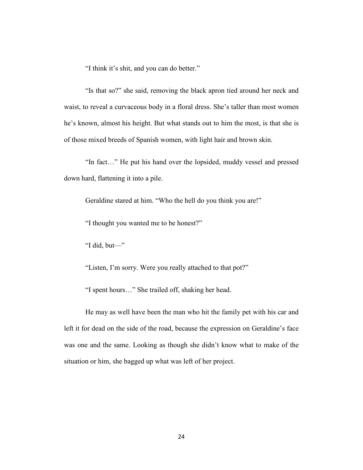"I think it's shit, and you can do better."

"Is that so?" she said, removing the black apron tied around her neck and waist, to reveal a curvaceous body in a floral dress. She's taller than most women he's known, almost his height. But what stands out to him the most, is that she is of those mixed breeds of Spanish women, with light hair and brown skin.

"In fact…" He put his hand over the lopsided, muddy vessel and pressed down hard, flattening it into a pile.

Geraldine stared at him. "Who the hell do you think you are!"

"I thought you wanted me to be honest?"

"I did, but—"

"Listen, I'm sorry. Were you really attached to that pot?"

"I spent hours…" She trailed off, shaking her head.

He may as well have been the man who hit the family pet with his car and left it for dead on the side of the road, because the expression on Geraldine's face was one and the same. Looking as though she didn't know what to make of the situation or him, she bagged up what was left of her project.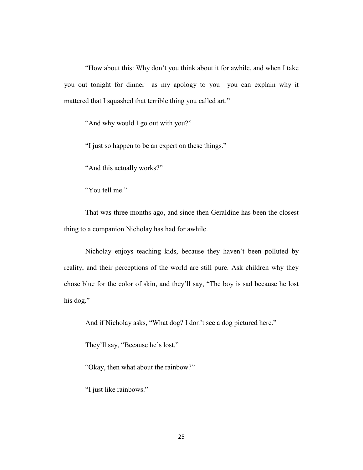"How about this: Why don't you think about it for awhile, and when I take you out tonight for dinner—as my apology to you—you can explain why it mattered that I squashed that terrible thing you called art."

"And why would I go out with you?"

"I just so happen to be an expert on these things."

"And this actually works?"

"You tell me."

That was three months ago, and since then Geraldine has been the closest thing to a companion Nicholay has had for awhile.

Nicholay enjoys teaching kids, because they haven't been polluted by reality, and their perceptions of the world are still pure. Ask children why they chose blue for the color of skin, and they'll say, "The boy is sad because he lost his dog."

And if Nicholay asks, "What dog? I don't see a dog pictured here."

They'll say, "Because he's lost."

"Okay, then what about the rainbow?"

"I just like rainbows."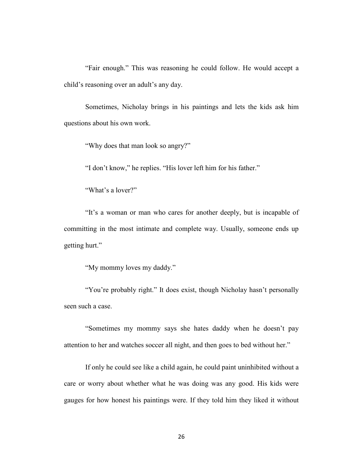"Fair enough." This was reasoning he could follow. He would accept a child's reasoning over an adult's any day.

Sometimes, Nicholay brings in his paintings and lets the kids ask him questions about his own work.

"Why does that man look so angry?"

"I don't know," he replies. "His lover left him for his father."

"What's a lover?"

"It's a woman or man who cares for another deeply, but is incapable of committing in the most intimate and complete way. Usually, someone ends up getting hurt."

"My mommy loves my daddy."

"You're probably right." It does exist, though Nicholay hasn't personally seen such a case.

"Sometimes my mommy says she hates daddy when he doesn't pay attention to her and watches soccer all night, and then goes to bed without her."

If only he could see like a child again, he could paint uninhibited without a care or worry about whether what he was doing was any good. His kids were gauges for how honest his paintings were. If they told him they liked it without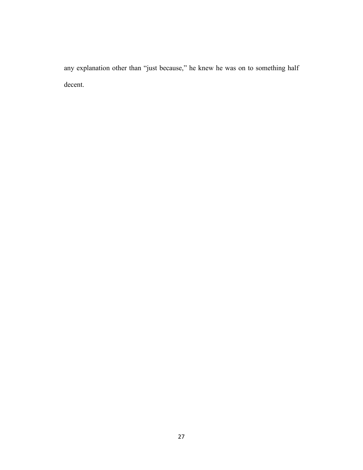any explanation other than "just because," he knew he was on to something half decent.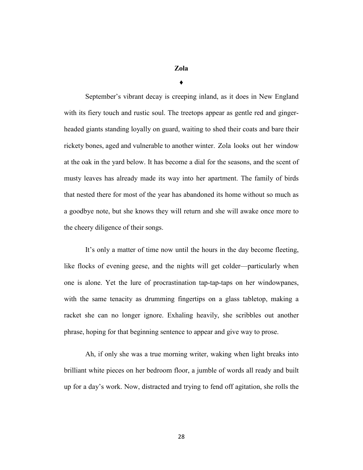## **Zola**

**♦**

September's vibrant decay is creeping inland, as it does in New England with its fiery touch and rustic soul. The treetops appear as gentle red and gingerheaded giants standing loyally on guard, waiting to shed their coats and bare their rickety bones, aged and vulnerable to another winter. Zola looks out her window at the oak in the yard below. It has become a dial for the seasons, and the scent of musty leaves has already made its way into her apartment. The family of birds that nested there for most of the year has abandoned its home without so much as a goodbye note, but she knows they will return and she will awake once more to the cheery diligence of their songs.

It's only a matter of time now until the hours in the day become fleeting, like flocks of evening geese, and the nights will get colder—particularly when one is alone. Yet the lure of procrastination tap-tap-taps on her windowpanes, with the same tenacity as drumming fingertips on a glass tabletop, making a racket she can no longer ignore. Exhaling heavily, she scribbles out another phrase, hoping for that beginning sentence to appear and give way to prose.

Ah, if only she was a true morning writer, waking when light breaks into brilliant white pieces on her bedroom floor, a jumble of words all ready and built up for a day's work. Now, distracted and trying to fend off agitation, she rolls the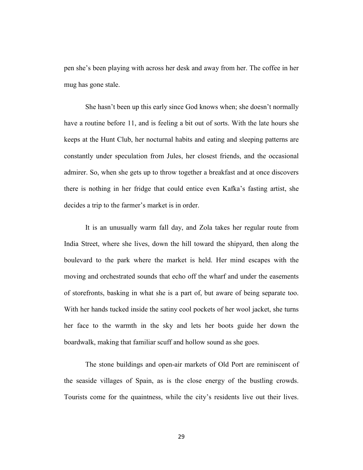pen she's been playing with across her desk and away from her. The coffee in her mug has gone stale.

She hasn't been up this early since God knows when; she doesn't normally have a routine before 11, and is feeling a bit out of sorts. With the late hours she keeps at the Hunt Club, her nocturnal habits and eating and sleeping patterns are constantly under speculation from Jules, her closest friends, and the occasional admirer. So, when she gets up to throw together a breakfast and at once discovers there is nothing in her fridge that could entice even Kafka's fasting artist, she decides a trip to the farmer's market is in order.

It is an unusually warm fall day, and Zola takes her regular route from India Street, where she lives, down the hill toward the shipyard, then along the boulevard to the park where the market is held. Her mind escapes with the moving and orchestrated sounds that echo off the wharf and under the easements of storefronts, basking in what she is a part of, but aware of being separate too. With her hands tucked inside the satiny cool pockets of her wool jacket, she turns her face to the warmth in the sky and lets her boots guide her down the boardwalk, making that familiar scuff and hollow sound as she goes.

The stone buildings and open-air markets of Old Port are reminiscent of the seaside villages of Spain, as is the close energy of the bustling crowds. Tourists come for the quaintness, while the city's residents live out their lives.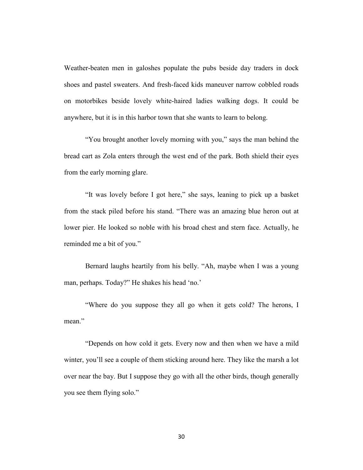Weather-beaten men in galoshes populate the pubs beside day traders in dock shoes and pastel sweaters. And fresh-faced kids maneuver narrow cobbled roads on motorbikes beside lovely white-haired ladies walking dogs. It could be anywhere, but it is in this harbor town that she wants to learn to belong.

"You brought another lovely morning with you," says the man behind the bread cart as Zola enters through the west end of the park. Both shield their eyes from the early morning glare.

"It was lovely before I got here," she says, leaning to pick up a basket from the stack piled before his stand. "There was an amazing blue heron out at lower pier. He looked so noble with his broad chest and stern face. Actually, he reminded me a bit of you."

Bernard laughs heartily from his belly. "Ah, maybe when I was a young man, perhaps. Today?" He shakes his head 'no.'

"Where do you suppose they all go when it gets cold? The herons, I mean"

"Depends on how cold it gets. Every now and then when we have a mild winter, you'll see a couple of them sticking around here. They like the marsh a lot over near the bay. But I suppose they go with all the other birds, though generally you see them flying solo."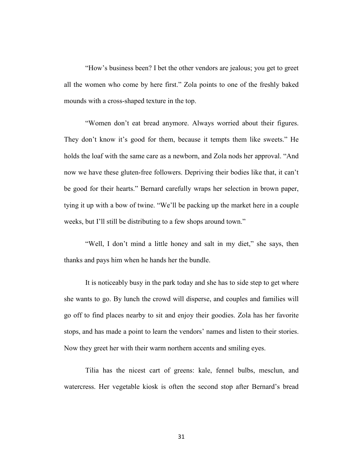"How's business been? I bet the other vendors are jealous; you get to greet all the women who come by here first." Zola points to one of the freshly baked mounds with a cross-shaped texture in the top.

"Women don't eat bread anymore. Always worried about their figures. They don't know it's good for them, because it tempts them like sweets." He holds the loaf with the same care as a newborn, and Zola nods her approval. "And now we have these gluten-free followers. Depriving their bodies like that, it can't be good for their hearts." Bernard carefully wraps her selection in brown paper, tying it up with a bow of twine. "We'll be packing up the market here in a couple weeks, but I'll still be distributing to a few shops around town."

"Well, I don't mind a little honey and salt in my diet," she says, then thanks and pays him when he hands her the bundle.

It is noticeably busy in the park today and she has to side step to get where she wants to go. By lunch the crowd will disperse, and couples and families will go off to find places nearby to sit and enjoy their goodies. Zola has her favorite stops, and has made a point to learn the vendors' names and listen to their stories. Now they greet her with their warm northern accents and smiling eyes.

Tilia has the nicest cart of greens: kale, fennel bulbs, mesclun, and watercress. Her vegetable kiosk is often the second stop after Bernard's bread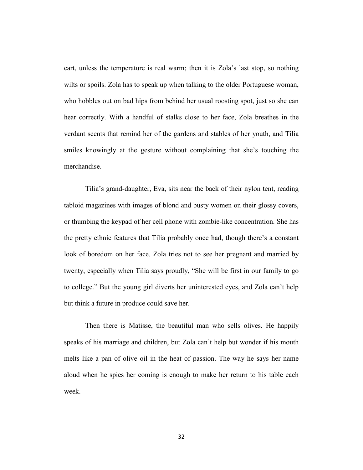cart, unless the temperature is real warm; then it is Zola's last stop, so nothing wilts or spoils. Zola has to speak up when talking to the older Portuguese woman, who hobbles out on bad hips from behind her usual roosting spot, just so she can hear correctly. With a handful of stalks close to her face, Zola breathes in the verdant scents that remind her of the gardens and stables of her youth, and Tilia smiles knowingly at the gesture without complaining that she's touching the merchandise.

Tilia's grand-daughter, Eva, sits near the back of their nylon tent, reading tabloid magazines with images of blond and busty women on their glossy covers, or thumbing the keypad of her cell phone with zombie-like concentration. She has the pretty ethnic features that Tilia probably once had, though there's a constant look of boredom on her face. Zola tries not to see her pregnant and married by twenty, especially when Tilia says proudly, "She will be first in our family to go to college." But the young girl diverts her uninterested eyes, and Zola can't help but think a future in produce could save her.

Then there is Matisse, the beautiful man who sells olives. He happily speaks of his marriage and children, but Zola can't help but wonder if his mouth melts like a pan of olive oil in the heat of passion. The way he says her name aloud when he spies her coming is enough to make her return to his table each week.

32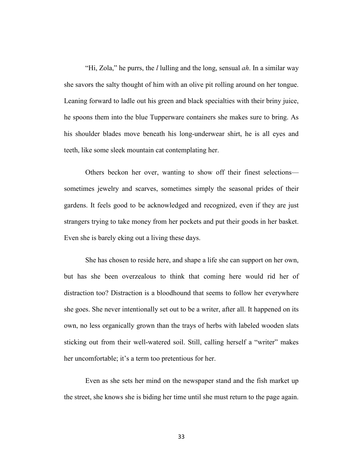"Hi, Zola," he purrs, the *l* lulling and the long, sensual *ah*. In a similar way she savors the salty thought of him with an olive pit rolling around on her tongue. Leaning forward to ladle out his green and black specialties with their briny juice, he spoons them into the blue Tupperware containers she makes sure to bring. As his shoulder blades move beneath his long-underwear shirt, he is all eyes and teeth, like some sleek mountain cat contemplating her.

Others beckon her over, wanting to show off their finest selections sometimes jewelry and scarves, sometimes simply the seasonal prides of their gardens. It feels good to be acknowledged and recognized, even if they are just strangers trying to take money from her pockets and put their goods in her basket. Even she is barely eking out a living these days.

She has chosen to reside here, and shape a life she can support on her own, but has she been overzealous to think that coming here would rid her of distraction too? Distraction is a bloodhound that seems to follow her everywhere she goes. She never intentionally set out to be a writer, after all. It happened on its own, no less organically grown than the trays of herbs with labeled wooden slats sticking out from their well-watered soil. Still, calling herself a "writer" makes her uncomfortable; it's a term too pretentious for her.

Even as she sets her mind on the newspaper stand and the fish market up the street, she knows she is biding her time until she must return to the page again.

33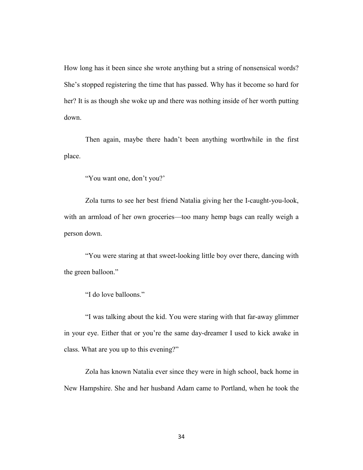How long has it been since she wrote anything but a string of nonsensical words? She's stopped registering the time that has passed. Why has it become so hard for her? It is as though she woke up and there was nothing inside of her worth putting down.

Then again, maybe there hadn't been anything worthwhile in the first place.

"You want one, don't you?'

Zola turns to see her best friend Natalia giving her the I-caught-you-look, with an armload of her own groceries—too many hemp bags can really weigh a person down.

"You were staring at that sweet-looking little boy over there, dancing with the green balloon."

"I do love balloons."

"I was talking about the kid. You were staring with that far-away glimmer in your eye. Either that or you're the same day-dreamer I used to kick awake in class. What are you up to this evening?"

Zola has known Natalia ever since they were in high school, back home in New Hampshire. She and her husband Adam came to Portland, when he took the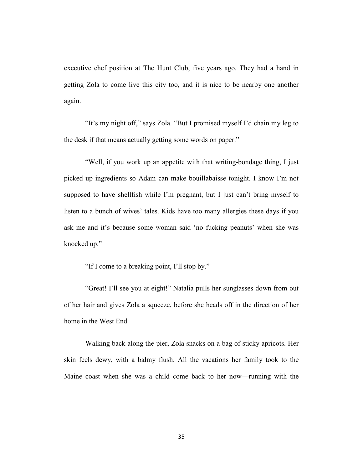executive chef position at The Hunt Club, five years ago. They had a hand in getting Zola to come live this city too, and it is nice to be nearby one another again.

"It's my night off," says Zola. "But I promised myself I'd chain my leg to the desk if that means actually getting some words on paper."

"Well, if you work up an appetite with that writing-bondage thing, I just picked up ingredients so Adam can make bouillabaisse tonight. I know I'm not supposed to have shellfish while I'm pregnant, but I just can't bring myself to listen to a bunch of wives' tales. Kids have too many allergies these days if you ask me and it's because some woman said 'no fucking peanuts' when she was knocked up."

"If I come to a breaking point, I'll stop by."

"Great! I'll see you at eight!" Natalia pulls her sunglasses down from out of her hair and gives Zola a squeeze, before she heads off in the direction of her home in the West End.

Walking back along the pier, Zola snacks on a bag of sticky apricots. Her skin feels dewy, with a balmy flush. All the vacations her family took to the Maine coast when she was a child come back to her now—running with the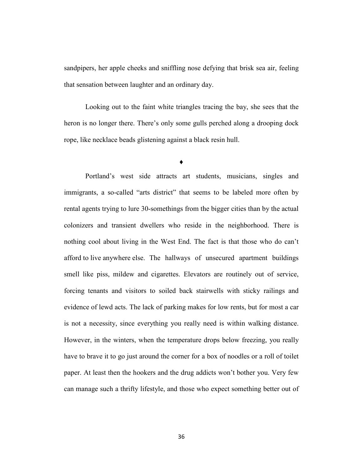sandpipers, her apple cheeks and sniffling nose defying that brisk sea air, feeling that sensation between laughter and an ordinary day.

Looking out to the faint white triangles tracing the bay, she sees that the heron is no longer there. There's only some gulls perched along a drooping dock rope, like necklace beads glistening against a black resin hull.

**♦**

Portland's west side attracts art students, musicians, singles and immigrants, a so-called "arts district" that seems to be labeled more often by rental agents trying to lure 30-somethings from the bigger cities than by the actual colonizers and transient dwellers who reside in the neighborhood. There is nothing cool about living in the West End. The fact is that those who do can't afford to live anywhere else. The hallways of unsecured apartment buildings smell like piss, mildew and cigarettes. Elevators are routinely out of service, forcing tenants and visitors to soiled back stairwells with sticky railings and evidence of lewd acts. The lack of parking makes for low rents, but for most a car is not a necessity, since everything you really need is within walking distance. However, in the winters, when the temperature drops below freezing, you really have to brave it to go just around the corner for a box of noodles or a roll of toilet paper. At least then the hookers and the drug addicts won't bother you. Very few can manage such a thrifty lifestyle, and those who expect something better out of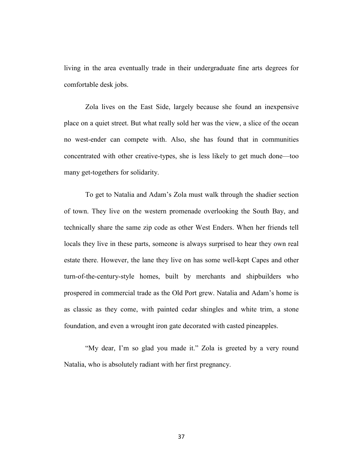living in the area eventually trade in their undergraduate fine arts degrees for comfortable desk jobs.

Zola lives on the East Side, largely because she found an inexpensive place on a quiet street. But what really sold her was the view, a slice of the ocean no west-ender can compete with. Also, she has found that in communities concentrated with other creative-types, she is less likely to get much done—too many get-togethers for solidarity.

To get to Natalia and Adam's Zola must walk through the shadier section of town. They live on the western promenade overlooking the South Bay, and technically share the same zip code as other West Enders. When her friends tell locals they live in these parts, someone is always surprised to hear they own real estate there. However, the lane they live on has some well-kept Capes and other turn-of-the-century-style homes, built by merchants and shipbuilders who prospered in commercial trade as the Old Port grew. Natalia and Adam's home is as classic as they come, with painted cedar shingles and white trim, a stone foundation, and even a wrought iron gate decorated with casted pineapples.

"My dear, I'm so glad you made it." Zola is greeted by a very round Natalia, who is absolutely radiant with her first pregnancy.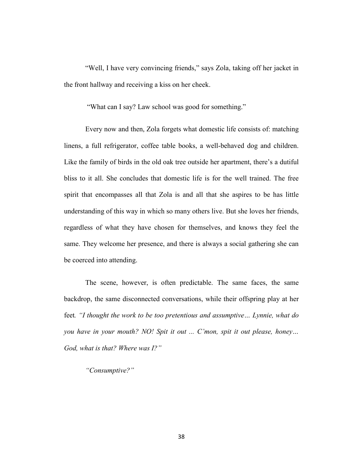"Well, I have very convincing friends," says Zola, taking off her jacket in the front hallway and receiving a kiss on her cheek.

"What can I say? Law school was good for something."

Every now and then, Zola forgets what domestic life consists of: matching linens, a full refrigerator, coffee table books, a well-behaved dog and children. Like the family of birds in the old oak tree outside her apartment, there's a dutiful bliss to it all. She concludes that domestic life is for the well trained. The free spirit that encompasses all that Zola is and all that she aspires to be has little understanding of this way in which so many others live. But she loves her friends, regardless of what they have chosen for themselves, and knows they feel the same. They welcome her presence, and there is always a social gathering she can be coerced into attending.

The scene, however, is often predictable. The same faces, the same backdrop, the same disconnected conversations, while their offspring play at her feet*. "I thought the work to be too pretentious and assumptive… Lynnie, what do you have in your mouth? NO! Spit it out ... C'mon, spit it out please, honey… God, what is that? Where was I?"*

*"Consumptive?"*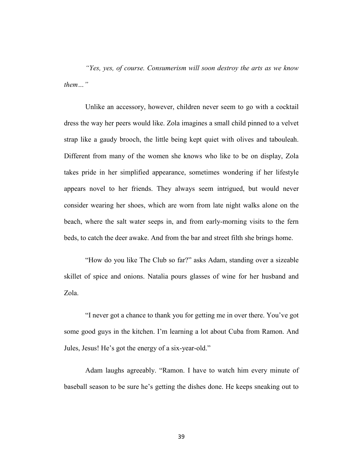*"Yes, yes, of course. Consumerism will soon destroy the arts as we know them…"*

Unlike an accessory, however, children never seem to go with a cocktail dress the way her peers would like. Zola imagines a small child pinned to a velvet strap like a gaudy brooch, the little being kept quiet with olives and tabouleah. Different from many of the women she knows who like to be on display, Zola takes pride in her simplified appearance, sometimes wondering if her lifestyle appears novel to her friends. They always seem intrigued, but would never consider wearing her shoes, which are worn from late night walks alone on the beach, where the salt water seeps in, and from early-morning visits to the fern beds, to catch the deer awake. And from the bar and street filth she brings home.

"How do you like The Club so far?" asks Adam, standing over a sizeable skillet of spice and onions. Natalia pours glasses of wine for her husband and Zola.

"I never got a chance to thank you for getting me in over there. You've got some good guys in the kitchen. I'm learning a lot about Cuba from Ramon. And Jules, Jesus! He's got the energy of a six-year-old."

Adam laughs agreeably. "Ramon. I have to watch him every minute of baseball season to be sure he's getting the dishes done. He keeps sneaking out to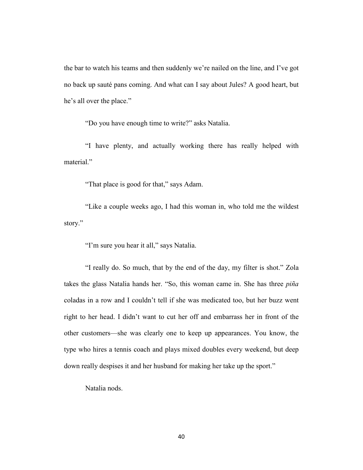the bar to watch his teams and then suddenly we're nailed on the line, and I've got no back up sauté pans coming. And what can I say about Jules? A good heart, but he's all over the place."

"Do you have enough time to write?" asks Natalia.

"I have plenty, and actually working there has really helped with material."

"That place is good for that," says Adam.

"Like a couple weeks ago, I had this woman in, who told me the wildest story."

"I'm sure you hear it all," says Natalia.

"I really do. So much, that by the end of the day, my filter is shot." Zola takes the glass Natalia hands her. "So, this woman came in. She has three *piña* coladas in a row and I couldn't tell if she was medicated too, but her buzz went right to her head. I didn't want to cut her off and embarrass her in front of the other customers—she was clearly one to keep up appearances. You know, the type who hires a tennis coach and plays mixed doubles every weekend, but deep down really despises it and her husband for making her take up the sport."

Natalia nods.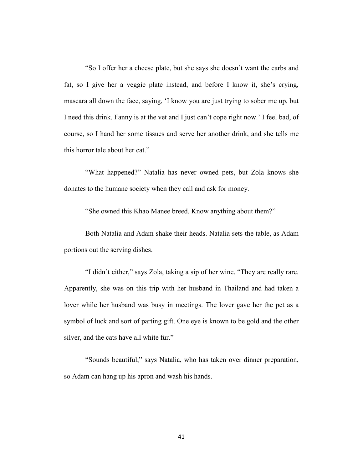"So I offer her a cheese plate, but she says she doesn't want the carbs and fat, so I give her a veggie plate instead, and before I know it, she's crying, mascara all down the face, saying, 'I know you are just trying to sober me up, but I need this drink. Fanny is at the vet and I just can't cope right now.' I feel bad, of course, so I hand her some tissues and serve her another drink, and she tells me this horror tale about her cat."

"What happened?" Natalia has never owned pets, but Zola knows she donates to the humane society when they call and ask for money.

"She owned this Khao Manee breed. Know anything about them?"

Both Natalia and Adam shake their heads. Natalia sets the table, as Adam portions out the serving dishes.

"I didn't either," says Zola, taking a sip of her wine. "They are really rare. Apparently, she was on this trip with her husband in Thailand and had taken a lover while her husband was busy in meetings. The lover gave her the pet as a symbol of luck and sort of parting gift. One eye is known to be gold and the other silver, and the cats have all white fur."

"Sounds beautiful," says Natalia, who has taken over dinner preparation, so Adam can hang up his apron and wash his hands.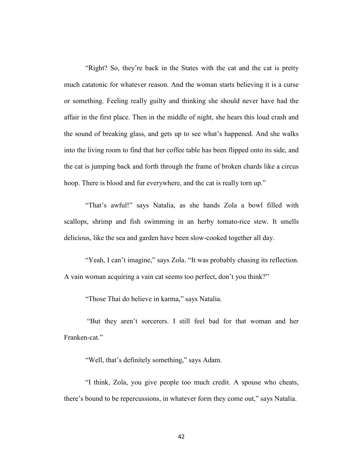"Right? So, they're back in the States with the cat and the cat is pretty much catatonic for whatever reason. And the woman starts believing it is a curse or something. Feeling really guilty and thinking she should never have had the affair in the first place. Then in the middle of night, she hears this loud crash and the sound of breaking glass, and gets up to see what's happened. And she walks into the living room to find that her coffee table has been flipped onto its side, and the cat is jumping back and forth through the frame of broken chards like a circus hoop. There is blood and fur everywhere, and the cat is really torn up."

"That's awful!" says Natalia, as she hands Zola a bowl filled with scallops, shrimp and fish swimming in an herby tomato-rice stew. It smells delicious, like the sea and garden have been slow-cooked together all day.

"Yeah, I can't imagine," says Zola. "It was probably chasing its reflection. A vain woman acquiring a vain cat seems too perfect, don't you think?"

"Those Thai do believe in karma," says Natalia.

"But they aren't sorcerers. I still feel bad for that woman and her Franken-cat."

"Well, that's definitely something," says Adam.

"I think, Zola, you give people too much credit. A spouse who cheats, there's bound to be repercussions, in whatever form they come out," says Natalia.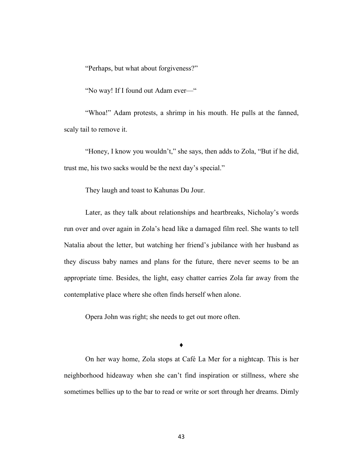"Perhaps, but what about forgiveness?"

"No way! If I found out Adam ever—"

"Whoa!" Adam protests, a shrimp in his mouth. He pulls at the fanned, scaly tail to remove it.

"Honey, I know you wouldn't," she says, then adds to Zola, "But if he did, trust me, his two sacks would be the next day's special."

They laugh and toast to Kahunas Du Jour.

Later, as they talk about relationships and heartbreaks, Nicholay's words run over and over again in Zola's head like a damaged film reel. She wants to tell Natalia about the letter, but watching her friend's jubilance with her husband as they discuss baby names and plans for the future, there never seems to be an appropriate time. Besides, the light, easy chatter carries Zola far away from the contemplative place where she often finds herself when alone.

Opera John was right; she needs to get out more often.

**♦**

On her way home, Zola stops at Café La Mer for a nightcap. This is her neighborhood hideaway when she can't find inspiration or stillness, where she sometimes bellies up to the bar to read or write or sort through her dreams. Dimly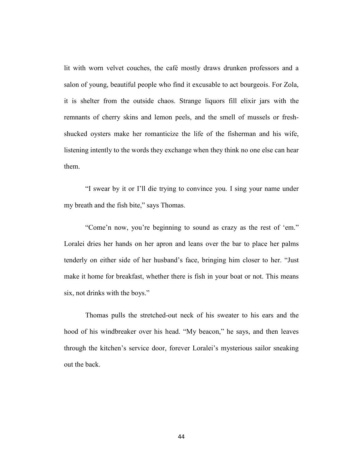lit with worn velvet couches, the café mostly draws drunken professors and a salon of young, beautiful people who find it excusable to act bourgeois. For Zola, it is shelter from the outside chaos. Strange liquors fill elixir jars with the remnants of cherry skins and lemon peels, and the smell of mussels or freshshucked oysters make her romanticize the life of the fisherman and his wife, listening intently to the words they exchange when they think no one else can hear them.

"I swear by it or I'll die trying to convince you. I sing your name under my breath and the fish bite," says Thomas.

"Come'n now, you're beginning to sound as crazy as the rest of 'em." Loralei dries her hands on her apron and leans over the bar to place her palms tenderly on either side of her husband's face, bringing him closer to her. "Just make it home for breakfast, whether there is fish in your boat or not. This means six, not drinks with the boys."

Thomas pulls the stretched-out neck of his sweater to his ears and the hood of his windbreaker over his head. "My beacon," he says, and then leaves through the kitchen's service door, forever Loralei's mysterious sailor sneaking out the back.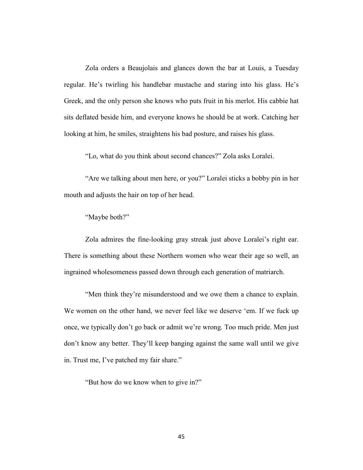Zola orders a Beaujolais and glances down the bar at Louis, a Tuesday regular. He's twirling his handlebar mustache and staring into his glass. He's Greek, and the only person she knows who puts fruit in his merlot. His cabbie hat sits deflated beside him, and everyone knows he should be at work. Catching her looking at him, he smiles, straightens his bad posture, and raises his glass.

"Lo, what do you think about second chances?" Zola asks Loralei.

"Are we talking about men here, or you?" Loralei sticks a bobby pin in her mouth and adjusts the hair on top of her head.

"Maybe both?"

Zola admires the fine-looking gray streak just above Loralei's right ear. There is something about these Northern women who wear their age so well, an ingrained wholesomeness passed down through each generation of matriarch.

"Men think they're misunderstood and we owe them a chance to explain. We women on the other hand, we never feel like we deserve 'em. If we fuck up once, we typically don't go back or admit we're wrong. Too much pride. Men just don't know any better. They'll keep banging against the same wall until we give in. Trust me, I've patched my fair share."

"But how do we know when to give in?"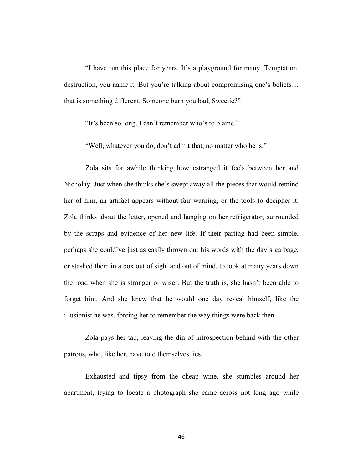"I have run this place for years. It's a playground for many. Temptation, destruction, you name it. But you're talking about compromising one's beliefs… that is something different. Someone burn you bad, Sweetie?"

"It's been so long, I can't remember who's to blame."

"Well, whatever you do, don't admit that, no matter who he is."

Zola sits for awhile thinking how estranged it feels between her and Nicholay. Just when she thinks she's swept away all the pieces that would remind her of him, an artifact appears without fair warning, or the tools to decipher it. Zola thinks about the letter, opened and hanging on her refrigerator, surrounded by the scraps and evidence of her new life. If their parting had been simple, perhaps she could've just as easily thrown out his words with the day's garbage, or stashed them in a box out of sight and out of mind, to look at many years down the road when she is stronger or wiser. But the truth is, she hasn't been able to forget him. And she knew that he would one day reveal himself, like the illusionist he was, forcing her to remember the way things were back then.

Zola pays her tab, leaving the din of introspection behind with the other patrons, who, like her, have told themselves lies.

Exhausted and tipsy from the cheap wine, she stumbles around her apartment, trying to locate a photograph she came across not long ago while

46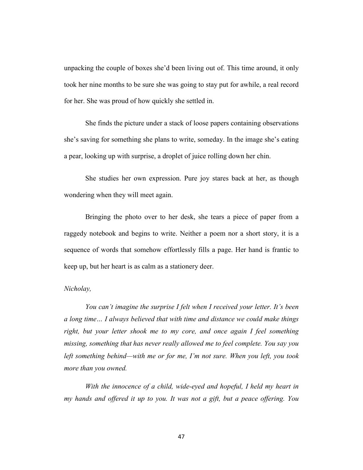unpacking the couple of boxes she'd been living out of. This time around, it only took her nine months to be sure she was going to stay put for awhile, a real record for her. She was proud of how quickly she settled in.

She finds the picture under a stack of loose papers containing observations she's saving for something she plans to write, someday. In the image she's eating a pear, looking up with surprise, a droplet of juice rolling down her chin.

She studies her own expression. Pure joy stares back at her, as though wondering when they will meet again.

Bringing the photo over to her desk, she tears a piece of paper from a raggedy notebook and begins to write. Neither a poem nor a short story, it is a sequence of words that somehow effortlessly fills a page. Her hand is frantic to keep up, but her heart is as calm as a stationery deer.

### *Nicholay,*

*You can't imagine the surprise I felt when I received your letter. It's been a long time… I always believed that with time and distance we could make things right, but your letter shook me to my core, and once again I feel something missing, something that has never really allowed me to feel complete. You say you left something behind—with me or for me, I'm not sure. When you left, you took more than you owned.*

*With the innocence of a child, wide-eyed and hopeful, I held my heart in my hands and offered it up to you. It was not a gift, but a peace offering. You* 

47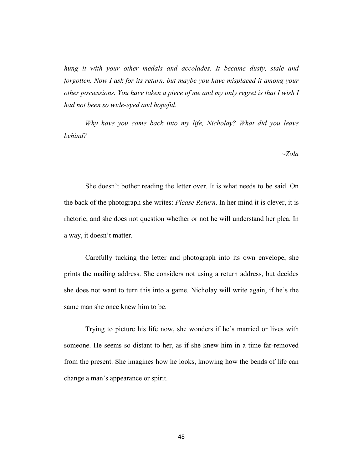*hung it with your other medals and accolades. It became dusty, stale and forgotten. Now I ask for its return, but maybe you have misplaced it among your other possessions. You have taken a piece of me and my only regret is that I wish I had not been so wide-eyed and hopeful.* 

*Why have you come back into my life, Nicholay? What did you leave behind?*

*~Zola*

She doesn't bother reading the letter over. It is what needs to be said. On the back of the photograph she writes: *Please Return*. In her mind it is clever, it is rhetoric, and she does not question whether or not he will understand her plea. In a way, it doesn't matter.

Carefully tucking the letter and photograph into its own envelope, she prints the mailing address. She considers not using a return address, but decides she does not want to turn this into a game. Nicholay will write again, if he's the same man she once knew him to be.

Trying to picture his life now, she wonders if he's married or lives with someone. He seems so distant to her, as if she knew him in a time far-removed from the present. She imagines how he looks, knowing how the bends of life can change a man's appearance or spirit.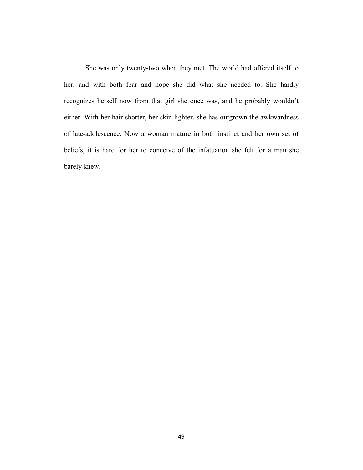She was only twenty-two when they met. The world had offered itself to her, and with both fear and hope she did what she needed to. She hardly recognizes herself now from that girl she once was, and he probably wouldn't either. With her hair shorter, her skin lighter, she has outgrown the awkwardness of late-adolescence. Now a woman mature in both instinct and her own set of beliefs, it is hard for her to conceive of the infatuation she felt for a man she barely knew.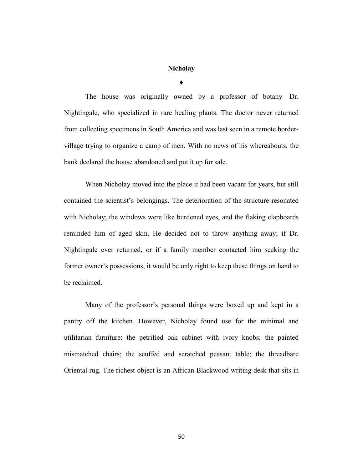## **Nicholay**

**♦**

The house was originally owned by a professor of botany—Dr. Nightingale, who specialized in rare healing plants. The doctor never returned from collecting specimens in South America and was last seen in a remote bordervillage trying to organize a camp of men. With no news of his whereabouts, the bank declared the house abandoned and put it up for sale.

When Nicholay moved into the place it had been vacant for years, but still contained the scientist's belongings. The deterioration of the structure resonated with Nicholay; the windows were like burdened eyes, and the flaking clapboards reminded him of aged skin. He decided not to throw anything away; if Dr. Nightingale ever returned, or if a family member contacted him seeking the former owner's possessions, it would be only right to keep these things on hand to be reclaimed.

Many of the professor's personal things were boxed up and kept in a pantry off the kitchen. However, Nicholay found use for the minimal and utilitarian furniture: the petrified oak cabinet with ivory knobs; the painted mismatched chairs; the scuffed and scratched peasant table; the threadbare Oriental rug. The richest object is an African Blackwood writing desk that sits in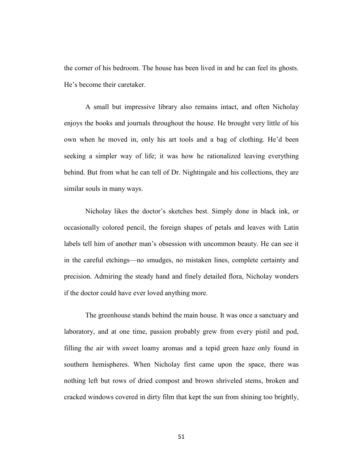the corner of his bedroom. The house has been lived in and he can feel its ghosts. He's become their caretaker.

A small but impressive library also remains intact, and often Nicholay enjoys the books and journals throughout the house. He brought very little of his own when he moved in, only his art tools and a bag of clothing. He'd been seeking a simpler way of life; it was how he rationalized leaving everything behind. But from what he can tell of Dr. Nightingale and his collections, they are similar souls in many ways.

Nicholay likes the doctor's sketches best. Simply done in black ink, or occasionally colored pencil, the foreign shapes of petals and leaves with Latin labels tell him of another man's obsession with uncommon beauty. He can see it in the careful etchings—no smudges, no mistaken lines, complete certainty and precision. Admiring the steady hand and finely detailed flora, Nicholay wonders if the doctor could have ever loved anything more.

The greenhouse stands behind the main house. It was once a sanctuary and laboratory, and at one time, passion probably grew from every pistil and pod, filling the air with sweet loamy aromas and a tepid green haze only found in southern hemispheres. When Nicholay first came upon the space, there was nothing left but rows of dried compost and brown shriveled stems, broken and cracked windows covered in dirty film that kept the sun from shining too brightly,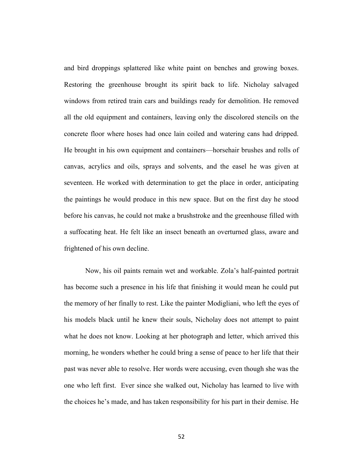and bird droppings splattered like white paint on benches and growing boxes. Restoring the greenhouse brought its spirit back to life. Nicholay salvaged windows from retired train cars and buildings ready for demolition. He removed all the old equipment and containers, leaving only the discolored stencils on the concrete floor where hoses had once lain coiled and watering cans had dripped. He brought in his own equipment and containers—horsehair brushes and rolls of canvas, acrylics and oils, sprays and solvents, and the easel he was given at seventeen. He worked with determination to get the place in order, anticipating the paintings he would produce in this new space. But on the first day he stood before his canvas, he could not make a brushstroke and the greenhouse filled with a suffocating heat. He felt like an insect beneath an overturned glass, aware and frightened of his own decline.

Now, his oil paints remain wet and workable. Zola's half-painted portrait has become such a presence in his life that finishing it would mean he could put the memory of her finally to rest. Like the painter Modigliani, who left the eyes of his models black until he knew their souls, Nicholay does not attempt to paint what he does not know. Looking at her photograph and letter, which arrived this morning, he wonders whether he could bring a sense of peace to her life that their past was never able to resolve. Her words were accusing, even though she was the one who left first. Ever since she walked out, Nicholay has learned to live with the choices he's made, and has taken responsibility for his part in their demise. He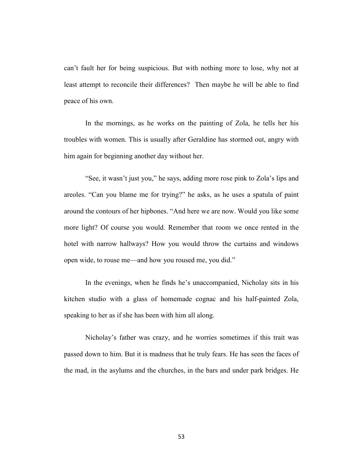can't fault her for being suspicious. But with nothing more to lose, why not at least attempt to reconcile their differences? Then maybe he will be able to find peace of his own.

In the mornings, as he works on the painting of Zola, he tells her his troubles with women. This is usually after Geraldine has stormed out, angry with him again for beginning another day without her.

"See, it wasn't just you," he says, adding more rose pink to Zola's lips and areoles. "Can you blame me for trying?" he asks, as he uses a spatula of paint around the contours of her hipbones. "And here we are now. Would you like some more light? Of course you would. Remember that room we once rented in the hotel with narrow hallways? How you would throw the curtains and windows open wide, to rouse me—and how you roused me, you did."

In the evenings, when he finds he's unaccompanied, Nicholay sits in his kitchen studio with a glass of homemade cognac and his half-painted Zola, speaking to her as if she has been with him all along.

Nicholay's father was crazy, and he worries sometimes if this trait was passed down to him. But it is madness that he truly fears. He has seen the faces of the mad, in the asylums and the churches, in the bars and under park bridges. He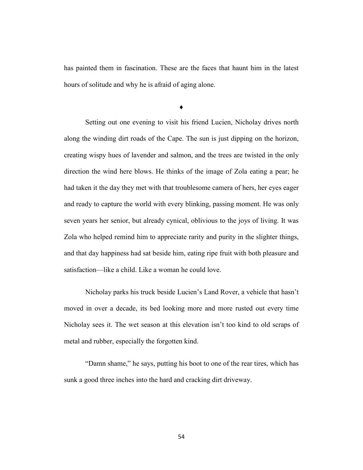has painted them in fascination. These are the faces that haunt him in the latest hours of solitude and why he is afraid of aging alone.

**♦**

Setting out one evening to visit his friend Lucien, Nicholay drives north along the winding dirt roads of the Cape. The sun is just dipping on the horizon, creating wispy hues of lavender and salmon, and the trees are twisted in the only direction the wind here blows. He thinks of the image of Zola eating a pear; he had taken it the day they met with that troublesome camera of hers, her eyes eager and ready to capture the world with every blinking, passing moment. He was only seven years her senior, but already cynical, oblivious to the joys of living. It was Zola who helped remind him to appreciate rarity and purity in the slighter things, and that day happiness had sat beside him, eating ripe fruit with both pleasure and satisfaction—like a child. Like a woman he could love.

Nicholay parks his truck beside Lucien's Land Rover, a vehicle that hasn't moved in over a decade, its bed looking more and more rusted out every time Nicholay sees it. The wet season at this elevation isn't too kind to old scraps of metal and rubber, especially the forgotten kind.

"Damn shame," he says, putting his boot to one of the rear tires, which has sunk a good three inches into the hard and cracking dirt driveway.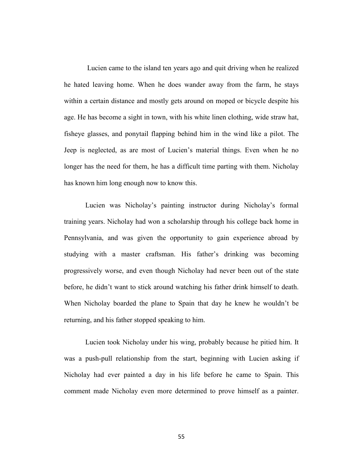Lucien came to the island ten years ago and quit driving when he realized he hated leaving home. When he does wander away from the farm, he stays within a certain distance and mostly gets around on moped or bicycle despite his age. He has become a sight in town, with his white linen clothing, wide straw hat, fisheye glasses, and ponytail flapping behind him in the wind like a pilot. The Jeep is neglected, as are most of Lucien's material things. Even when he no longer has the need for them, he has a difficult time parting with them. Nicholay has known him long enough now to know this.

Lucien was Nicholay's painting instructor during Nicholay's formal training years. Nicholay had won a scholarship through his college back home in Pennsylvania, and was given the opportunity to gain experience abroad by studying with a master craftsman. His father's drinking was becoming progressively worse, and even though Nicholay had never been out of the state before, he didn't want to stick around watching his father drink himself to death. When Nicholay boarded the plane to Spain that day he knew he wouldn't be returning, and his father stopped speaking to him.

Lucien took Nicholay under his wing, probably because he pitied him. It was a push-pull relationship from the start, beginning with Lucien asking if Nicholay had ever painted a day in his life before he came to Spain. This comment made Nicholay even more determined to prove himself as a painter.

55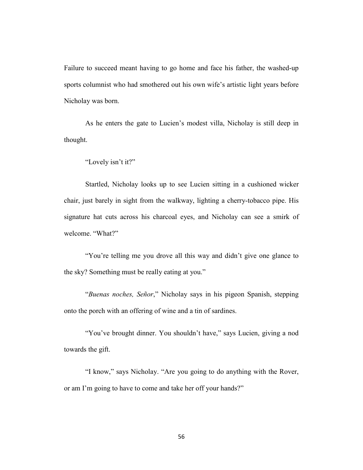Failure to succeed meant having to go home and face his father, the washed-up sports columnist who had smothered out his own wife's artistic light years before Nicholay was born.

As he enters the gate to Lucien's modest villa, Nicholay is still deep in thought.

"Lovely isn't it?"

Startled, Nicholay looks up to see Lucien sitting in a cushioned wicker chair, just barely in sight from the walkway, lighting a cherry-tobacco pipe. His signature hat cuts across his charcoal eyes, and Nicholay can see a smirk of welcome. "What?"

"You're telling me you drove all this way and didn't give one glance to the sky? Something must be really eating at you."

"*Buenas noches, Señor*," Nicholay says in his pigeon Spanish, stepping onto the porch with an offering of wine and a tin of sardines.

"You've brought dinner. You shouldn't have," says Lucien, giving a nod towards the gift.

"I know," says Nicholay. "Are you going to do anything with the Rover, or am I'm going to have to come and take her off your hands?"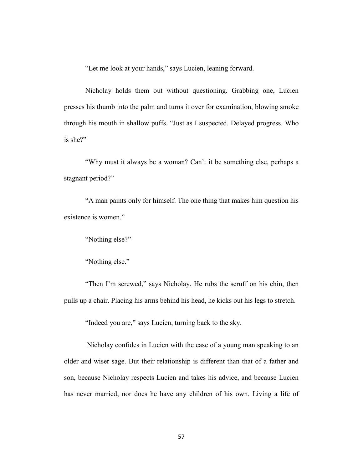"Let me look at your hands," says Lucien, leaning forward.

Nicholay holds them out without questioning. Grabbing one, Lucien presses his thumb into the palm and turns it over for examination, blowing smoke through his mouth in shallow puffs. "Just as I suspected. Delayed progress. Who is she?"

"Why must it always be a woman? Can't it be something else, perhaps a stagnant period?"

"A man paints only for himself. The one thing that makes him question his existence is women."

"Nothing else?"

"Nothing else."

"Then I'm screwed," says Nicholay. He rubs the scruff on his chin, then pulls up a chair. Placing his arms behind his head, he kicks out his legs to stretch.

"Indeed you are," says Lucien, turning back to the sky.

Nicholay confides in Lucien with the ease of a young man speaking to an older and wiser sage. But their relationship is different than that of a father and son, because Nicholay respects Lucien and takes his advice, and because Lucien has never married, nor does he have any children of his own. Living a life of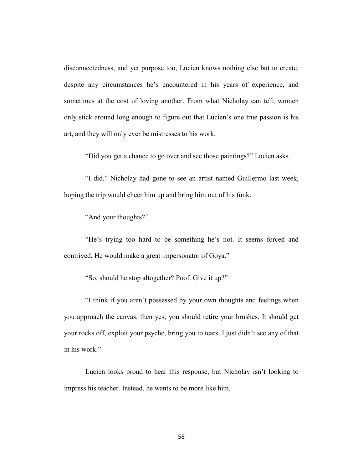disconnectedness, and yet purpose too, Lucien knows nothing else but to create, despite any circumstances he's encountered in his years of experience, and sometimes at the cost of loving another. From what Nicholay can tell, women only stick around long enough to figure out that Lucien's one true passion is his art, and they will only ever be mistresses to his work.

"Did you get a chance to go over and see those paintings?" Lucien asks.

"I did." Nicholay had gone to see an artist named Guillermo last week, hoping the trip would cheer him up and bring him out of his funk.

"And your thoughts?"

"He's trying too hard to be something he's not. It seems forced and contrived. He would make a great impersonator of Goya."

"So, should he stop altogether? Poof. Give it up?"

"I think if you aren't possessed by your own thoughts and feelings when you approach the canvas, then yes, you should retire your brushes. It should get your rocks off, exploit your psyche, bring you to tears. I just didn't see any of that in his work."

Lucien looks proud to hear this response, but Nicholay isn't looking to impress his teacher. Instead, he wants to be more like him.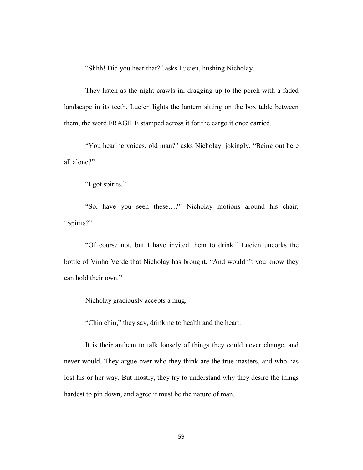"Shhh! Did you hear that?" asks Lucien, hushing Nicholay.

They listen as the night crawls in, dragging up to the porch with a faded landscape in its teeth. Lucien lights the lantern sitting on the box table between them, the word FRAGILE stamped across it for the cargo it once carried.

"You hearing voices, old man?" asks Nicholay, jokingly. "Being out here all alone?"

"I got spirits."

"So, have you seen these…?" Nicholay motions around his chair, "Spirits?"

"Of course not, but I have invited them to drink." Lucien uncorks the bottle of Vinho Verde that Nicholay has brought. "And wouldn't you know they can hold their own."

Nicholay graciously accepts a mug.

"Chin chin," they say, drinking to health and the heart.

It is their anthem to talk loosely of things they could never change, and never would. They argue over who they think are the true masters, and who has lost his or her way. But mostly, they try to understand why they desire the things hardest to pin down, and agree it must be the nature of man.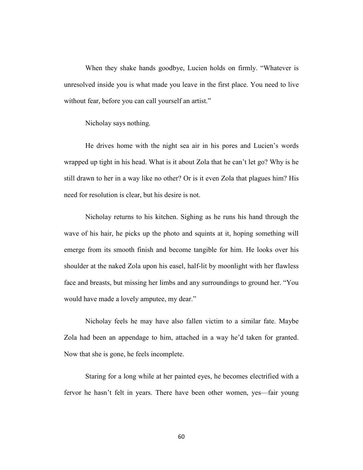When they shake hands goodbye, Lucien holds on firmly. "Whatever is unresolved inside you is what made you leave in the first place. You need to live without fear, before you can call yourself an artist."

Nicholay says nothing.

He drives home with the night sea air in his pores and Lucien's words wrapped up tight in his head. What is it about Zola that he can't let go? Why is he still drawn to her in a way like no other? Or is it even Zola that plagues him? His need for resolution is clear, but his desire is not.

Nicholay returns to his kitchen. Sighing as he runs his hand through the wave of his hair, he picks up the photo and squints at it, hoping something will emerge from its smooth finish and become tangible for him. He looks over his shoulder at the naked Zola upon his easel, half-lit by moonlight with her flawless face and breasts, but missing her limbs and any surroundings to ground her. "You would have made a lovely amputee, my dear."

Nicholay feels he may have also fallen victim to a similar fate. Maybe Zola had been an appendage to him, attached in a way he'd taken for granted. Now that she is gone, he feels incomplete.

Staring for a long while at her painted eyes, he becomes electrified with a fervor he hasn't felt in years. There have been other women, yes—fair young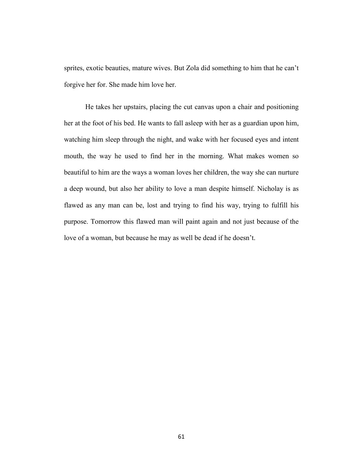sprites, exotic beauties, mature wives. But Zola did something to him that he can't forgive her for. She made him love her.

He takes her upstairs, placing the cut canvas upon a chair and positioning her at the foot of his bed. He wants to fall asleep with her as a guardian upon him, watching him sleep through the night, and wake with her focused eyes and intent mouth, the way he used to find her in the morning. What makes women so beautiful to him are the ways a woman loves her children, the way she can nurture a deep wound, but also her ability to love a man despite himself. Nicholay is as flawed as any man can be, lost and trying to find his way, trying to fulfill his purpose. Tomorrow this flawed man will paint again and not just because of the love of a woman, but because he may as well be dead if he doesn't.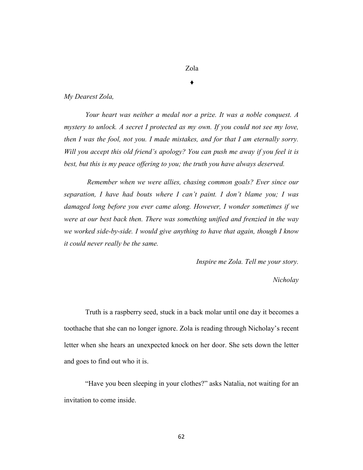# Zola

♦

#### *My Dearest Zola,*

*Your heart was neither a medal nor a prize. It was a noble conquest. A mystery to unlock. A secret I protected as my own. If you could not see my love, then I was the fool, not you. I made mistakes, and for that I am eternally sorry. Will you accept this old friend's apology? You can push me away if you feel it is best, but this is my peace offering to you; the truth you have always deserved.*

*Remember when we were allies, chasing common goals? Ever since our separation, I have had bouts where I can't paint. I don't blame you; I was damaged long before you ever came along. However, I wonder sometimes if we were at our best back then. There was something unified and frenzied in the way we worked side-by-side. I would give anything to have that again, though I know it could never really be the same.* 

*Inspire me Zola. Tell me your story.*

#### *Nicholay*

Truth is a raspberry seed, stuck in a back molar until one day it becomes a toothache that she can no longer ignore. Zola is reading through Nicholay's recent letter when she hears an unexpected knock on her door. She sets down the letter and goes to find out who it is.

"Have you been sleeping in your clothes?" asks Natalia, not waiting for an invitation to come inside.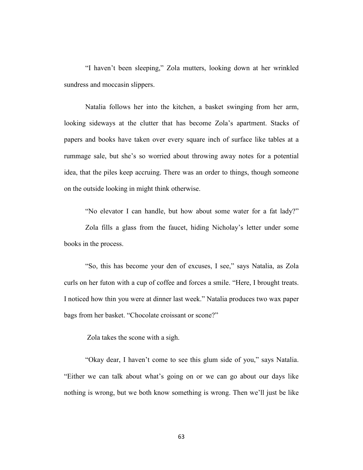"I haven't been sleeping," Zola mutters, looking down at her wrinkled sundress and moccasin slippers.

Natalia follows her into the kitchen, a basket swinging from her arm, looking sideways at the clutter that has become Zola's apartment. Stacks of papers and books have taken over every square inch of surface like tables at a rummage sale, but she's so worried about throwing away notes for a potential idea, that the piles keep accruing. There was an order to things, though someone on the outside looking in might think otherwise.

"No elevator I can handle, but how about some water for a fat lady?"

Zola fills a glass from the faucet, hiding Nicholay's letter under some books in the process.

"So, this has become your den of excuses, I see," says Natalia, as Zola curls on her futon with a cup of coffee and forces a smile. "Here, I brought treats. I noticed how thin you were at dinner last week." Natalia produces two wax paper bags from her basket. "Chocolate croissant or scone?"

Zola takes the scone with a sigh.

"Okay dear, I haven't come to see this glum side of you," says Natalia. "Either we can talk about what's going on or we can go about our days like nothing is wrong, but we both know something is wrong. Then we'll just be like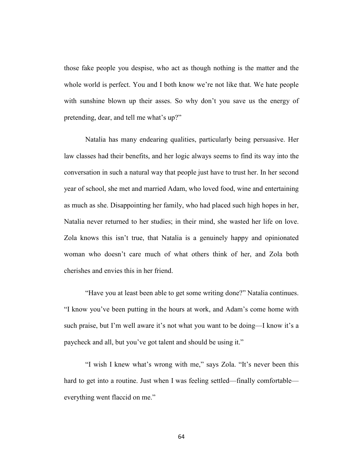those fake people you despise, who act as though nothing is the matter and the whole world is perfect. You and I both know we're not like that. We hate people with sunshine blown up their asses. So why don't you save us the energy of pretending, dear, and tell me what's up?"

Natalia has many endearing qualities, particularly being persuasive. Her law classes had their benefits, and her logic always seems to find its way into the conversation in such a natural way that people just have to trust her. In her second year of school, she met and married Adam, who loved food, wine and entertaining as much as she. Disappointing her family, who had placed such high hopes in her, Natalia never returned to her studies; in their mind, she wasted her life on love. Zola knows this isn't true, that Natalia is a genuinely happy and opinionated woman who doesn't care much of what others think of her, and Zola both cherishes and envies this in her friend.

"Have you at least been able to get some writing done?" Natalia continues. "I know you've been putting in the hours at work, and Adam's come home with such praise, but I'm well aware it's not what you want to be doing—I know it's a paycheck and all, but you've got talent and should be using it."

"I wish I knew what's wrong with me," says Zola. "It's never been this hard to get into a routine. Just when I was feeling settled—finally comfortable everything went flaccid on me."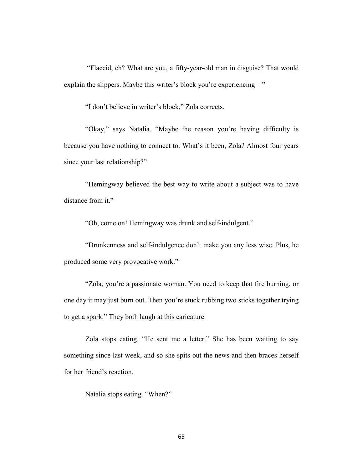"Flaccid, eh? What are you, a fifty-year-old man in disguise? That would explain the slippers. Maybe this writer's block you're experiencing—"

"I don't believe in writer's block," Zola corrects.

"Okay," says Natalia. "Maybe the reason you're having difficulty is because you have nothing to connect to. What's it been, Zola? Almost four years since your last relationship?"

"Hemingway believed the best way to write about a subject was to have distance from it."

"Oh, come on! Hemingway was drunk and self-indulgent."

"Drunkenness and self-indulgence don't make you any less wise. Plus, he produced some very provocative work."

"Zola, you're a passionate woman. You need to keep that fire burning, or one day it may just burn out. Then you're stuck rubbing two sticks together trying to get a spark." They both laugh at this caricature.

Zola stops eating. "He sent me a letter." She has been waiting to say something since last week, and so she spits out the news and then braces herself for her friend's reaction.

Natalia stops eating. "When?"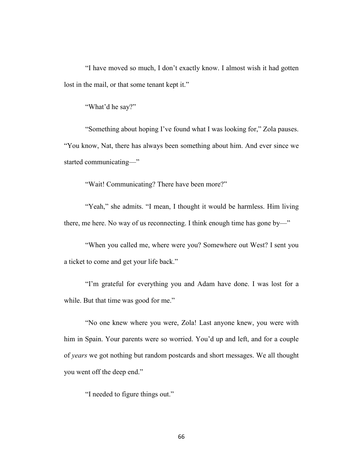"I have moved so much, I don't exactly know. I almost wish it had gotten lost in the mail, or that some tenant kept it."

"What'd he say?"

"Something about hoping I've found what I was looking for," Zola pauses. "You know, Nat, there has always been something about him. And ever since we started communicating—"

"Wait! Communicating? There have been more?"

"Yeah," she admits. "I mean, I thought it would be harmless. Him living there, me here. No way of us reconnecting. I think enough time has gone by—"

"When you called me, where were you? Somewhere out West? I sent you a ticket to come and get your life back."

"I'm grateful for everything you and Adam have done. I was lost for a while. But that time was good for me."

"No one knew where you were, Zola! Last anyone knew, you were with him in Spain. Your parents were so worried. You'd up and left, and for a couple of *years* we got nothing but random postcards and short messages. We all thought you went off the deep end."

"I needed to figure things out."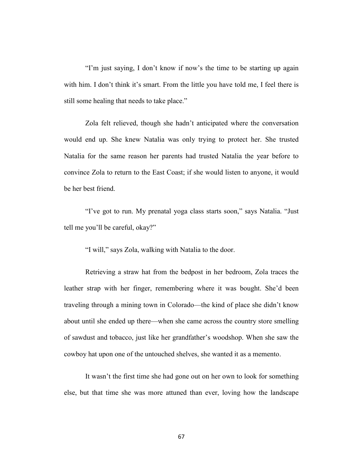"I'm just saying, I don't know if now's the time to be starting up again with him. I don't think it's smart. From the little you have told me, I feel there is still some healing that needs to take place."

Zola felt relieved, though she hadn't anticipated where the conversation would end up. She knew Natalia was only trying to protect her. She trusted Natalia for the same reason her parents had trusted Natalia the year before to convince Zola to return to the East Coast; if she would listen to anyone, it would be her best friend.

"I've got to run. My prenatal yoga class starts soon," says Natalia. "Just tell me you'll be careful, okay?"

"I will," says Zola, walking with Natalia to the door.

Retrieving a straw hat from the bedpost in her bedroom, Zola traces the leather strap with her finger, remembering where it was bought. She'd been traveling through a mining town in Colorado—the kind of place she didn't know about until she ended up there—when she came across the country store smelling of sawdust and tobacco, just like her grandfather's woodshop. When she saw the cowboy hat upon one of the untouched shelves, she wanted it as a memento.

It wasn't the first time she had gone out on her own to look for something else, but that time she was more attuned than ever, loving how the landscape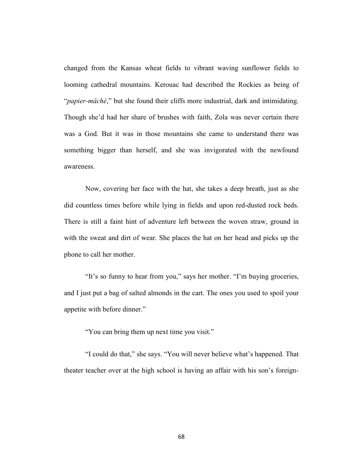changed from the Kansas wheat fields to vibrant waving sunflower fields to looming cathedral mountains. Kerouac had described the Rockies as being of "*papier-mâché*," but she found their cliffs more industrial, dark and intimidating. Though she'd had her share of brushes with faith, Zola was never certain there was a God. But it was in those mountains she came to understand there was something bigger than herself, and she was invigorated with the newfound awareness.

Now, covering her face with the hat, she takes a deep breath, just as she did countless times before while lying in fields and upon red-dusted rock beds. There is still a faint hint of adventure left between the woven straw, ground in with the sweat and dirt of wear. She places the hat on her head and picks up the phone to call her mother.

"It's so funny to hear from you," says her mother. "I'm buying groceries, and I just put a bag of salted almonds in the cart. The ones you used to spoil your appetite with before dinner."

"You can bring them up next time you visit."

"I could do that," she says. "You will never believe what's happened. That theater teacher over at the high school is having an affair with his son's foreign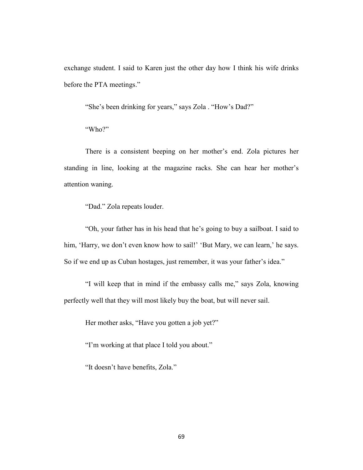exchange student. I said to Karen just the other day how I think his wife drinks before the PTA meetings."

"She's been drinking for years," says Zola . "How's Dad?"

"Who?"

There is a consistent beeping on her mother's end. Zola pictures her standing in line, looking at the magazine racks. She can hear her mother's attention waning.

"Dad." Zola repeats louder.

"Oh, your father has in his head that he's going to buy a sailboat. I said to him, 'Harry, we don't even know how to sail!' 'But Mary, we can learn,' he says. So if we end up as Cuban hostages, just remember, it was your father's idea."

"I will keep that in mind if the embassy calls me," says Zola, knowing perfectly well that they will most likely buy the boat, but will never sail.

Her mother asks, "Have you gotten a job yet?"

"I'm working at that place I told you about."

"It doesn't have benefits, Zola."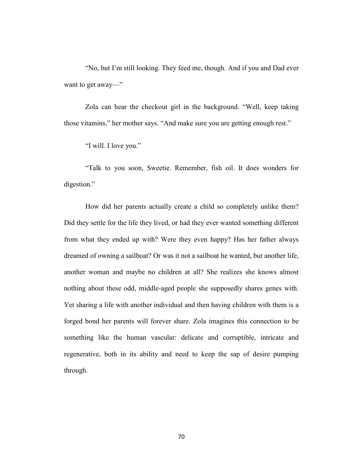"No, but I'm still looking. They feed me, though. And if you and Dad ever want to get away—"

Zola can hear the checkout girl in the background. "Well, keep taking those vitamins," her mother says. "And make sure you are getting enough rest."

"I will. I love you."

"Talk to you soon, Sweetie. Remember, fish oil. It does wonders for digestion."

How did her parents actually create a child so completely unlike them? Did they settle for the life they lived, or had they ever wanted something different from what they ended up with? Were they even happy? Has her father always dreamed of owning a sailboat? Or was it not a sailboat he wanted, but another life, another woman and maybe no children at all? She realizes she knows almost nothing about these odd, middle-aged people she supposedly shares genes with. Yet sharing a life with another individual and then having children with them is a forged bond her parents will forever share. Zola imagines this connection to be something like the human vascular: delicate and corruptible, intricate and regenerative, both in its ability and need to keep the sap of desire pumping through.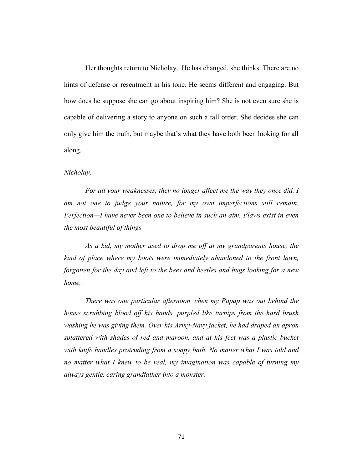Her thoughts return to Nicholay. He has changed, she thinks. There are no hints of defense or resentment in his tone. He seems different and engaging. But how does he suppose she can go about inspiring him? She is not even sure she is capable of delivering a story to anyone on such a tall order. She decides she can only give him the truth, but maybe that's what they have both been looking for all along.

### *Nicholay,*

*For all your weaknesses, they no longer affect me the way they once did. I am not one to judge your nature, for my own imperfections still remain. Perfection—I have never been one to believe in such an aim. Flaws exist in even the most beautiful of things.* 

*As a kid, my mother used to drop me off at my grandparents house, the kind of place where my boots were immediately abandoned to the front lawn, forgotten for the day and left to the bees and beetles and bugs looking for a new home.* 

*There was one particular afternoon when my Papap was out behind the house scrubbing blood off his hands, purpled like turnips from the hard brush washing he was giving them. Over his Army-Navy jacket, he had draped an apron splattered with shades of red and maroon, and at his feet was a plastic bucket with knife handles protruding from a soapy bath. No matter what I was told and no matter what I knew to be real, my imagination was capable of turning my always gentle, caring grandfather into a monster.*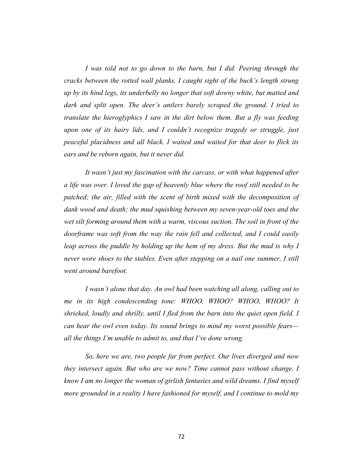*I was told not to go down to the barn, but I did. Peering through the cracks between the rotted wall planks, I caught sight of the buck's length strung up by its hind legs, its underbelly no longer that soft downy white, but matted and dark and split open. The deer's antlers barely scraped the ground. I tried to translate the hieroglyphics I saw in the dirt below them. But a fly was feeding upon one of its hairy lids, and I couldn't recognize tragedy or struggle, just peaceful placidness and all black. I waited and waited for that deer to flick its ears and be reborn again, but it never did.*

*It wasn't just my fascination with the carcass, or with what happened after a life was over. I loved the gap of heavenly blue where the roof still needed to be patched; the air, filled with the scent of birth mixed with the decomposition of dank wood and death; the mud squishing between my seven-year-old toes and the wet silt forming around them with a warm, viscous suction. The soil in front of the doorframe was soft from the way the rain fell and collected, and I could easily leap across the puddle by holding up the hem of my dress. But the mud is why I never wore shoes to the stables. Even after stepping on a nail one summer, I still went around barefoot.* 

*I wasn't alone that day. An owl had been watching all along, calling out to me in its high condescending tone: WHOO, WHOO? WHOO, WHOO? It shrieked, loudly and shrilly, until I fled from the barn into the quiet open field. I can hear the owl even today. Its sound brings to mind my worst possible fears all the things I'm unable to admit to, and that I've done wrong.*

*So, here we are, two people far from perfect. Our lives diverged and now they intersect again. But who are we now? Time cannot pass without change. I know I am no longer the woman of girlish fantasies and wild dreams. I find myself more grounded in a reality I have fashioned for myself, and I continue to mold my*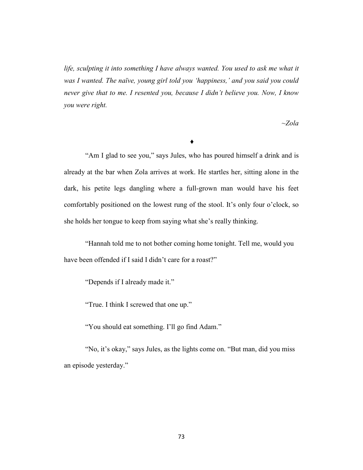life, sculpting it into something I have always wanted. You used to ask me what it *was I wanted. The naïve, young girl told you 'happiness,' and you said you could never give that to me. I resented you, because I didn't believe you. Now, I know you were right.* 

*~Zola*

#### ♦

"Am I glad to see you," says Jules, who has poured himself a drink and is already at the bar when Zola arrives at work. He startles her, sitting alone in the dark, his petite legs dangling where a full-grown man would have his feet comfortably positioned on the lowest rung of the stool. It's only four o'clock, so she holds her tongue to keep from saying what she's really thinking.

"Hannah told me to not bother coming home tonight. Tell me, would you have been offended if I said I didn't care for a roast?"

"Depends if I already made it."

"True. I think I screwed that one up."

"You should eat something. I'll go find Adam."

"No, it's okay," says Jules, as the lights come on. "But man, did you miss an episode yesterday."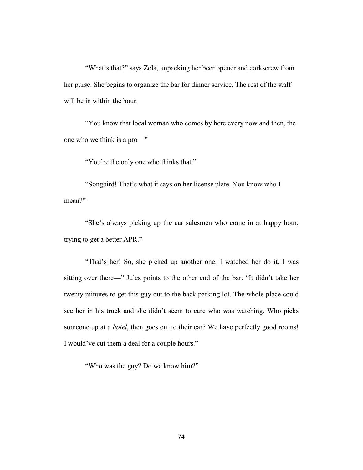"What's that?" says Zola, unpacking her beer opener and corkscrew from her purse. She begins to organize the bar for dinner service. The rest of the staff will be in within the hour.

"You know that local woman who comes by here every now and then, the one who we think is a pro—"

"You're the only one who thinks that."

"Songbird! That's what it says on her license plate. You know who I mean?"

"She's always picking up the car salesmen who come in at happy hour, trying to get a better APR."

"That's her! So, she picked up another one. I watched her do it. I was sitting over there—" Jules points to the other end of the bar. "It didn't take her twenty minutes to get this guy out to the back parking lot. The whole place could see her in his truck and she didn't seem to care who was watching. Who picks someone up at a *hotel*, then goes out to their car? We have perfectly good rooms! I would've cut them a deal for a couple hours."

"Who was the guy? Do we know him?"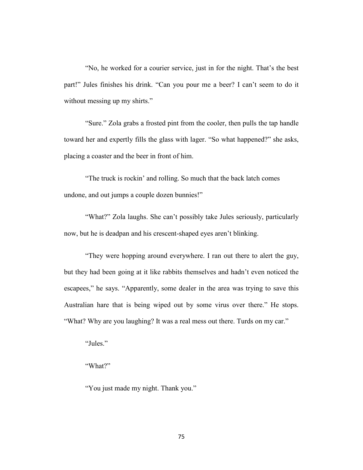"No, he worked for a courier service, just in for the night. That's the best part!" Jules finishes his drink. "Can you pour me a beer? I can't seem to do it without messing up my shirts."

"Sure." Zola grabs a frosted pint from the cooler, then pulls the tap handle toward her and expertly fills the glass with lager. "So what happened?" she asks, placing a coaster and the beer in front of him.

"The truck is rockin' and rolling. So much that the back latch comes undone, and out jumps a couple dozen bunnies!"

"What?" Zola laughs. She can't possibly take Jules seriously, particularly now, but he is deadpan and his crescent-shaped eyes aren't blinking.

"They were hopping around everywhere. I ran out there to alert the guy, but they had been going at it like rabbits themselves and hadn't even noticed the escapees," he says. "Apparently, some dealer in the area was trying to save this Australian hare that is being wiped out by some virus over there." He stops. "What? Why are you laughing? It was a real mess out there. Turds on my car."

"Jules."

"What?"

"You just made my night. Thank you."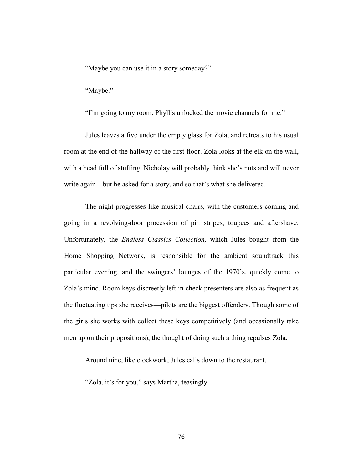"Maybe you can use it in a story someday?"

"Maybe."

"I'm going to my room. Phyllis unlocked the movie channels for me."

Jules leaves a five under the empty glass for Zola, and retreats to his usual room at the end of the hallway of the first floor. Zola looks at the elk on the wall, with a head full of stuffing. Nicholay will probably think she's nuts and will never write again—but he asked for a story, and so that's what she delivered.

The night progresses like musical chairs, with the customers coming and going in a revolving-door procession of pin stripes, toupees and aftershave. Unfortunately, the *Endless Classics Collection,* which Jules bought from the Home Shopping Network, is responsible for the ambient soundtrack this particular evening, and the swingers' lounges of the 1970's, quickly come to Zola's mind. Room keys discreetly left in check presenters are also as frequent as the fluctuating tips she receives—pilots are the biggest offenders. Though some of the girls she works with collect these keys competitively (and occasionally take men up on their propositions), the thought of doing such a thing repulses Zola.

Around nine, like clockwork, Jules calls down to the restaurant.

"Zola, it's for you," says Martha, teasingly.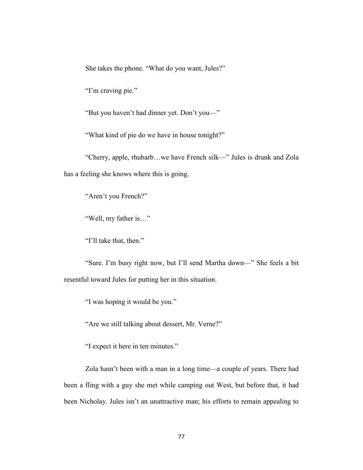She takes the phone. "What do you want, Jules?"

"I'm craving pie."

"But you haven't had dinner yet. Don't you—"

"What kind of pie do we have in house tonight?"

"Cherry, apple, rhubarb…we have French silk—" Jules is drunk and Zola has a feeling she knows where this is going.

"Aren't you French?"

"Well, my father is…"

"I'll take that, then."

"Sure. I'm busy right now, but I'll send Martha down—" She feels a bit resentful toward Jules for putting her in this situation.

"I was hoping it would be you."

"Are we still talking about dessert, Mr. Verne?"

"I expect it here in ten minutes."

Zola hasn't been with a man in a long time—a couple of years. There had been a fling with a guy she met while camping out West, but before that, it had been Nicholay. Jules isn't an unattractive man; his efforts to remain appealing to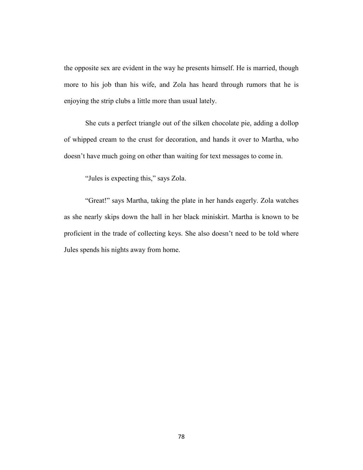the opposite sex are evident in the way he presents himself. He is married, though more to his job than his wife, and Zola has heard through rumors that he is enjoying the strip clubs a little more than usual lately.

She cuts a perfect triangle out of the silken chocolate pie, adding a dollop of whipped cream to the crust for decoration, and hands it over to Martha, who doesn't have much going on other than waiting for text messages to come in.

"Jules is expecting this," says Zola.

"Great!" says Martha, taking the plate in her hands eagerly. Zola watches as she nearly skips down the hall in her black miniskirt. Martha is known to be proficient in the trade of collecting keys. She also doesn't need to be told where Jules spends his nights away from home.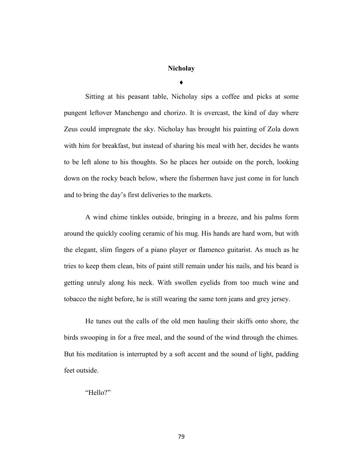### **Nicholay**

**♦**

Sitting at his peasant table, Nicholay sips a coffee and picks at some pungent leftover Manchengo and chorizo. It is overcast, the kind of day where Zeus could impregnate the sky. Nicholay has brought his painting of Zola down with him for breakfast, but instead of sharing his meal with her, decides he wants to be left alone to his thoughts. So he places her outside on the porch, looking down on the rocky beach below, where the fishermen have just come in for lunch and to bring the day's first deliveries to the markets.

A wind chime tinkles outside, bringing in a breeze, and his palms form around the quickly cooling ceramic of his mug. His hands are hard worn, but with the elegant, slim fingers of a piano player or flamenco guitarist. As much as he tries to keep them clean, bits of paint still remain under his nails, and his beard is getting unruly along his neck. With swollen eyelids from too much wine and tobacco the night before, he is still wearing the same torn jeans and grey jersey.

He tunes out the calls of the old men hauling their skiffs onto shore, the birds swooping in for a free meal, and the sound of the wind through the chimes. But his meditation is interrupted by a soft accent and the sound of light, padding feet outside.

"Hello?"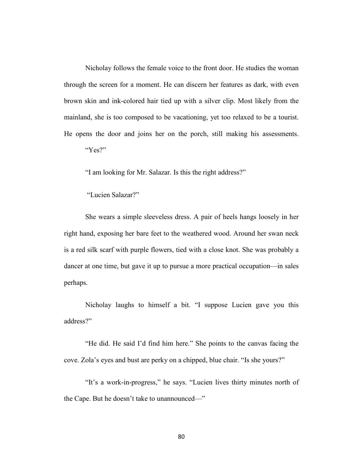Nicholay follows the female voice to the front door. He studies the woman through the screen for a moment. He can discern her features as dark, with even brown skin and ink-colored hair tied up with a silver clip. Most likely from the mainland, she is too composed to be vacationing, yet too relaxed to be a tourist. He opens the door and joins her on the porch, still making his assessments.

"Yes?"

"I am looking for Mr. Salazar. Is this the right address?"

"Lucien Salazar?"

She wears a simple sleeveless dress. A pair of heels hangs loosely in her right hand, exposing her bare feet to the weathered wood. Around her swan neck is a red silk scarf with purple flowers, tied with a close knot. She was probably a dancer at one time, but gave it up to pursue a more practical occupation—in sales perhaps.

Nicholay laughs to himself a bit. "I suppose Lucien gave you this address?"

"He did. He said I'd find him here." She points to the canvas facing the cove. Zola's eyes and bust are perky on a chipped, blue chair. "Is she yours?"

"It's a work-in-progress," he says. "Lucien lives thirty minutes north of the Cape. But he doesn't take to unannounced—"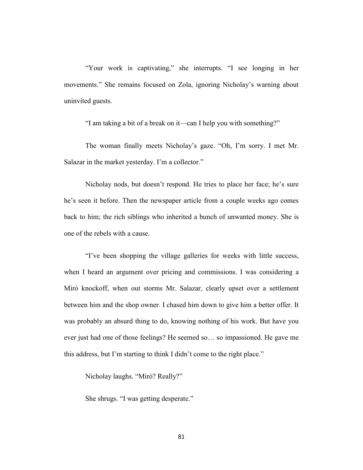"Your work is captivating," she interrupts. "I see longing in her movements." She remains focused on Zola, ignoring Nicholay's warning about uninvited guests.

"I am taking a bit of a break on it—can I help you with something?"

The woman finally meets Nicholay's gaze. "Oh, I'm sorry. I met Mr. Salazar in the market yesterday. I'm a collector."

Nicholay nods, but doesn't respond. He tries to place her face; he's sure he's seen it before. Then the newspaper article from a couple weeks ago comes back to him; the rich siblings who inherited a bunch of unwanted money. She is one of the rebels with a cause.

"I've been shopping the village galleries for weeks with little success, when I heard an argument over pricing and commissions. I was considering a Miró knockoff, when out storms Mr. Salazar, clearly upset over a settlement between him and the shop owner. I chased him down to give him a better offer. It was probably an absurd thing to do, knowing nothing of his work. But have you ever just had one of those feelings? He seemed so… so impassioned. He gave me this address, but I'm starting to think I didn't come to the right place."

Nicholay laughs. "Miró? Really?"

She shrugs. "I was getting desperate."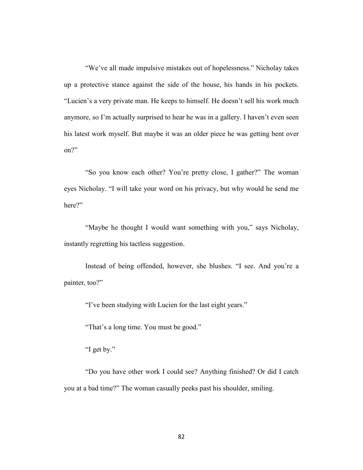"We've all made impulsive mistakes out of hopelessness." Nicholay takes up a protective stance against the side of the house, his hands in his pockets. "Lucien's a very private man. He keeps to himself. He doesn't sell his work much anymore, so I'm actually surprised to hear he was in a gallery. I haven't even seen his latest work myself. But maybe it was an older piece he was getting bent over on?"

"So you know each other? You're pretty close, I gather?" The woman eyes Nicholay. "I will take your word on his privacy, but why would he send me here?"

"Maybe he thought I would want something with you," says Nicholay, instantly regretting his tactless suggestion.

Instead of being offended, however, she blushes. "I see. And you're a painter, too?"

"I've been studying with Lucien for the last eight years."

"That's a long time. You must be good."

"I get by."

"Do you have other work I could see? Anything finished? Or did I catch you at a bad time?" The woman casually peeks past his shoulder, smiling.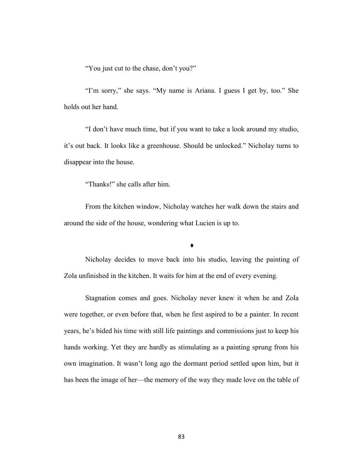"You just cut to the chase, don't you?"

"I'm sorry," she says. "My name is Ariana. I guess I get by, too." She holds out her hand.

"I don't have much time, but if you want to take a look around my studio, it's out back. It looks like a greenhouse. Should be unlocked." Nicholay turns to disappear into the house.

"Thanks!" she calls after him.

From the kitchen window, Nicholay watches her walk down the stairs and around the side of the house, wondering what Lucien is up to.

♦

Nicholay decides to move back into his studio, leaving the painting of Zola unfinished in the kitchen. It waits for him at the end of every evening.

Stagnation comes and goes. Nicholay never knew it when he and Zola were together, or even before that, when he first aspired to be a painter. In recent years, he's bided his time with still life paintings and commissions just to keep his hands working. Yet they are hardly as stimulating as a painting sprung from his own imagination. It wasn't long ago the dormant period settled upon him, but it has been the image of her—the memory of the way they made love on the table of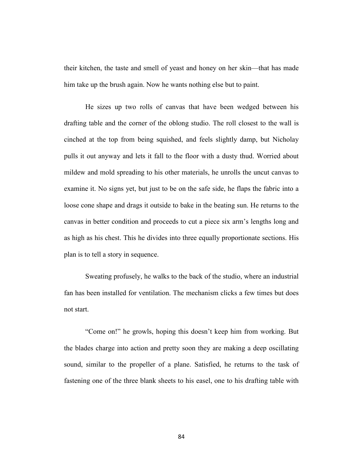their kitchen, the taste and smell of yeast and honey on her skin—that has made him take up the brush again. Now he wants nothing else but to paint.

He sizes up two rolls of canvas that have been wedged between his drafting table and the corner of the oblong studio. The roll closest to the wall is cinched at the top from being squished, and feels slightly damp, but Nicholay pulls it out anyway and lets it fall to the floor with a dusty thud. Worried about mildew and mold spreading to his other materials, he unrolls the uncut canvas to examine it. No signs yet, but just to be on the safe side, he flaps the fabric into a loose cone shape and drags it outside to bake in the beating sun. He returns to the canvas in better condition and proceeds to cut a piece six arm's lengths long and as high as his chest. This he divides into three equally proportionate sections. His plan is to tell a story in sequence.

Sweating profusely, he walks to the back of the studio, where an industrial fan has been installed for ventilation. The mechanism clicks a few times but does not start.

"Come on!" he growls, hoping this doesn't keep him from working. But the blades charge into action and pretty soon they are making a deep oscillating sound, similar to the propeller of a plane. Satisfied, he returns to the task of fastening one of the three blank sheets to his easel, one to his drafting table with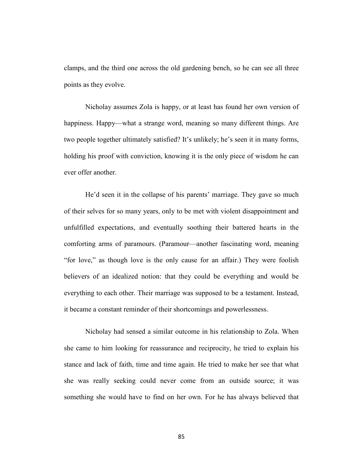clamps, and the third one across the old gardening bench, so he can see all three points as they evolve.

Nicholay assumes Zola is happy, or at least has found her own version of happiness. Happy—what a strange word, meaning so many different things. Are two people together ultimately satisfied? It's unlikely; he's seen it in many forms, holding his proof with conviction, knowing it is the only piece of wisdom he can ever offer another.

He'd seen it in the collapse of his parents' marriage. They gave so much of their selves for so many years, only to be met with violent disappointment and unfulfilled expectations, and eventually soothing their battered hearts in the comforting arms of paramours. (Paramour—another fascinating word, meaning "for love," as though love is the only cause for an affair.) They were foolish believers of an idealized notion: that they could be everything and would be everything to each other. Their marriage was supposed to be a testament. Instead, it became a constant reminder of their shortcomings and powerlessness.

Nicholay had sensed a similar outcome in his relationship to Zola. When she came to him looking for reassurance and reciprocity, he tried to explain his stance and lack of faith, time and time again. He tried to make her see that what she was really seeking could never come from an outside source; it was something she would have to find on her own. For he has always believed that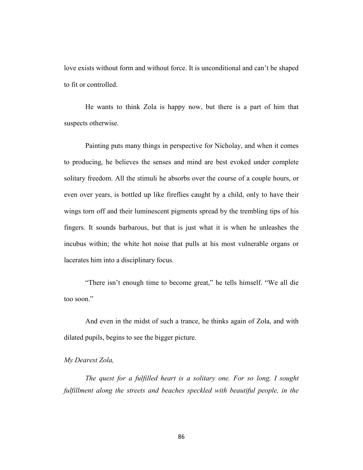love exists without form and without force. It is unconditional and can't be shaped to fit or controlled.

He wants to think Zola is happy now, but there is a part of him that suspects otherwise.

Painting puts many things in perspective for Nicholay, and when it comes to producing, he believes the senses and mind are best evoked under complete solitary freedom. All the stimuli he absorbs over the course of a couple hours, or even over years, is bottled up like fireflies caught by a child, only to have their wings torn off and their luminescent pigments spread by the trembling tips of his fingers. It sounds barbarous, but that is just what it is when he unleashes the incubus within; the white hot noise that pulls at his most vulnerable organs or lacerates him into a disciplinary focus.

"There isn't enough time to become great," he tells himself. "We all die too soon."

And even in the midst of such a trance, he thinks again of Zola, and with dilated pupils, begins to see the bigger picture.

### *My Dearest Zola,*

*The quest for a fulfilled heart is a solitary one. For so long, I sought fulfillment along the streets and beaches speckled with beautiful people, in the*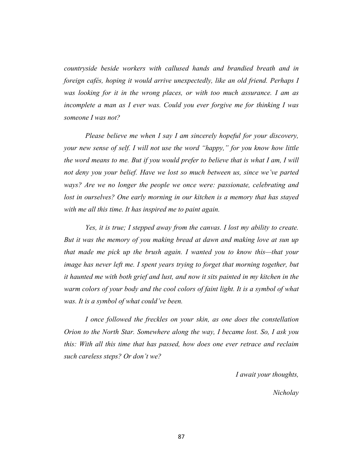*countryside beside workers with callused hands and brandied breath and in foreign cafés, hoping it would arrive unexpectedly, like an old friend. Perhaps I was looking for it in the wrong places, or with too much assurance. I am as incomplete a man as I ever was. Could you ever forgive me for thinking I was someone I was not?* 

*Please believe me when I say I am sincerely hopeful for your discovery, your new sense of self. I will not use the word "happy," for you know how little the word means to me. But if you would prefer to believe that is what I am, I will not deny you your belief. Have we lost so much between us, since we've parted ways? Are we no longer the people we once were: passionate, celebrating and lost in ourselves? One early morning in our kitchen is a memory that has stayed with me all this time. It has inspired me to paint again.* 

*Yes, it is true; I stepped away from the canvas. I lost my ability to create. But it was the memory of you making bread at dawn and making love at sun up that made me pick up the brush again. I wanted you to know this—that your image has never left me. I spent years trying to forget that morning together, but it haunted me with both grief and lust, and now it sits painted in my kitchen in the warm colors of your body and the cool colors of faint light. It is a symbol of what was. It is a symbol of what could've been.* 

*I once followed the freckles on your skin, as one does the constellation Orion to the North Star. Somewhere along the way, I became lost. So, I ask you this: With all this time that has passed, how does one ever retrace and reclaim such careless steps? Or don't we?*

*I await your thoughts,* 

*Nicholay*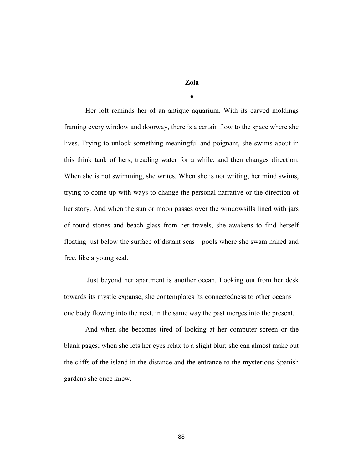**Zola**

♦

Her loft reminds her of an antique aquarium. With its carved moldings framing every window and doorway, there is a certain flow to the space where she lives. Trying to unlock something meaningful and poignant, she swims about in this think tank of hers, treading water for a while, and then changes direction. When she is not swimming, she writes. When she is not writing, her mind swims, trying to come up with ways to change the personal narrative or the direction of her story. And when the sun or moon passes over the windowsills lined with jars of round stones and beach glass from her travels, she awakens to find herself floating just below the surface of distant seas—pools where she swam naked and free, like a young seal.

Just beyond her apartment is another ocean. Looking out from her desk towards its mystic expanse, she contemplates its connectedness to other oceans one body flowing into the next, in the same way the past merges into the present.

And when she becomes tired of looking at her computer screen or the blank pages; when she lets her eyes relax to a slight blur; she can almost make out the cliffs of the island in the distance and the entrance to the mysterious Spanish gardens she once knew.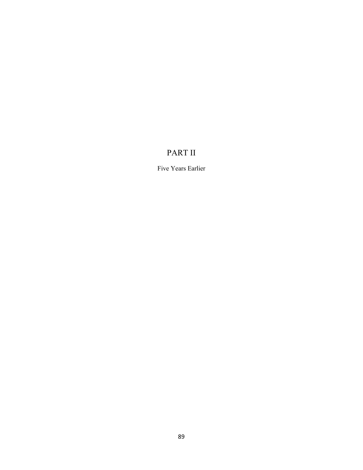# PART II

Five Years Earlier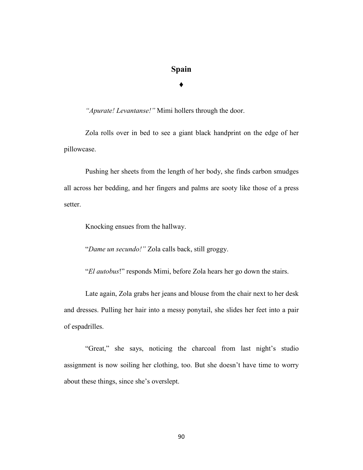## **Spain**

### **♦**

*"Apurate! Levantanse!"* Mimi hollers through the door.

Zola rolls over in bed to see a giant black handprint on the edge of her pillowcase.

Pushing her sheets from the length of her body, she finds carbon smudges all across her bedding, and her fingers and palms are sooty like those of a press setter.

Knocking ensues from the hallway.

"*Dame un secundo!"* Zola calls back, still groggy.

"*El autobus*!" responds Mimi, before Zola hears her go down the stairs.

Late again, Zola grabs her jeans and blouse from the chair next to her desk and dresses. Pulling her hair into a messy ponytail, she slides her feet into a pair of espadrilles.

"Great," she says, noticing the charcoal from last night's studio assignment is now soiling her clothing, too. But she doesn't have time to worry about these things, since she's overslept.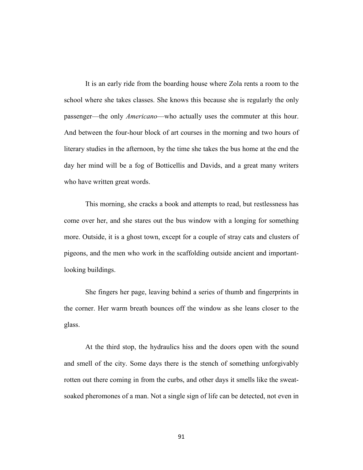It is an early ride from the boarding house where Zola rents a room to the school where she takes classes. She knows this because she is regularly the only passenger—the only *Americano*—who actually uses the commuter at this hour. And between the four-hour block of art courses in the morning and two hours of literary studies in the afternoon, by the time she takes the bus home at the end the day her mind will be a fog of Botticellis and Davids, and a great many writers who have written great words.

This morning, she cracks a book and attempts to read, but restlessness has come over her, and she stares out the bus window with a longing for something more. Outside, it is a ghost town, except for a couple of stray cats and clusters of pigeons, and the men who work in the scaffolding outside ancient and importantlooking buildings.

She fingers her page, leaving behind a series of thumb and fingerprints in the corner. Her warm breath bounces off the window as she leans closer to the glass.

At the third stop, the hydraulics hiss and the doors open with the sound and smell of the city. Some days there is the stench of something unforgivably rotten out there coming in from the curbs, and other days it smells like the sweatsoaked pheromones of a man. Not a single sign of life can be detected, not even in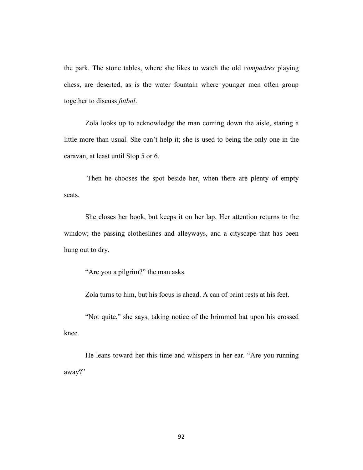the park. The stone tables, where she likes to watch the old *compadres* playing chess, are deserted, as is the water fountain where younger men often group together to discuss *futbol*.

Zola looks up to acknowledge the man coming down the aisle, staring a little more than usual. She can't help it; she is used to being the only one in the caravan, at least until Stop 5 or 6.

Then he chooses the spot beside her, when there are plenty of empty seats.

She closes her book, but keeps it on her lap. Her attention returns to the window; the passing clotheslines and alleyways, and a cityscape that has been hung out to dry.

"Are you a pilgrim?" the man asks.

Zola turns to him, but his focus is ahead. A can of paint rests at his feet.

"Not quite," she says, taking notice of the brimmed hat upon his crossed knee.

He leans toward her this time and whispers in her ear. "Are you running away?"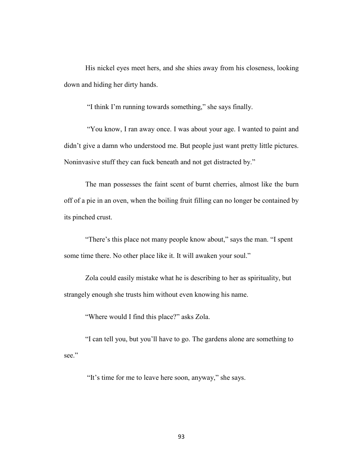His nickel eyes meet hers, and she shies away from his closeness, looking down and hiding her dirty hands.

"I think I'm running towards something," she says finally.

"You know, I ran away once. I was about your age. I wanted to paint and didn't give a damn who understood me. But people just want pretty little pictures. Noninvasive stuff they can fuck beneath and not get distracted by."

The man possesses the faint scent of burnt cherries, almost like the burn off of a pie in an oven, when the boiling fruit filling can no longer be contained by its pinched crust.

"There's this place not many people know about," says the man. "I spent some time there. No other place like it. It will awaken your soul."

Zola could easily mistake what he is describing to her as spirituality, but strangely enough she trusts him without even knowing his name.

"Where would I find this place?" asks Zola.

"I can tell you, but you'll have to go. The gardens alone are something to see."

"It's time for me to leave here soon, anyway," she says.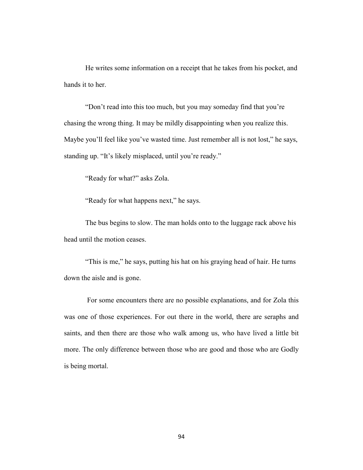He writes some information on a receipt that he takes from his pocket, and hands it to her.

"Don't read into this too much, but you may someday find that you're chasing the wrong thing. It may be mildly disappointing when you realize this. Maybe you'll feel like you've wasted time. Just remember all is not lost," he says, standing up. "It's likely misplaced, until you're ready."

"Ready for what?" asks Zola.

"Ready for what happens next," he says.

The bus begins to slow. The man holds onto to the luggage rack above his head until the motion ceases.

"This is me," he says, putting his hat on his graying head of hair. He turns down the aisle and is gone.

For some encounters there are no possible explanations, and for Zola this was one of those experiences. For out there in the world, there are seraphs and saints, and then there are those who walk among us, who have lived a little bit more. The only difference between those who are good and those who are Godly is being mortal.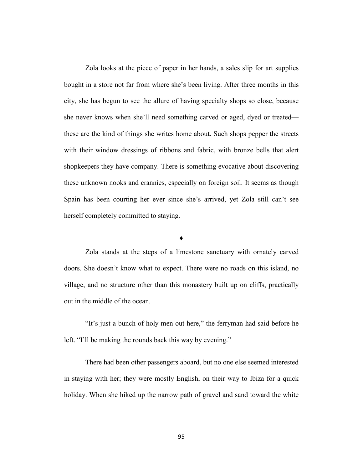Zola looks at the piece of paper in her hands, a sales slip for art supplies bought in a store not far from where she's been living. After three months in this city, she has begun to see the allure of having specialty shops so close, because she never knows when she'll need something carved or aged, dyed or treated these are the kind of things she writes home about. Such shops pepper the streets with their window dressings of ribbons and fabric, with bronze bells that alert shopkeepers they have company. There is something evocative about discovering these unknown nooks and crannies, especially on foreign soil. It seems as though Spain has been courting her ever since she's arrived, yet Zola still can't see herself completely committed to staying.

#### **♦**

Zola stands at the steps of a limestone sanctuary with ornately carved doors. She doesn't know what to expect. There were no roads on this island, no village, and no structure other than this monastery built up on cliffs, practically out in the middle of the ocean.

"It's just a bunch of holy men out here," the ferryman had said before he left. "I'll be making the rounds back this way by evening."

There had been other passengers aboard, but no one else seemed interested in staying with her; they were mostly English, on their way to Ibiza for a quick holiday. When she hiked up the narrow path of gravel and sand toward the white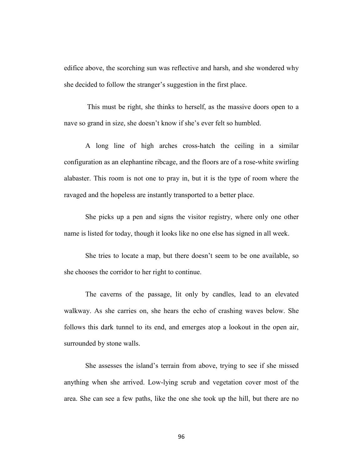edifice above, the scorching sun was reflective and harsh, and she wondered why she decided to follow the stranger's suggestion in the first place.

This must be right, she thinks to herself, as the massive doors open to a nave so grand in size, she doesn't know if she's ever felt so humbled.

A long line of high arches cross-hatch the ceiling in a similar configuration as an elephantine ribcage, and the floors are of a rose-white swirling alabaster. This room is not one to pray in, but it is the type of room where the ravaged and the hopeless are instantly transported to a better place.

She picks up a pen and signs the visitor registry, where only one other name is listed for today, though it looks like no one else has signed in all week.

She tries to locate a map, but there doesn't seem to be one available, so she chooses the corridor to her right to continue.

The caverns of the passage, lit only by candles, lead to an elevated walkway. As she carries on, she hears the echo of crashing waves below. She follows this dark tunnel to its end, and emerges atop a lookout in the open air, surrounded by stone walls.

She assesses the island's terrain from above, trying to see if she missed anything when she arrived. Low-lying scrub and vegetation cover most of the area. She can see a few paths, like the one she took up the hill, but there are no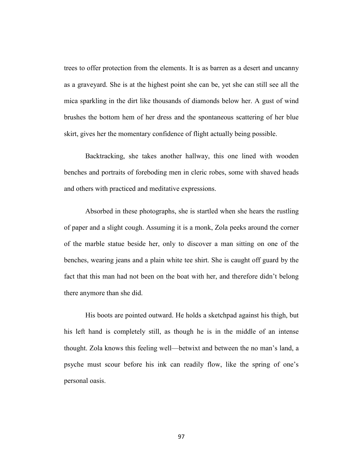trees to offer protection from the elements. It is as barren as a desert and uncanny as a graveyard. She is at the highest point she can be, yet she can still see all the mica sparkling in the dirt like thousands of diamonds below her. A gust of wind brushes the bottom hem of her dress and the spontaneous scattering of her blue skirt, gives her the momentary confidence of flight actually being possible.

Backtracking, she takes another hallway, this one lined with wooden benches and portraits of foreboding men in cleric robes, some with shaved heads and others with practiced and meditative expressions.

Absorbed in these photographs, she is startled when she hears the rustling of paper and a slight cough. Assuming it is a monk, Zola peeks around the corner of the marble statue beside her, only to discover a man sitting on one of the benches, wearing jeans and a plain white tee shirt. She is caught off guard by the fact that this man had not been on the boat with her, and therefore didn't belong there anymore than she did.

His boots are pointed outward. He holds a sketchpad against his thigh, but his left hand is completely still, as though he is in the middle of an intense thought. Zola knows this feeling well—betwixt and between the no man's land, a psyche must scour before his ink can readily flow, like the spring of one's personal oasis.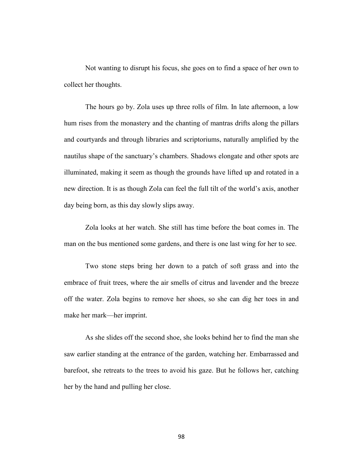Not wanting to disrupt his focus, she goes on to find a space of her own to collect her thoughts.

The hours go by. Zola uses up three rolls of film. In late afternoon, a low hum rises from the monastery and the chanting of mantras drifts along the pillars and courtyards and through libraries and scriptoriums, naturally amplified by the nautilus shape of the sanctuary's chambers. Shadows elongate and other spots are illuminated, making it seem as though the grounds have lifted up and rotated in a new direction. It is as though Zola can feel the full tilt of the world's axis, another day being born, as this day slowly slips away.

Zola looks at her watch. She still has time before the boat comes in. The man on the bus mentioned some gardens, and there is one last wing for her to see.

Two stone steps bring her down to a patch of soft grass and into the embrace of fruit trees, where the air smells of citrus and lavender and the breeze off the water. Zola begins to remove her shoes, so she can dig her toes in and make her mark—her imprint.

As she slides off the second shoe, she looks behind her to find the man she saw earlier standing at the entrance of the garden, watching her. Embarrassed and barefoot, she retreats to the trees to avoid his gaze. But he follows her, catching her by the hand and pulling her close.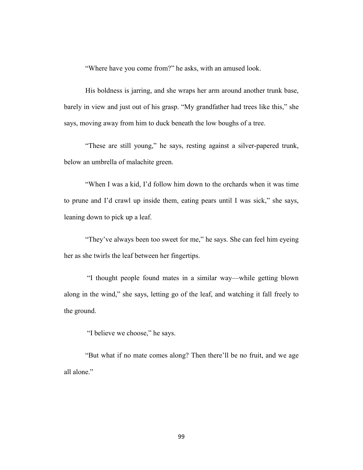"Where have you come from?" he asks, with an amused look.

His boldness is jarring, and she wraps her arm around another trunk base, barely in view and just out of his grasp. "My grandfather had trees like this," she says, moving away from him to duck beneath the low boughs of a tree.

"These are still young," he says, resting against a silver-papered trunk, below an umbrella of malachite green.

"When I was a kid, I'd follow him down to the orchards when it was time to prune and I'd crawl up inside them, eating pears until I was sick," she says, leaning down to pick up a leaf.

"They've always been too sweet for me," he says. She can feel him eyeing her as she twirls the leaf between her fingertips.

"I thought people found mates in a similar way—while getting blown along in the wind," she says, letting go of the leaf, and watching it fall freely to the ground.

"I believe we choose," he says.

"But what if no mate comes along? Then there'll be no fruit, and we age all alone."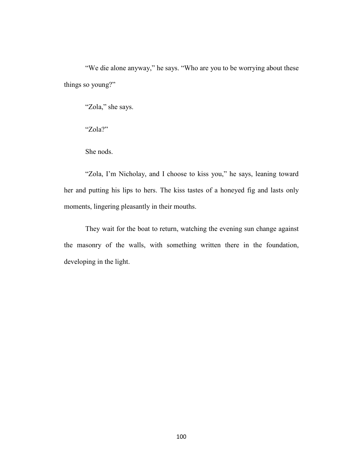"We die alone anyway," he says. "Who are you to be worrying about these things so young?"

"Zola," she says.

"Zola?"

She nods.

"Zola, I'm Nicholay, and I choose to kiss you," he says, leaning toward her and putting his lips to hers. The kiss tastes of a honeyed fig and lasts only moments, lingering pleasantly in their mouths.

They wait for the boat to return, watching the evening sun change against the masonry of the walls, with something written there in the foundation, developing in the light.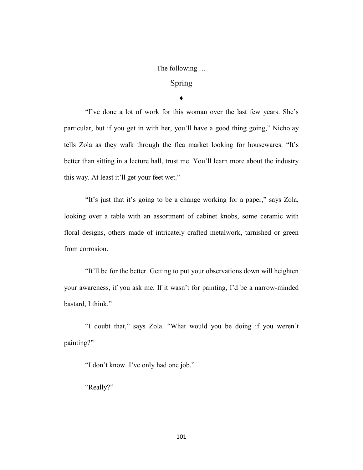The following …

# Spring

**♦**

"I've done a lot of work for this woman over the last few years. She's particular, but if you get in with her, you'll have a good thing going," Nicholay tells Zola as they walk through the flea market looking for housewares. "It's better than sitting in a lecture hall, trust me. You'll learn more about the industry this way. At least it'll get your feet wet."

"It's just that it's going to be a change working for a paper," says Zola, looking over a table with an assortment of cabinet knobs, some ceramic with floral designs, others made of intricately crafted metalwork, tarnished or green from corrosion.

"It'll be for the better. Getting to put your observations down will heighten your awareness, if you ask me. If it wasn't for painting, I'd be a narrow-minded bastard, I think."

"I doubt that," says Zola. "What would you be doing if you weren't painting?"

"I don't know. I've only had one job."

"Really?"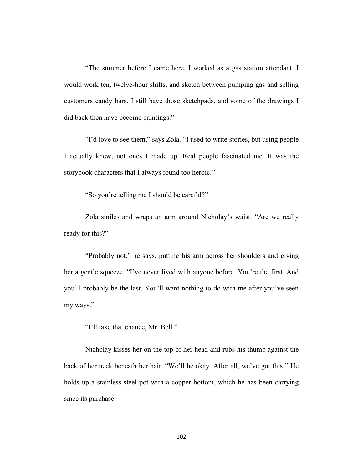"The summer before I came here, I worked as a gas station attendant. I would work ten, twelve-hour shifts, and sketch between pumping gas and selling customers candy bars. I still have those sketchpads, and some of the drawings I did back then have become paintings."

"I'd love to see them," says Zola. "I used to write stories, but using people I actually knew, not ones I made up. Real people fascinated me. It was the storybook characters that I always found too heroic."

"So you're telling me I should be careful?"

Zola smiles and wraps an arm around Nicholay's waist. "Are we really ready for this?"

"Probably not," he says, putting his arm across her shoulders and giving her a gentle squeeze. "I've never lived with anyone before. You're the first. And you'll probably be the last. You'll want nothing to do with me after you've seen my ways."

"I'll take that chance, Mr. Bell."

Nicholay kisses her on the top of her head and rubs his thumb against the back of her neck beneath her hair. "We'll be okay. After all, we've got this!" He holds up a stainless steel pot with a copper bottom, which he has been carrying since its purchase.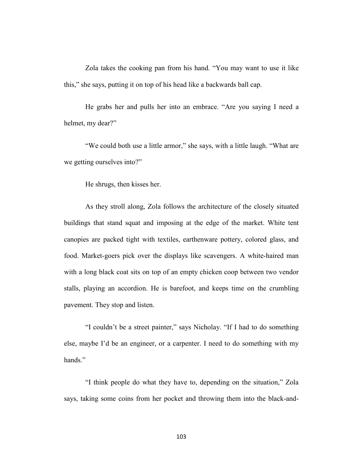Zola takes the cooking pan from his hand. "You may want to use it like this," she says, putting it on top of his head like a backwards ball cap.

He grabs her and pulls her into an embrace. "Are you saying I need a helmet, my dear?"

"We could both use a little armor," she says, with a little laugh. "What are we getting ourselves into?"

He shrugs, then kisses her.

As they stroll along, Zola follows the architecture of the closely situated buildings that stand squat and imposing at the edge of the market. White tent canopies are packed tight with textiles, earthenware pottery, colored glass, and food. Market-goers pick over the displays like scavengers. A white-haired man with a long black coat sits on top of an empty chicken coop between two vendor stalls, playing an accordion. He is barefoot, and keeps time on the crumbling pavement. They stop and listen.

"I couldn't be a street painter," says Nicholay. "If I had to do something else, maybe I'd be an engineer, or a carpenter. I need to do something with my hands."

"I think people do what they have to, depending on the situation," Zola says, taking some coins from her pocket and throwing them into the black-and-

103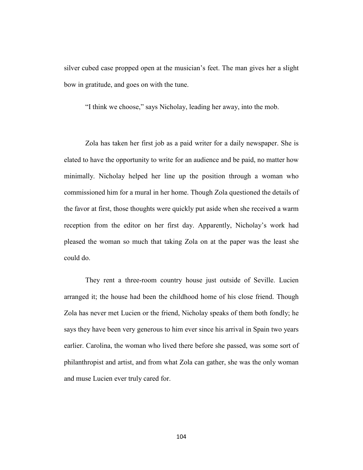silver cubed case propped open at the musician's feet. The man gives her a slight bow in gratitude, and goes on with the tune.

"I think we choose," says Nicholay, leading her away, into the mob.

Zola has taken her first job as a paid writer for a daily newspaper. She is elated to have the opportunity to write for an audience and be paid, no matter how minimally. Nicholay helped her line up the position through a woman who commissioned him for a mural in her home. Though Zola questioned the details of the favor at first, those thoughts were quickly put aside when she received a warm reception from the editor on her first day. Apparently, Nicholay's work had pleased the woman so much that taking Zola on at the paper was the least she could do.

They rent a three-room country house just outside of Seville. Lucien arranged it; the house had been the childhood home of his close friend. Though Zola has never met Lucien or the friend, Nicholay speaks of them both fondly; he says they have been very generous to him ever since his arrival in Spain two years earlier. Carolina, the woman who lived there before she passed, was some sort of philanthropist and artist, and from what Zola can gather, she was the only woman and muse Lucien ever truly cared for.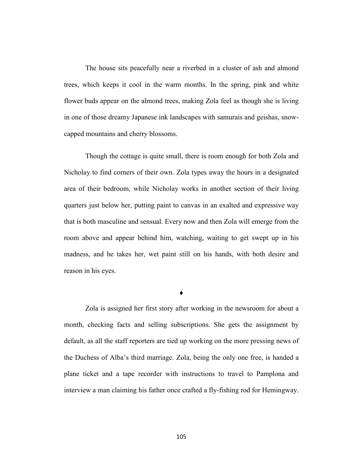The house sits peacefully near a riverbed in a cluster of ash and almond trees, which keeps it cool in the warm months. In the spring, pink and white flower buds appear on the almond trees, making Zola feel as though she is living in one of those dreamy Japanese ink landscapes with samurais and geishas, snowcapped mountains and cherry blossoms.

Though the cottage is quite small, there is room enough for both Zola and Nicholay to find corners of their own. Zola types away the hours in a designated area of their bedroom, while Nicholay works in another section of their living quarters just below her, putting paint to canvas in an exalted and expressive way that is both masculine and sensual. Every now and then Zola will emerge from the room above and appear behind him, watching, waiting to get swept up in his madness, and he takes her, wet paint still on his hands, with both desire and reason in his eyes.

**♦**

Zola is assigned her first story after working in the newsroom for about a month, checking facts and selling subscriptions. She gets the assignment by default, as all the staff reporters are tied up working on the more pressing news of the Duchess of Alba's third marriage. Zola, being the only one free, is handed a plane ticket and a tape recorder with instructions to travel to Pamplona and interview a man claiming his father once crafted a fly-fishing rod for Hemingway.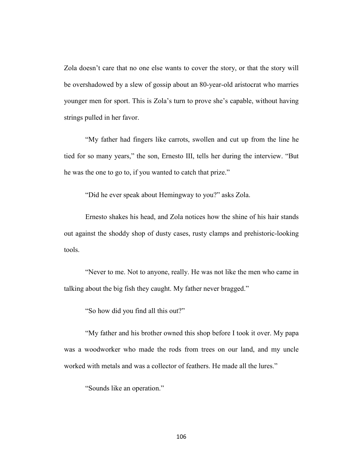Zola doesn't care that no one else wants to cover the story, or that the story will be overshadowed by a slew of gossip about an 80-year-old aristocrat who marries younger men for sport. This is Zola's turn to prove she's capable, without having strings pulled in her favor.

"My father had fingers like carrots, swollen and cut up from the line he tied for so many years," the son, Ernesto III, tells her during the interview. "But he was the one to go to, if you wanted to catch that prize."

"Did he ever speak about Hemingway to you?" asks Zola.

Ernesto shakes his head, and Zola notices how the shine of his hair stands out against the shoddy shop of dusty cases, rusty clamps and prehistoric-looking tools.

"Never to me. Not to anyone, really. He was not like the men who came in talking about the big fish they caught. My father never bragged."

"So how did you find all this out?"

"My father and his brother owned this shop before I took it over. My papa was a woodworker who made the rods from trees on our land, and my uncle worked with metals and was a collector of feathers. He made all the lures."

"Sounds like an operation."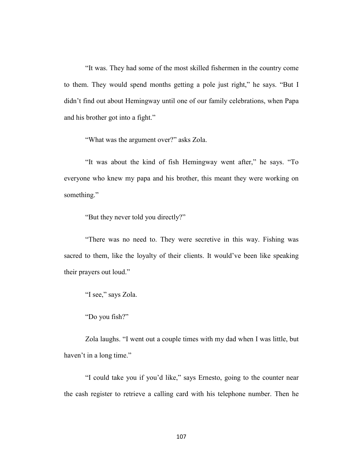"It was. They had some of the most skilled fishermen in the country come to them. They would spend months getting a pole just right," he says. "But I didn't find out about Hemingway until one of our family celebrations, when Papa and his brother got into a fight."

"What was the argument over?" asks Zola.

"It was about the kind of fish Hemingway went after," he says. "To everyone who knew my papa and his brother, this meant they were working on something."

"But they never told you directly?"

"There was no need to. They were secretive in this way. Fishing was sacred to them, like the loyalty of their clients. It would've been like speaking their prayers out loud."

"I see," says Zola.

"Do you fish?"

Zola laughs. "I went out a couple times with my dad when I was little, but haven't in a long time."

"I could take you if you'd like," says Ernesto, going to the counter near the cash register to retrieve a calling card with his telephone number. Then he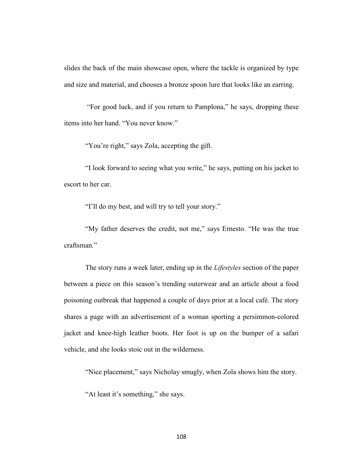slides the back of the main showcase open, where the tackle is organized by type and size and material, and chooses a bronze spoon lure that looks like an earring.

"For good luck, and if you return to Pamplona," he says, dropping these items into her hand. "You never know."

"You're right," says Zola, accepting the gift.

"I look forward to seeing what you write," he says, putting on his jacket to escort to her car.

"I'll do my best, and will try to tell your story."

"My father deserves the credit, not me," says Ernesto. "He was the true craftsman."

The story runs a week later, ending up in the *Lifestyles* section of the paper between a piece on this season's trending outerwear and an article about a food poisoning outbreak that happened a couple of days prior at a local café. The story shares a page with an advertisement of a woman sporting a persimmon-colored jacket and knee-high leather boots. Her foot is up on the bumper of a safari vehicle, and she looks stoic out in the wilderness.

"Nice placement," says Nicholay smugly, when Zola shows him the story.

"At least it's something," she says.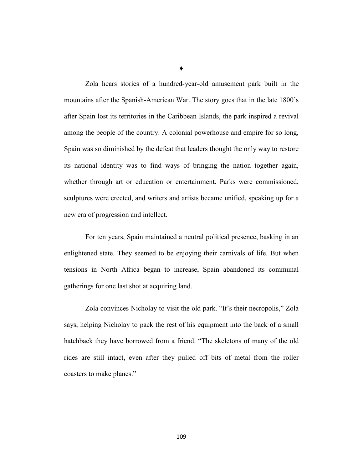Zola hears stories of a hundred-year-old amusement park built in the mountains after the Spanish-American War. The story goes that in the late 1800's after Spain lost its territories in the Caribbean Islands, the park inspired a revival among the people of the country. A colonial powerhouse and empire for so long, Spain was so diminished by the defeat that leaders thought the only way to restore its national identity was to find ways of bringing the nation together again, whether through art or education or entertainment. Parks were commissioned, sculptures were erected, and writers and artists became unified, speaking up for a new era of progression and intellect.

For ten years, Spain maintained a neutral political presence, basking in an enlightened state. They seemed to be enjoying their carnivals of life. But when tensions in North Africa began to increase, Spain abandoned its communal gatherings for one last shot at acquiring land.

Zola convinces Nicholay to visit the old park. "It's their necropolis," Zola says, helping Nicholay to pack the rest of his equipment into the back of a small hatchback they have borrowed from a friend. "The skeletons of many of the old rides are still intact, even after they pulled off bits of metal from the roller coasters to make planes."

**♦**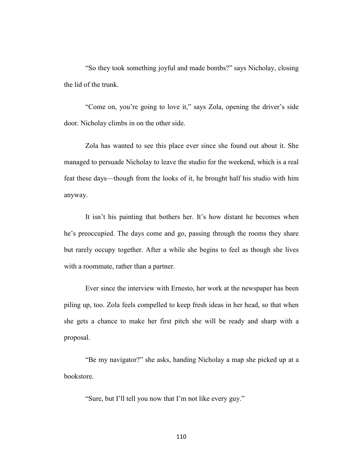"So they took something joyful and made bombs?" says Nicholay, closing the lid of the trunk.

"Come on, you're going to love it," says Zola, opening the driver's side door. Nicholay climbs in on the other side.

Zola has wanted to see this place ever since she found out about it. She managed to persuade Nicholay to leave the studio for the weekend, which is a real feat these days—though from the looks of it, he brought half his studio with him anyway.

It isn't his painting that bothers her. It's how distant he becomes when he's preoccupied. The days come and go, passing through the rooms they share but rarely occupy together. After a while she begins to feel as though she lives with a roommate, rather than a partner.

Ever since the interview with Ernesto, her work at the newspaper has been piling up, too. Zola feels compelled to keep fresh ideas in her head, so that when she gets a chance to make her first pitch she will be ready and sharp with a proposal.

"Be my navigator?" she asks, handing Nicholay a map she picked up at a bookstore.

"Sure, but I'll tell you now that I'm not like every guy."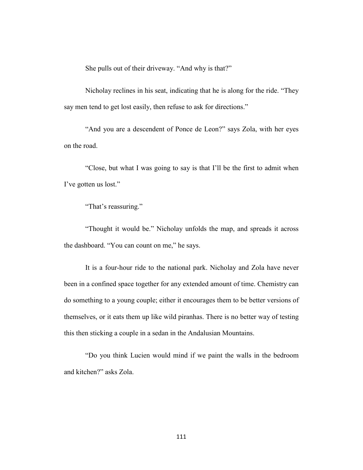She pulls out of their driveway. "And why is that?"

Nicholay reclines in his seat, indicating that he is along for the ride. "They say men tend to get lost easily, then refuse to ask for directions."

"And you are a descendent of Ponce de Leon?" says Zola, with her eyes on the road.

"Close, but what I was going to say is that I'll be the first to admit when I've gotten us lost."

"That's reassuring."

"Thought it would be." Nicholay unfolds the map, and spreads it across the dashboard. "You can count on me," he says.

It is a four-hour ride to the national park. Nicholay and Zola have never been in a confined space together for any extended amount of time. Chemistry can do something to a young couple; either it encourages them to be better versions of themselves, or it eats them up like wild piranhas. There is no better way of testing this then sticking a couple in a sedan in the Andalusian Mountains.

"Do you think Lucien would mind if we paint the walls in the bedroom and kitchen?" asks Zola.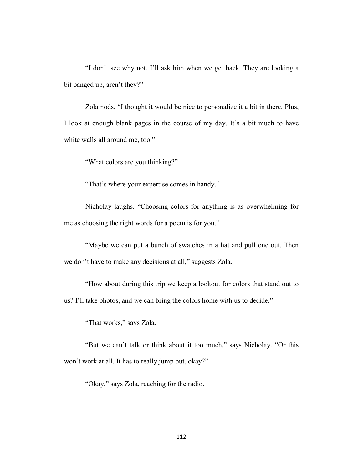"I don't see why not. I'll ask him when we get back. They are looking a bit banged up, aren't they?"

Zola nods. "I thought it would be nice to personalize it a bit in there. Plus, I look at enough blank pages in the course of my day. It's a bit much to have white walls all around me, too."

"What colors are you thinking?"

"That's where your expertise comes in handy."

Nicholay laughs. "Choosing colors for anything is as overwhelming for me as choosing the right words for a poem is for you."

"Maybe we can put a bunch of swatches in a hat and pull one out. Then we don't have to make any decisions at all," suggests Zola.

"How about during this trip we keep a lookout for colors that stand out to us? I'll take photos, and we can bring the colors home with us to decide."

"That works," says Zola.

"But we can't talk or think about it too much," says Nicholay. "Or this won't work at all. It has to really jump out, okay?"

"Okay," says Zola, reaching for the radio.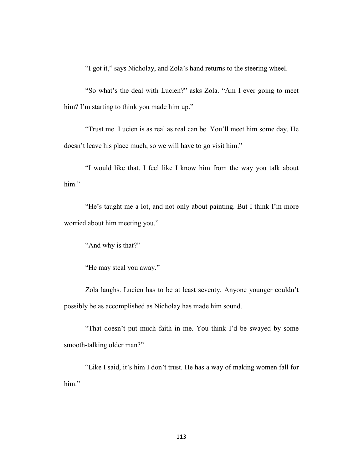"I got it," says Nicholay, and Zola's hand returns to the steering wheel.

"So what's the deal with Lucien?" asks Zola. "Am I ever going to meet him? I'm starting to think you made him up."

"Trust me. Lucien is as real as real can be. You'll meet him some day. He doesn't leave his place much, so we will have to go visit him."

"I would like that. I feel like I know him from the way you talk about him."

"He's taught me a lot, and not only about painting. But I think I'm more worried about him meeting you."

"And why is that?"

"He may steal you away."

Zola laughs. Lucien has to be at least seventy. Anyone younger couldn't possibly be as accomplished as Nicholay has made him sound.

"That doesn't put much faith in me. You think I'd be swayed by some smooth-talking older man?"

"Like I said, it's him I don't trust. He has a way of making women fall for him."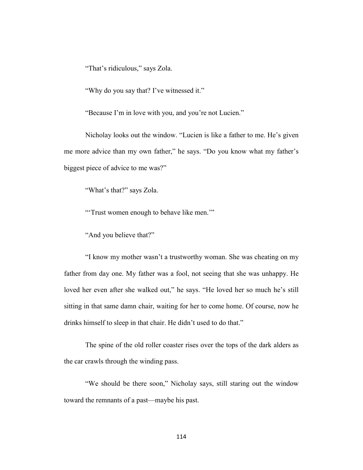"That's ridiculous," says Zola.

"Why do you say that? I've witnessed it."

"Because I'm in love with you, and you're not Lucien."

Nicholay looks out the window. "Lucien is like a father to me. He's given me more advice than my own father," he says. "Do you know what my father's biggest piece of advice to me was?"

"What's that?" says Zola.

"'Trust women enough to behave like men.'"

"And you believe that?"

"I know my mother wasn't a trustworthy woman. She was cheating on my father from day one. My father was a fool, not seeing that she was unhappy. He loved her even after she walked out," he says. "He loved her so much he's still sitting in that same damn chair, waiting for her to come home. Of course, now he drinks himself to sleep in that chair. He didn't used to do that."

The spine of the old roller coaster rises over the tops of the dark alders as the car crawls through the winding pass.

"We should be there soon," Nicholay says, still staring out the window toward the remnants of a past—maybe his past.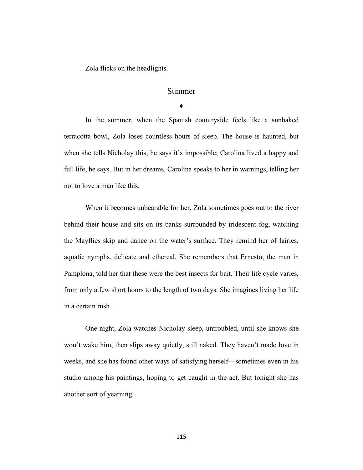Zola flicks on the headlights.

# Summer

♦

In the summer, when the Spanish countryside feels like a sunbaked terracotta bowl, Zola loses countless hours of sleep. The house is haunted, but when she tells Nicholay this, he says it's impossible; Carolina lived a happy and full life, he says. But in her dreams, Carolina speaks to her in warnings, telling her not to love a man like this.

When it becomes unbearable for her, Zola sometimes goes out to the river behind their house and sits on its banks surrounded by iridescent fog, watching the Mayflies skip and dance on the water's surface. They remind her of fairies, aquatic nymphs, delicate and ethereal. She remembers that Ernesto, the man in Pamplona, told her that these were the best insects for bait. Their life cycle varies, from only a few short hours to the length of two days. She imagines living her life in a certain rush.

One night, Zola watches Nicholay sleep, untroubled, until she knows she won't wake him, then slips away quietly, still naked. They haven't made love in weeks, and she has found other ways of satisfying herself—sometimes even in his studio among his paintings, hoping to get caught in the act. But tonight she has another sort of yearning.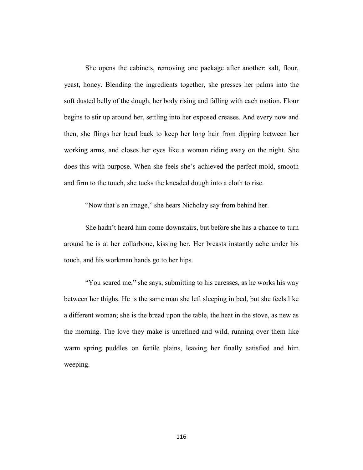She opens the cabinets, removing one package after another: salt, flour, yeast, honey. Blending the ingredients together, she presses her palms into the soft dusted belly of the dough, her body rising and falling with each motion. Flour begins to stir up around her, settling into her exposed creases. And every now and then, she flings her head back to keep her long hair from dipping between her working arms, and closes her eyes like a woman riding away on the night. She does this with purpose. When she feels she's achieved the perfect mold, smooth and firm to the touch, she tucks the kneaded dough into a cloth to rise.

"Now that's an image," she hears Nicholay say from behind her.

She hadn't heard him come downstairs, but before she has a chance to turn around he is at her collarbone, kissing her. Her breasts instantly ache under his touch, and his workman hands go to her hips.

"You scared me," she says, submitting to his caresses, as he works his way between her thighs. He is the same man she left sleeping in bed, but she feels like a different woman; she is the bread upon the table, the heat in the stove, as new as the morning. The love they make is unrefined and wild, running over them like warm spring puddles on fertile plains, leaving her finally satisfied and him weeping.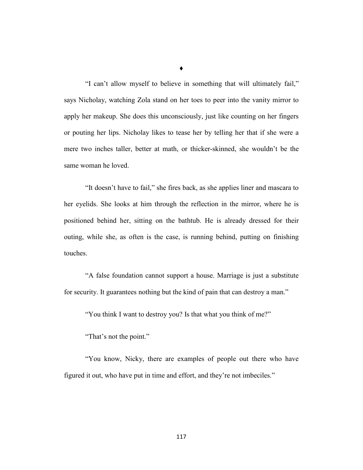"I can't allow myself to believe in something that will ultimately fail," says Nicholay, watching Zola stand on her toes to peer into the vanity mirror to apply her makeup. She does this unconsciously, just like counting on her fingers or pouting her lips. Nicholay likes to tease her by telling her that if she were a mere two inches taller, better at math, or thicker-skinned, she wouldn't be the same woman he loved.

"It doesn't have to fail," she fires back, as she applies liner and mascara to her eyelids. She looks at him through the reflection in the mirror, where he is positioned behind her, sitting on the bathtub. He is already dressed for their outing, while she, as often is the case, is running behind, putting on finishing touches.

"A false foundation cannot support a house. Marriage is just a substitute for security. It guarantees nothing but the kind of pain that can destroy a man."

"You think I want to destroy you? Is that what you think of me?"

"That's not the point."

"You know, Nicky, there are examples of people out there who have figured it out, who have put in time and effort, and they're not imbeciles."

**♦**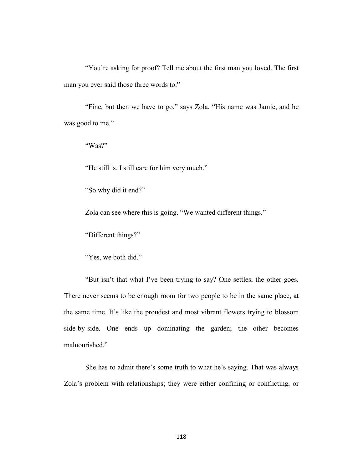"You're asking for proof? Tell me about the first man you loved. The first man you ever said those three words to."

"Fine, but then we have to go," says Zola. "His name was Jamie, and he was good to me."

"Was?"

"He still is. I still care for him very much."

"So why did it end?"

Zola can see where this is going. "We wanted different things."

"Different things?"

"Yes, we both did."

"But isn't that what I've been trying to say? One settles, the other goes. There never seems to be enough room for two people to be in the same place, at the same time. It's like the proudest and most vibrant flowers trying to blossom side-by-side. One ends up dominating the garden; the other becomes malnourished."

She has to admit there's some truth to what he's saying. That was always Zola's problem with relationships; they were either confining or conflicting, or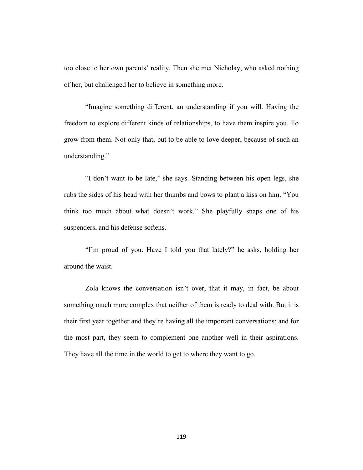too close to her own parents' reality. Then she met Nicholay, who asked nothing of her, but challenged her to believe in something more.

"Imagine something different, an understanding if you will. Having the freedom to explore different kinds of relationships, to have them inspire you. To grow from them. Not only that, but to be able to love deeper, because of such an understanding."

"I don't want to be late," she says. Standing between his open legs, she rubs the sides of his head with her thumbs and bows to plant a kiss on him. "You think too much about what doesn't work." She playfully snaps one of his suspenders, and his defense softens.

"I'm proud of you. Have I told you that lately?" he asks, holding her around the waist.

Zola knows the conversation isn't over, that it may, in fact, be about something much more complex that neither of them is ready to deal with. But it is their first year together and they're having all the important conversations; and for the most part, they seem to complement one another well in their aspirations. They have all the time in the world to get to where they want to go.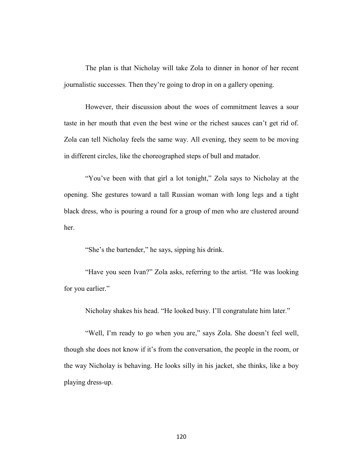The plan is that Nicholay will take Zola to dinner in honor of her recent journalistic successes. Then they're going to drop in on a gallery opening.

However, their discussion about the woes of commitment leaves a sour taste in her mouth that even the best wine or the richest sauces can't get rid of. Zola can tell Nicholay feels the same way. All evening, they seem to be moving in different circles, like the choreographed steps of bull and matador.

"You've been with that girl a lot tonight," Zola says to Nicholay at the opening. She gestures toward a tall Russian woman with long legs and a tight black dress, who is pouring a round for a group of men who are clustered around her.

"She's the bartender," he says, sipping his drink.

"Have you seen Ivan?" Zola asks, referring to the artist. "He was looking for you earlier."

Nicholay shakes his head. "He looked busy. I'll congratulate him later."

"Well, I'm ready to go when you are," says Zola. She doesn't feel well, though she does not know if it's from the conversation, the people in the room, or the way Nicholay is behaving. He looks silly in his jacket, she thinks, like a boy playing dress-up.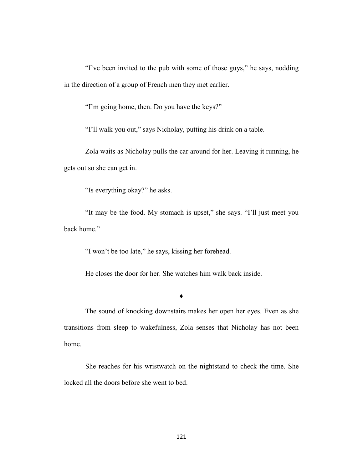"I've been invited to the pub with some of those guys," he says, nodding in the direction of a group of French men they met earlier.

"I'm going home, then. Do you have the keys?"

"I'll walk you out," says Nicholay, putting his drink on a table.

Zola waits as Nicholay pulls the car around for her. Leaving it running, he gets out so she can get in.

"Is everything okay?" he asks.

"It may be the food. My stomach is upset," she says. "I'll just meet you back home."

"I won't be too late," he says, kissing her forehead.

He closes the door for her. She watches him walk back inside.

**♦**

The sound of knocking downstairs makes her open her eyes. Even as she transitions from sleep to wakefulness, Zola senses that Nicholay has not been home.

She reaches for his wristwatch on the nightstand to check the time. She locked all the doors before she went to bed.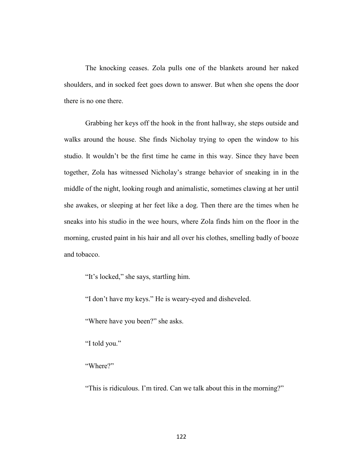The knocking ceases. Zola pulls one of the blankets around her naked shoulders, and in socked feet goes down to answer. But when she opens the door there is no one there.

Grabbing her keys off the hook in the front hallway, she steps outside and walks around the house. She finds Nicholay trying to open the window to his studio. It wouldn't be the first time he came in this way. Since they have been together, Zola has witnessed Nicholay's strange behavior of sneaking in in the middle of the night, looking rough and animalistic, sometimes clawing at her until she awakes, or sleeping at her feet like a dog. Then there are the times when he sneaks into his studio in the wee hours, where Zola finds him on the floor in the morning, crusted paint in his hair and all over his clothes, smelling badly of booze and tobacco.

"It's locked," she says, startling him.

"I don't have my keys." He is weary-eyed and disheveled.

"Where have you been?" she asks.

"I told you."

"Where?"

"This is ridiculous. I'm tired. Can we talk about this in the morning?"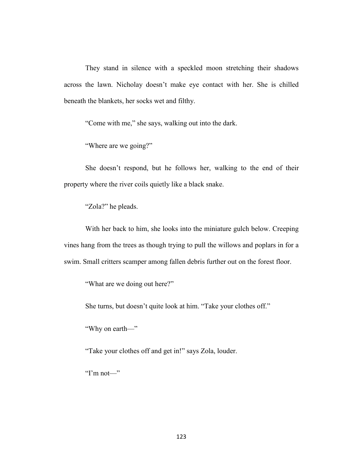They stand in silence with a speckled moon stretching their shadows across the lawn. Nicholay doesn't make eye contact with her. She is chilled beneath the blankets, her socks wet and filthy.

"Come with me," she says, walking out into the dark.

"Where are we going?"

She doesn't respond, but he follows her, walking to the end of their property where the river coils quietly like a black snake.

"Zola?" he pleads.

With her back to him, she looks into the miniature gulch below. Creeping vines hang from the trees as though trying to pull the willows and poplars in for a swim. Small critters scamper among fallen debris further out on the forest floor.

"What are we doing out here?"

She turns, but doesn't quite look at him. "Take your clothes off."

"Why on earth—"

"Take your clothes off and get in!" says Zola, louder.

"I'm not—"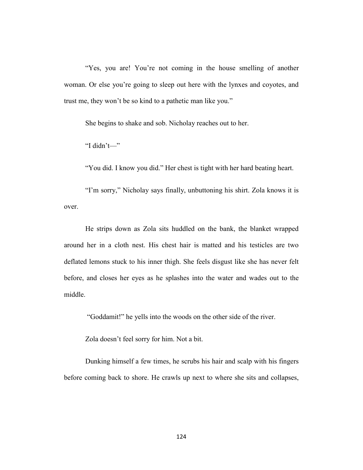"Yes, you are! You're not coming in the house smelling of another woman. Or else you're going to sleep out here with the lynxes and coyotes, and trust me, they won't be so kind to a pathetic man like you."

She begins to shake and sob. Nicholay reaches out to her.

"I didn't—"

"You did. I know you did." Her chest is tight with her hard beating heart.

"I'm sorry," Nicholay says finally, unbuttoning his shirt. Zola knows it is over.

He strips down as Zola sits huddled on the bank, the blanket wrapped around her in a cloth nest. His chest hair is matted and his testicles are two deflated lemons stuck to his inner thigh. She feels disgust like she has never felt before, and closes her eyes as he splashes into the water and wades out to the middle.

"Goddamit!" he yells into the woods on the other side of the river.

Zola doesn't feel sorry for him. Not a bit.

Dunking himself a few times, he scrubs his hair and scalp with his fingers before coming back to shore. He crawls up next to where she sits and collapses,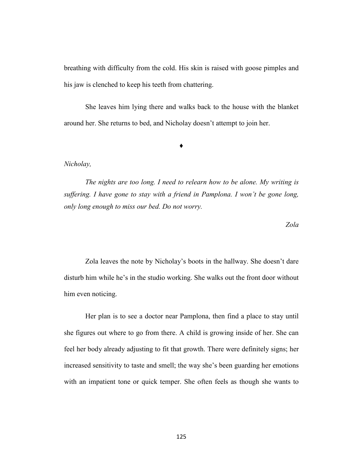breathing with difficulty from the cold. His skin is raised with goose pimples and his jaw is clenched to keep his teeth from chattering.

She leaves him lying there and walks back to the house with the blanket around her. She returns to bed, and Nicholay doesn't attempt to join her.

**♦**

## *Nicholay,*

*The nights are too long. I need to relearn how to be alone. My writing is suffering. I have gone to stay with a friend in Pamplona. I won't be gone long, only long enough to miss our bed. Do not worry.*

*Zola*

Zola leaves the note by Nicholay's boots in the hallway. She doesn't dare disturb him while he's in the studio working. She walks out the front door without him even noticing.

Her plan is to see a doctor near Pamplona, then find a place to stay until she figures out where to go from there. A child is growing inside of her. She can feel her body already adjusting to fit that growth. There were definitely signs; her increased sensitivity to taste and smell; the way she's been guarding her emotions with an impatient tone or quick temper. She often feels as though she wants to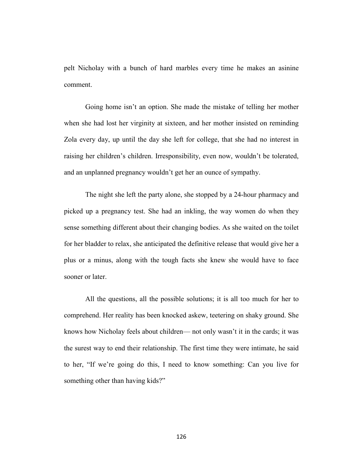pelt Nicholay with a bunch of hard marbles every time he makes an asinine comment.

Going home isn't an option. She made the mistake of telling her mother when she had lost her virginity at sixteen, and her mother insisted on reminding Zola every day, up until the day she left for college, that she had no interest in raising her children's children. Irresponsibility, even now, wouldn't be tolerated, and an unplanned pregnancy wouldn't get her an ounce of sympathy.

The night she left the party alone, she stopped by a 24-hour pharmacy and picked up a pregnancy test. She had an inkling, the way women do when they sense something different about their changing bodies. As she waited on the toilet for her bladder to relax, she anticipated the definitive release that would give her a plus or a minus, along with the tough facts she knew she would have to face sooner or later.

All the questions, all the possible solutions; it is all too much for her to comprehend. Her reality has been knocked askew, teetering on shaky ground. She knows how Nicholay feels about children— not only wasn't it in the cards; it was the surest way to end their relationship. The first time they were intimate, he said to her, "If we're going do this, I need to know something: Can you live for something other than having kids?"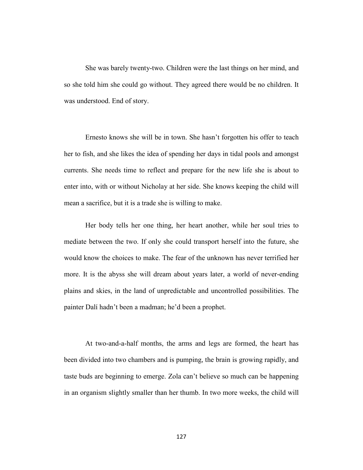She was barely twenty-two. Children were the last things on her mind, and so she told him she could go without. They agreed there would be no children. It was understood. End of story.

Ernesto knows she will be in town. She hasn't forgotten his offer to teach her to fish, and she likes the idea of spending her days in tidal pools and amongst currents. She needs time to reflect and prepare for the new life she is about to enter into, with or without Nicholay at her side. She knows keeping the child will mean a sacrifice, but it is a trade she is willing to make.

Her body tells her one thing, her heart another, while her soul tries to mediate between the two. If only she could transport herself into the future, she would know the choices to make. The fear of the unknown has never terrified her more. It is the abyss she will dream about years later, a world of never-ending plains and skies, in the land of unpredictable and uncontrolled possibilities. The painter Dalí hadn't been a madman; he'd been a prophet.

At two-and-a-half months, the arms and legs are formed, the heart has been divided into two chambers and is pumping, the brain is growing rapidly, and taste buds are beginning to emerge. Zola can't believe so much can be happening in an organism slightly smaller than her thumb. In two more weeks, the child will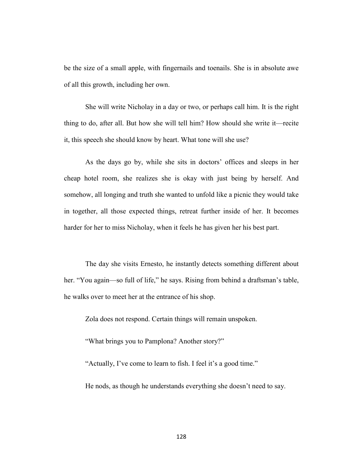be the size of a small apple, with fingernails and toenails. She is in absolute awe of all this growth, including her own.

She will write Nicholay in a day or two, or perhaps call him. It is the right thing to do, after all. But how she will tell him? How should she write it—recite it, this speech she should know by heart. What tone will she use?

As the days go by, while she sits in doctors' offices and sleeps in her cheap hotel room, she realizes she is okay with just being by herself. And somehow, all longing and truth she wanted to unfold like a picnic they would take in together, all those expected things, retreat further inside of her. It becomes harder for her to miss Nicholay, when it feels he has given her his best part.

The day she visits Ernesto, he instantly detects something different about her. "You again—so full of life," he says. Rising from behind a draftsman's table, he walks over to meet her at the entrance of his shop.

Zola does not respond. Certain things will remain unspoken.

"What brings you to Pamplona? Another story?"

"Actually, I've come to learn to fish. I feel it's a good time."

He nods, as though he understands everything she doesn't need to say.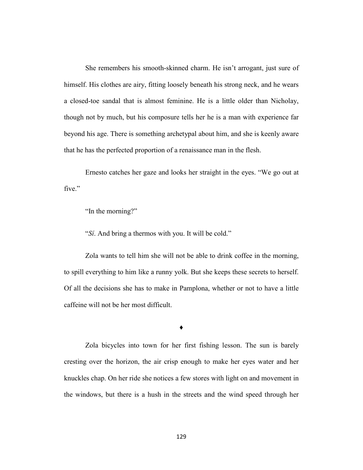She remembers his smooth-skinned charm. He isn't arrogant, just sure of himself. His clothes are airy, fitting loosely beneath his strong neck, and he wears a closed-toe sandal that is almost feminine. He is a little older than Nicholay, though not by much, but his composure tells her he is a man with experience far beyond his age. There is something archetypal about him, and she is keenly aware that he has the perfected proportion of a renaissance man in the flesh.

Ernesto catches her gaze and looks her straight in the eyes. "We go out at five."

"In the morning?"

"*Sí*. And bring a thermos with you. It will be cold."

Zola wants to tell him she will not be able to drink coffee in the morning, to spill everything to him like a runny yolk. But she keeps these secrets to herself. Of all the decisions she has to make in Pamplona, whether or not to have a little caffeine will not be her most difficult.

**♦**

Zola bicycles into town for her first fishing lesson. The sun is barely cresting over the horizon, the air crisp enough to make her eyes water and her knuckles chap. On her ride she notices a few stores with light on and movement in the windows, but there is a hush in the streets and the wind speed through her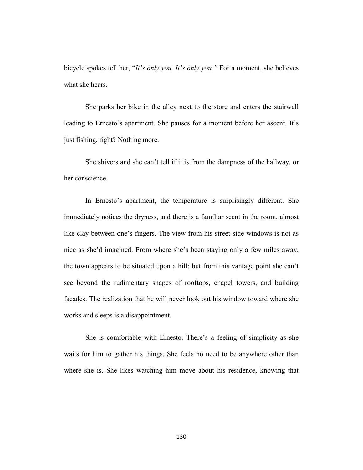bicycle spokes tell her, "*It's only you. It's only you."* For a moment, she believes what she hears.

She parks her bike in the alley next to the store and enters the stairwell leading to Ernesto's apartment. She pauses for a moment before her ascent. It's just fishing, right? Nothing more.

She shivers and she can't tell if it is from the dampness of the hallway, or her conscience.

In Ernesto's apartment, the temperature is surprisingly different. She immediately notices the dryness, and there is a familiar scent in the room, almost like clay between one's fingers. The view from his street-side windows is not as nice as she'd imagined. From where she's been staying only a few miles away, the town appears to be situated upon a hill; but from this vantage point she can't see beyond the rudimentary shapes of rooftops, chapel towers, and building facades. The realization that he will never look out his window toward where she works and sleeps is a disappointment.

 She is comfortable with Ernesto. There's a feeling of simplicity as she waits for him to gather his things. She feels no need to be anywhere other than where she is. She likes watching him move about his residence, knowing that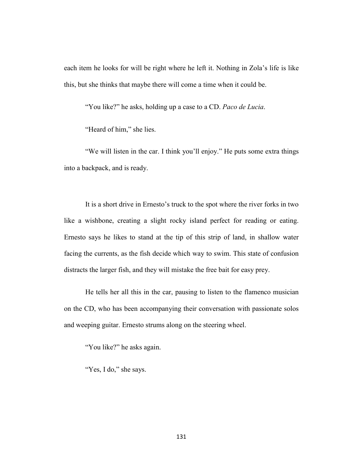each item he looks for will be right where he left it. Nothing in Zola's life is like this, but she thinks that maybe there will come a time when it could be.

"You like?" he asks, holding up a case to a CD. *Paco de Lucia*.

"Heard of him," she lies.

"We will listen in the car. I think you'll enjoy." He puts some extra things into a backpack, and is ready.

It is a short drive in Ernesto's truck to the spot where the river forks in two like a wishbone, creating a slight rocky island perfect for reading or eating. Ernesto says he likes to stand at the tip of this strip of land, in shallow water facing the currents, as the fish decide which way to swim. This state of confusion distracts the larger fish, and they will mistake the free bait for easy prey.

He tells her all this in the car, pausing to listen to the flamenco musician on the CD, who has been accompanying their conversation with passionate solos and weeping guitar. Ernesto strums along on the steering wheel.

"You like?" he asks again.

"Yes, I do," she says.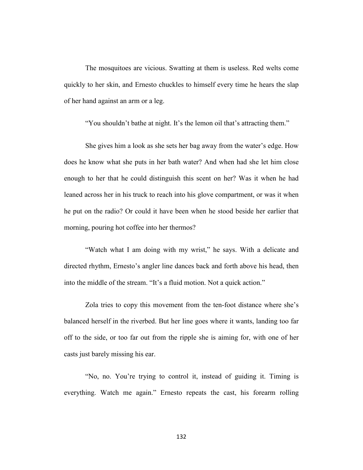The mosquitoes are vicious. Swatting at them is useless. Red welts come quickly to her skin, and Ernesto chuckles to himself every time he hears the slap of her hand against an arm or a leg.

"You shouldn't bathe at night. It's the lemon oil that's attracting them."

She gives him a look as she sets her bag away from the water's edge. How does he know what she puts in her bath water? And when had she let him close enough to her that he could distinguish this scent on her? Was it when he had leaned across her in his truck to reach into his glove compartment, or was it when he put on the radio? Or could it have been when he stood beside her earlier that morning, pouring hot coffee into her thermos?

"Watch what I am doing with my wrist," he says. With a delicate and directed rhythm, Ernesto's angler line dances back and forth above his head, then into the middle of the stream. "It's a fluid motion. Not a quick action."

Zola tries to copy this movement from the ten-foot distance where she's balanced herself in the riverbed. But her line goes where it wants, landing too far off to the side, or too far out from the ripple she is aiming for, with one of her casts just barely missing his ear.

"No, no. You're trying to control it, instead of guiding it. Timing is everything. Watch me again." Ernesto repeats the cast, his forearm rolling

132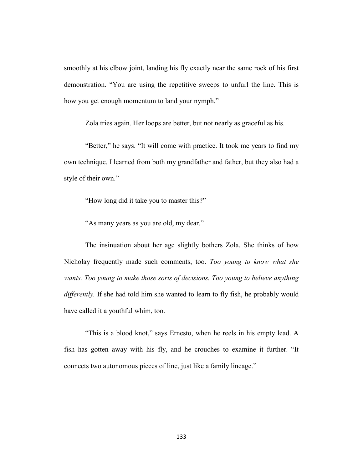smoothly at his elbow joint, landing his fly exactly near the same rock of his first demonstration. "You are using the repetitive sweeps to unfurl the line. This is how you get enough momentum to land your nymph."

Zola tries again. Her loops are better, but not nearly as graceful as his.

"Better," he says. "It will come with practice. It took me years to find my own technique. I learned from both my grandfather and father, but they also had a style of their own."

"How long did it take you to master this?"

"As many years as you are old, my dear."

The insinuation about her age slightly bothers Zola. She thinks of how Nicholay frequently made such comments, too. *Too young to know what she wants. Too young to make those sorts of decisions. Too young to believe anything differently.* If she had told him she wanted to learn to fly fish, he probably would have called it a youthful whim, too.

"This is a blood knot," says Ernesto, when he reels in his empty lead. A fish has gotten away with his fly, and he crouches to examine it further. "It connects two autonomous pieces of line, just like a family lineage."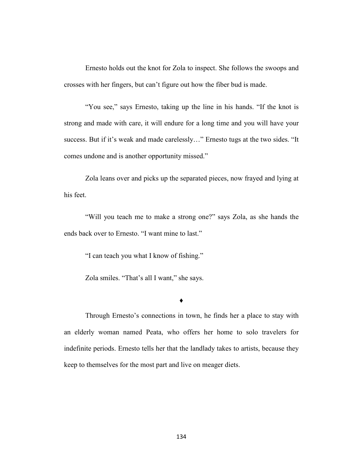Ernesto holds out the knot for Zola to inspect. She follows the swoops and crosses with her fingers, but can't figure out how the fiber bud is made.

"You see," says Ernesto, taking up the line in his hands. "If the knot is strong and made with care, it will endure for a long time and you will have your success. But if it's weak and made carelessly…" Ernesto tugs at the two sides. "It comes undone and is another opportunity missed."

Zola leans over and picks up the separated pieces, now frayed and lying at his feet.

"Will you teach me to make a strong one?" says Zola, as she hands the ends back over to Ernesto. "I want mine to last."

"I can teach you what I know of fishing."

Zola smiles. "That's all I want," she says.

#### ♦

Through Ernesto's connections in town, he finds her a place to stay with an elderly woman named Peata, who offers her home to solo travelers for indefinite periods. Ernesto tells her that the landlady takes to artists, because they keep to themselves for the most part and live on meager diets.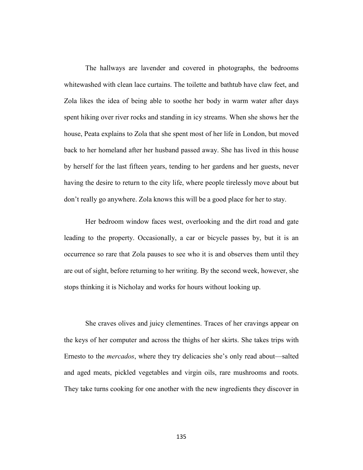The hallways are lavender and covered in photographs, the bedrooms whitewashed with clean lace curtains. The toilette and bathtub have claw feet, and Zola likes the idea of being able to soothe her body in warm water after days spent hiking over river rocks and standing in icy streams. When she shows her the house, Peata explains to Zola that she spent most of her life in London, but moved back to her homeland after her husband passed away. She has lived in this house by herself for the last fifteen years, tending to her gardens and her guests, never having the desire to return to the city life, where people tirelessly move about but don't really go anywhere. Zola knows this will be a good place for her to stay.

Her bedroom window faces west, overlooking and the dirt road and gate leading to the property. Occasionally, a car or bicycle passes by, but it is an occurrence so rare that Zola pauses to see who it is and observes them until they are out of sight, before returning to her writing. By the second week, however, she stops thinking it is Nicholay and works for hours without looking up.

She craves olives and juicy clementines. Traces of her cravings appear on the keys of her computer and across the thighs of her skirts. She takes trips with Ernesto to the *mercados*, where they try delicacies she's only read about—salted and aged meats, pickled vegetables and virgin oils, rare mushrooms and roots. They take turns cooking for one another with the new ingredients they discover in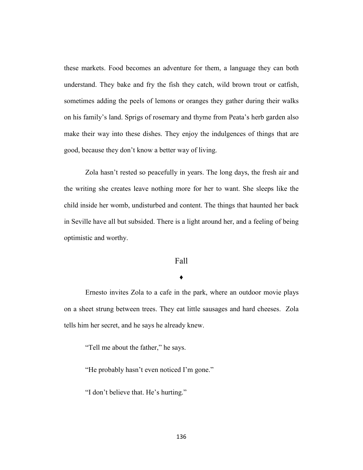these markets. Food becomes an adventure for them, a language they can both understand. They bake and fry the fish they catch, wild brown trout or catfish, sometimes adding the peels of lemons or oranges they gather during their walks on his family's land. Sprigs of rosemary and thyme from Peata's herb garden also make their way into these dishes. They enjoy the indulgences of things that are good, because they don't know a better way of living.

Zola hasn't rested so peacefully in years. The long days, the fresh air and the writing she creates leave nothing more for her to want. She sleeps like the child inside her womb, undisturbed and content. The things that haunted her back in Seville have all but subsided. There is a light around her, and a feeling of being optimistic and worthy.

# Fall

# ♦

Ernesto invites Zola to a cafe in the park, where an outdoor movie plays on a sheet strung between trees. They eat little sausages and hard cheeses. Zola tells him her secret, and he says he already knew.

"Tell me about the father," he says.

"He probably hasn't even noticed I'm gone."

"I don't believe that. He's hurting."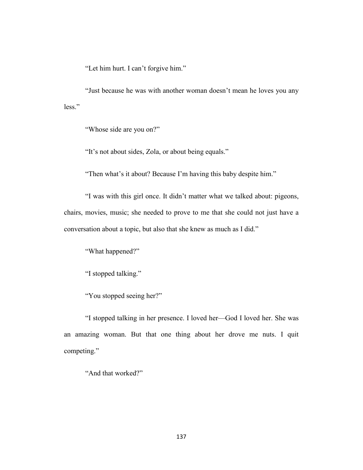"Let him hurt. I can't forgive him."

"Just because he was with another woman doesn't mean he loves you any less."

"Whose side are you on?"

"It's not about sides, Zola, or about being equals."

"Then what's it about? Because I'm having this baby despite him."

"I was with this girl once. It didn't matter what we talked about: pigeons, chairs, movies, music; she needed to prove to me that she could not just have a conversation about a topic, but also that she knew as much as I did."

"What happened?"

"I stopped talking."

"You stopped seeing her?"

"I stopped talking in her presence. I loved her—God I loved her. She was an amazing woman. But that one thing about her drove me nuts. I quit competing."

"And that worked?"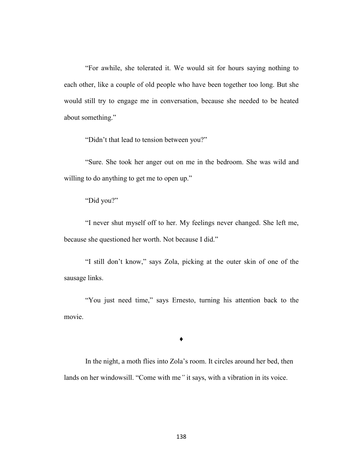"For awhile, she tolerated it. We would sit for hours saying nothing to each other, like a couple of old people who have been together too long. But she would still try to engage me in conversation, because she needed to be heated about something."

"Didn't that lead to tension between you?"

"Sure. She took her anger out on me in the bedroom. She was wild and willing to do anything to get me to open up."

## "Did you?"

"I never shut myself off to her. My feelings never changed. She left me, because she questioned her worth. Not because I did."

"I still don't know," says Zola, picking at the outer skin of one of the sausage links.

"You just need time," says Ernesto, turning his attention back to the movie.

#### ♦

In the night, a moth flies into Zola's room. It circles around her bed, then lands on her windowsill. "Come with me*"* it says, with a vibration in its voice.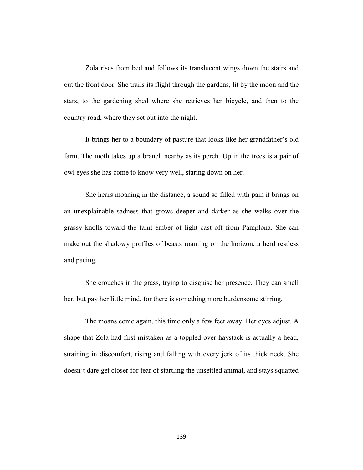Zola rises from bed and follows its translucent wings down the stairs and out the front door. She trails its flight through the gardens, lit by the moon and the stars, to the gardening shed where she retrieves her bicycle, and then to the country road, where they set out into the night.

It brings her to a boundary of pasture that looks like her grandfather's old farm. The moth takes up a branch nearby as its perch. Up in the trees is a pair of owl eyes she has come to know very well, staring down on her.

She hears moaning in the distance, a sound so filled with pain it brings on an unexplainable sadness that grows deeper and darker as she walks over the grassy knolls toward the faint ember of light cast off from Pamplona. She can make out the shadowy profiles of beasts roaming on the horizon, a herd restless and pacing.

She crouches in the grass, trying to disguise her presence. They can smell her, but pay her little mind, for there is something more burdensome stirring.

The moans come again, this time only a few feet away. Her eyes adjust. A shape that Zola had first mistaken as a toppled-over haystack is actually a head, straining in discomfort, rising and falling with every jerk of its thick neck. She doesn't dare get closer for fear of startling the unsettled animal, and stays squatted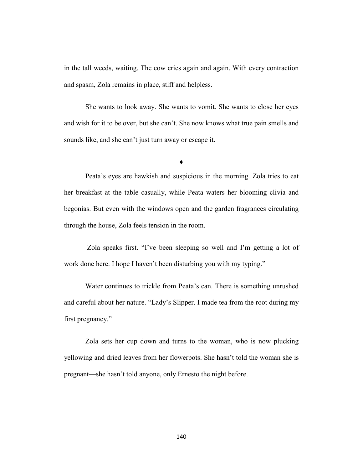in the tall weeds, waiting. The cow cries again and again. With every contraction and spasm, Zola remains in place, stiff and helpless.

She wants to look away. She wants to vomit. She wants to close her eyes and wish for it to be over, but she can't. She now knows what true pain smells and sounds like, and she can't just turn away or escape it.

♦

Peata's eyes are hawkish and suspicious in the morning. Zola tries to eat her breakfast at the table casually, while Peata waters her blooming clivia and begonias. But even with the windows open and the garden fragrances circulating through the house, Zola feels tension in the room.

Zola speaks first. "I've been sleeping so well and I'm getting a lot of work done here. I hope I haven't been disturbing you with my typing."

Water continues to trickle from Peata's can. There is something unrushed and careful about her nature. "Lady's Slipper. I made tea from the root during my first pregnancy."

Zola sets her cup down and turns to the woman, who is now plucking yellowing and dried leaves from her flowerpots. She hasn't told the woman she is pregnant—she hasn't told anyone, only Ernesto the night before.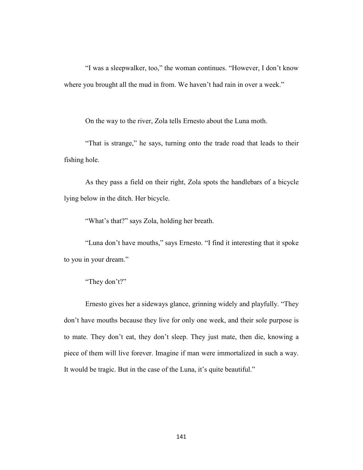"I was a sleepwalker, too," the woman continues. "However, I don't know where you brought all the mud in from. We haven't had rain in over a week."

On the way to the river, Zola tells Ernesto about the Luna moth.

"That is strange," he says, turning onto the trade road that leads to their fishing hole.

As they pass a field on their right, Zola spots the handlebars of a bicycle lying below in the ditch. Her bicycle.

"What's that?" says Zola, holding her breath.

"Luna don't have mouths," says Ernesto. "I find it interesting that it spoke to you in your dream."

# "They don't?"

Ernesto gives her a sideways glance, grinning widely and playfully. "They don't have mouths because they live for only one week, and their sole purpose is to mate. They don't eat, they don't sleep. They just mate, then die, knowing a piece of them will live forever. Imagine if man were immortalized in such a way. It would be tragic. But in the case of the Luna, it's quite beautiful."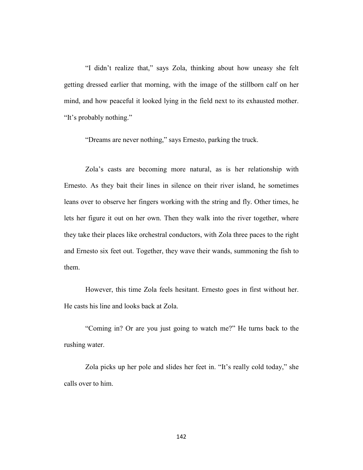"I didn't realize that," says Zola, thinking about how uneasy she felt getting dressed earlier that morning, with the image of the stillborn calf on her mind, and how peaceful it looked lying in the field next to its exhausted mother. "It's probably nothing."

"Dreams are never nothing," says Ernesto, parking the truck.

Zola's casts are becoming more natural, as is her relationship with Ernesto. As they bait their lines in silence on their river island, he sometimes leans over to observe her fingers working with the string and fly. Other times, he lets her figure it out on her own. Then they walk into the river together, where they take their places like orchestral conductors, with Zola three paces to the right and Ernesto six feet out. Together, they wave their wands, summoning the fish to them.

However, this time Zola feels hesitant. Ernesto goes in first without her. He casts his line and looks back at Zola.

"Coming in? Or are you just going to watch me?" He turns back to the rushing water.

Zola picks up her pole and slides her feet in. "It's really cold today," she calls over to him.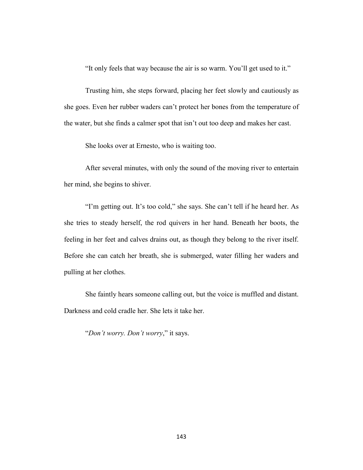"It only feels that way because the air is so warm. You'll get used to it."

Trusting him, she steps forward, placing her feet slowly and cautiously as she goes. Even her rubber waders can't protect her bones from the temperature of the water, but she finds a calmer spot that isn't out too deep and makes her cast.

She looks over at Ernesto, who is waiting too.

After several minutes, with only the sound of the moving river to entertain her mind, she begins to shiver.

"I'm getting out. It's too cold," she says. She can't tell if he heard her. As she tries to steady herself, the rod quivers in her hand. Beneath her boots, the feeling in her feet and calves drains out, as though they belong to the river itself. Before she can catch her breath, she is submerged, water filling her waders and pulling at her clothes.

She faintly hears someone calling out, but the voice is muffled and distant. Darkness and cold cradle her. She lets it take her.

"*Don't worry. Don't worry*," it says.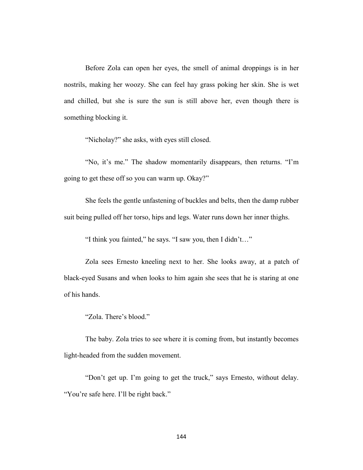Before Zola can open her eyes, the smell of animal droppings is in her nostrils, making her woozy. She can feel hay grass poking her skin. She is wet and chilled, but she is sure the sun is still above her, even though there is something blocking it.

"Nicholay?" she asks, with eyes still closed.

"No, it's me." The shadow momentarily disappears, then returns. "I'm going to get these off so you can warm up. Okay?"

She feels the gentle unfastening of buckles and belts, then the damp rubber suit being pulled off her torso, hips and legs. Water runs down her inner thighs.

"I think you fainted," he says. "I saw you, then I didn't…"

Zola sees Ernesto kneeling next to her. She looks away, at a patch of black-eyed Susans and when looks to him again she sees that he is staring at one of his hands.

"Zola. There's blood."

The baby. Zola tries to see where it is coming from, but instantly becomes light-headed from the sudden movement.

"Don't get up. I'm going to get the truck," says Ernesto, without delay. "You're safe here. I'll be right back."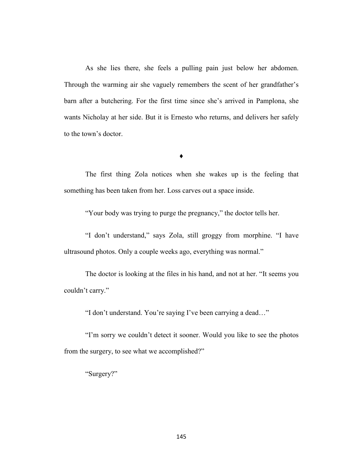As she lies there, she feels a pulling pain just below her abdomen. Through the warming air she vaguely remembers the scent of her grandfather's barn after a butchering. For the first time since she's arrived in Pamplona, she wants Nicholay at her side. But it is Ernesto who returns, and delivers her safely to the town's doctor.

### **♦**

The first thing Zola notices when she wakes up is the feeling that something has been taken from her. Loss carves out a space inside.

"Your body was trying to purge the pregnancy," the doctor tells her.

"I don't understand," says Zola, still groggy from morphine. "I have ultrasound photos. Only a couple weeks ago, everything was normal."

The doctor is looking at the files in his hand, and not at her. "It seems you couldn't carry."

"I don't understand. You're saying I've been carrying a dead…"

"I'm sorry we couldn't detect it sooner. Would you like to see the photos from the surgery, to see what we accomplished?"

"Surgery?"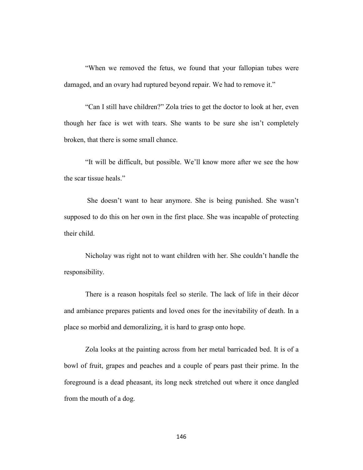"When we removed the fetus, we found that your fallopian tubes were damaged, and an ovary had ruptured beyond repair. We had to remove it."

"Can I still have children?" Zola tries to get the doctor to look at her, even though her face is wet with tears. She wants to be sure she isn't completely broken, that there is some small chance.

"It will be difficult, but possible. We'll know more after we see the how the scar tissue heals."

She doesn't want to hear anymore. She is being punished. She wasn't supposed to do this on her own in the first place. She was incapable of protecting their child.

Nicholay was right not to want children with her. She couldn't handle the responsibility.

There is a reason hospitals feel so sterile. The lack of life in their décor and ambiance prepares patients and loved ones for the inevitability of death. In a place so morbid and demoralizing, it is hard to grasp onto hope.

Zola looks at the painting across from her metal barricaded bed. It is of a bowl of fruit, grapes and peaches and a couple of pears past their prime. In the foreground is a dead pheasant, its long neck stretched out where it once dangled from the mouth of a dog.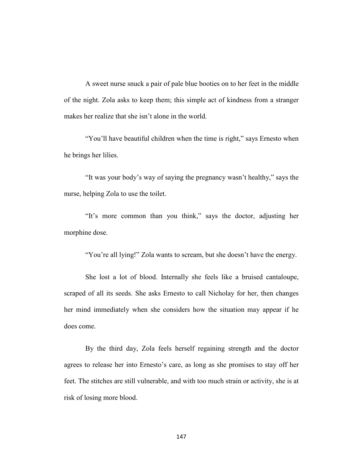A sweet nurse snuck a pair of pale blue booties on to her feet in the middle of the night. Zola asks to keep them; this simple act of kindness from a stranger makes her realize that she isn't alone in the world.

"You'll have beautiful children when the time is right," says Ernesto when he brings her lilies.

"It was your body's way of saying the pregnancy wasn't healthy," says the nurse, helping Zola to use the toilet.

"It's more common than you think," says the doctor, adjusting her morphine dose.

"You're all lying!" Zola wants to scream, but she doesn't have the energy.

She lost a lot of blood. Internally she feels like a bruised cantaloupe, scraped of all its seeds. She asks Ernesto to call Nicholay for her, then changes her mind immediately when she considers how the situation may appear if he does come.

By the third day, Zola feels herself regaining strength and the doctor agrees to release her into Ernesto's care, as long as she promises to stay off her feet. The stitches are still vulnerable, and with too much strain or activity, she is at risk of losing more blood.

147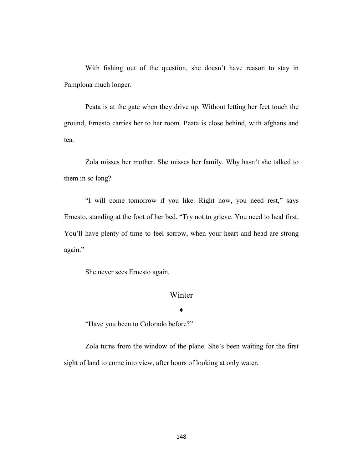With fishing out of the question, she doesn't have reason to stay in Pamplona much longer.

Peata is at the gate when they drive up. Without letting her feet touch the ground, Ernesto carries her to her room. Peata is close behind, with afghans and tea.

Zola misses her mother. She misses her family. Why hasn't she talked to them in so long?

"I will come tomorrow if you like. Right now, you need rest," says Ernesto, standing at the foot of her bed. "Try not to grieve. You need to heal first. You'll have plenty of time to feel sorrow, when your heart and head are strong again."

She never sees Ernesto again.

# Winter

♦

"Have you been to Colorado before?"

Zola turns from the window of the plane. She's been waiting for the first sight of land to come into view, after hours of looking at only water.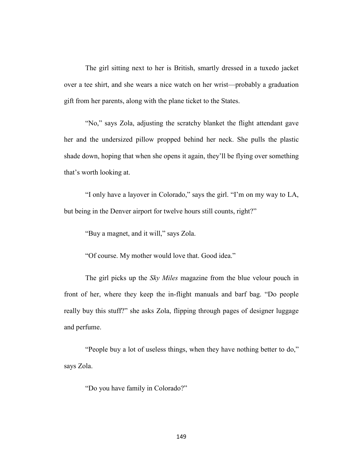The girl sitting next to her is British, smartly dressed in a tuxedo jacket over a tee shirt, and she wears a nice watch on her wrist—probably a graduation gift from her parents, along with the plane ticket to the States.

"No," says Zola, adjusting the scratchy blanket the flight attendant gave her and the undersized pillow propped behind her neck. She pulls the plastic shade down, hoping that when she opens it again, they'll be flying over something that's worth looking at.

"I only have a layover in Colorado," says the girl. "I'm on my way to LA, but being in the Denver airport for twelve hours still counts, right?"

"Buy a magnet, and it will," says Zola.

"Of course. My mother would love that. Good idea."

The girl picks up the *Sky Miles* magazine from the blue velour pouch in front of her, where they keep the in-flight manuals and barf bag. "Do people really buy this stuff?" she asks Zola, flipping through pages of designer luggage and perfume.

"People buy a lot of useless things, when they have nothing better to do," says Zola.

"Do you have family in Colorado?"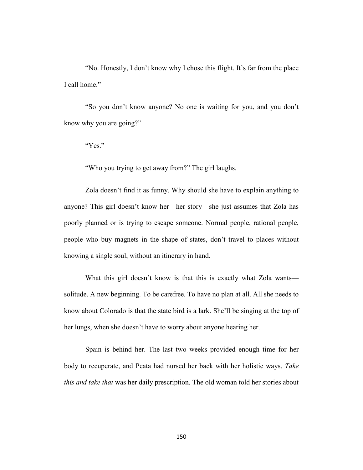"No. Honestly, I don't know why I chose this flight. It's far from the place I call home."

"So you don't know anyone? No one is waiting for you, and you don't know why you are going?"

"Yes."

"Who you trying to get away from?" The girl laughs.

Zola doesn't find it as funny. Why should she have to explain anything to anyone? This girl doesn't know her—her story—she just assumes that Zola has poorly planned or is trying to escape someone. Normal people, rational people, people who buy magnets in the shape of states, don't travel to places without knowing a single soul, without an itinerary in hand.

What this girl doesn't know is that this is exactly what Zola wants solitude. A new beginning. To be carefree. To have no plan at all. All she needs to know about Colorado is that the state bird is a lark. She'll be singing at the top of her lungs, when she doesn't have to worry about anyone hearing her.

Spain is behind her. The last two weeks provided enough time for her body to recuperate, and Peata had nursed her back with her holistic ways. *Take this and take that* was her daily prescription. The old woman told her stories about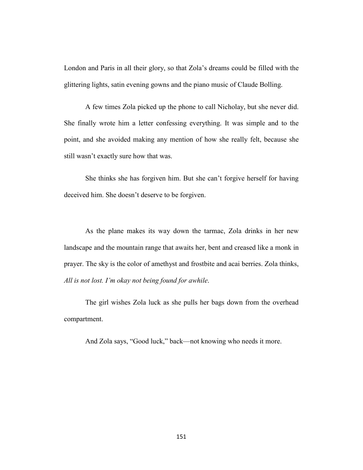London and Paris in all their glory, so that Zola's dreams could be filled with the glittering lights, satin evening gowns and the piano music of Claude Bolling.

A few times Zola picked up the phone to call Nicholay, but she never did. She finally wrote him a letter confessing everything. It was simple and to the point, and she avoided making any mention of how she really felt, because she still wasn't exactly sure how that was.

She thinks she has forgiven him. But she can't forgive herself for having deceived him. She doesn't deserve to be forgiven.

As the plane makes its way down the tarmac, Zola drinks in her new landscape and the mountain range that awaits her, bent and creased like a monk in prayer. The sky is the color of amethyst and frostbite and acai berries. Zola thinks, *All is not lost. I'm okay not being found for awhile*.

The girl wishes Zola luck as she pulls her bags down from the overhead compartment.

And Zola says, "Good luck," back—not knowing who needs it more.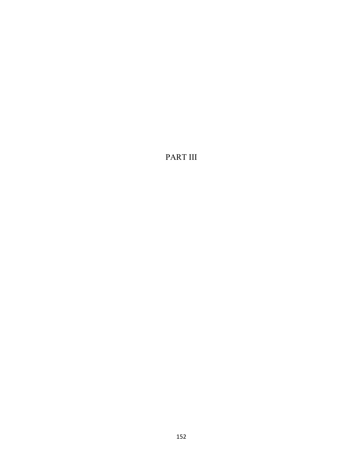PART III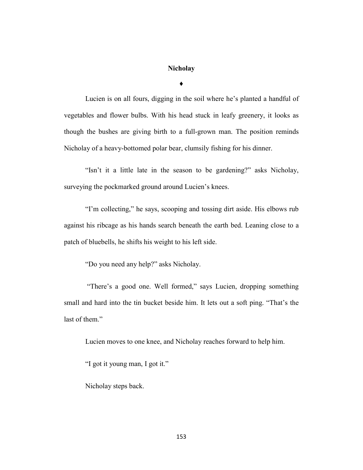# **Nicholay**

**♦**

Lucien is on all fours, digging in the soil where he's planted a handful of vegetables and flower bulbs. With his head stuck in leafy greenery, it looks as though the bushes are giving birth to a full-grown man. The position reminds Nicholay of a heavy-bottomed polar bear, clumsily fishing for his dinner.

"Isn't it a little late in the season to be gardening?" asks Nicholay, surveying the pockmarked ground around Lucien's knees.

"I'm collecting," he says, scooping and tossing dirt aside. His elbows rub against his ribcage as his hands search beneath the earth bed. Leaning close to a patch of bluebells, he shifts his weight to his left side.

"Do you need any help?" asks Nicholay.

"There's a good one. Well formed," says Lucien, dropping something small and hard into the tin bucket beside him. It lets out a soft ping. "That's the last of them."

Lucien moves to one knee, and Nicholay reaches forward to help him.

"I got it young man, I got it."

Nicholay steps back.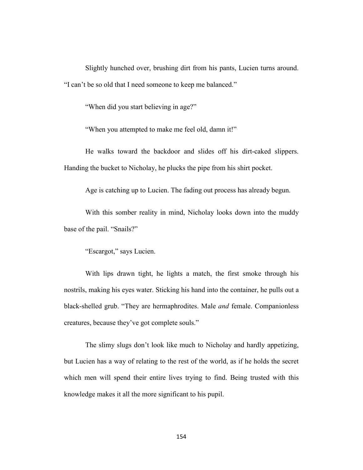Slightly hunched over, brushing dirt from his pants, Lucien turns around. "I can't be so old that I need someone to keep me balanced."

"When did you start believing in age?"

"When you attempted to make me feel old, damn it!"

He walks toward the backdoor and slides off his dirt-caked slippers. Handing the bucket to Nicholay, he plucks the pipe from his shirt pocket.

Age is catching up to Lucien. The fading out process has already begun.

With this somber reality in mind, Nicholay looks down into the muddy base of the pail. "Snails?"

"Escargot," says Lucien.

With lips drawn tight, he lights a match, the first smoke through his nostrils, making his eyes water. Sticking his hand into the container, he pulls out a black-shelled grub. "They are hermaphrodites. Male *and* female. Companionless creatures, because they've got complete souls."

The slimy slugs don't look like much to Nicholay and hardly appetizing, but Lucien has a way of relating to the rest of the world, as if he holds the secret which men will spend their entire lives trying to find. Being trusted with this knowledge makes it all the more significant to his pupil.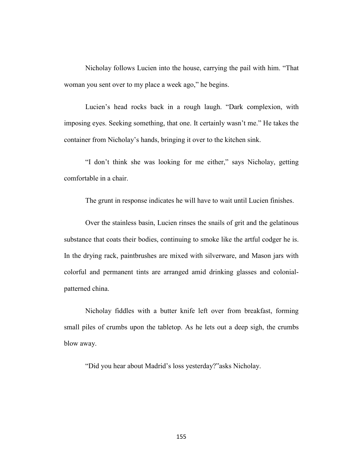Nicholay follows Lucien into the house, carrying the pail with him. "That woman you sent over to my place a week ago," he begins.

Lucien's head rocks back in a rough laugh. "Dark complexion, with imposing eyes. Seeking something, that one. It certainly wasn't me." He takes the container from Nicholay's hands, bringing it over to the kitchen sink.

"I don't think she was looking for me either," says Nicholay, getting comfortable in a chair.

The grunt in response indicates he will have to wait until Lucien finishes.

Over the stainless basin, Lucien rinses the snails of grit and the gelatinous substance that coats their bodies, continuing to smoke like the artful codger he is. In the drying rack, paintbrushes are mixed with silverware, and Mason jars with colorful and permanent tints are arranged amid drinking glasses and colonialpatterned china.

Nicholay fiddles with a butter knife left over from breakfast, forming small piles of crumbs upon the tabletop. As he lets out a deep sigh, the crumbs blow away.

"Did you hear about Madrid's loss yesterday?"asks Nicholay.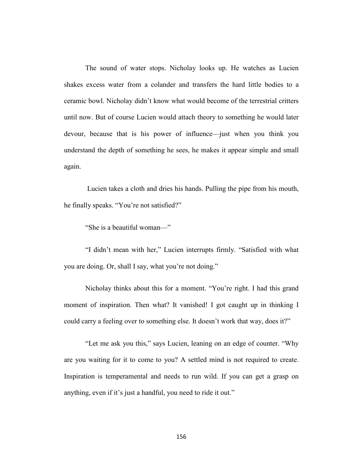The sound of water stops. Nicholay looks up. He watches as Lucien shakes excess water from a colander and transfers the hard little bodies to a ceramic bowl. Nicholay didn't know what would become of the terrestrial critters until now. But of course Lucien would attach theory to something he would later devour, because that is his power of influence—just when you think you understand the depth of something he sees, he makes it appear simple and small again.

Lucien takes a cloth and dries his hands. Pulling the pipe from his mouth, he finally speaks. "You're not satisfied?"

"She is a beautiful woman—"

"I didn't mean with her," Lucien interrupts firmly. "Satisfied with what you are doing. Or, shall I say, what you're not doing."

Nicholay thinks about this for a moment. "You're right. I had this grand moment of inspiration. Then what? It vanished! I got caught up in thinking I could carry a feeling over to something else. It doesn't work that way, does it?"

"Let me ask you this," says Lucien, leaning on an edge of counter. "Why are you waiting for it to come to you? A settled mind is not required to create. Inspiration is temperamental and needs to run wild. If you can get a grasp on anything, even if it's just a handful, you need to ride it out."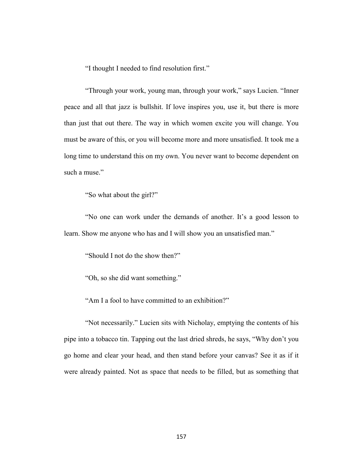"I thought I needed to find resolution first."

"Through your work, young man, through your work," says Lucien. "Inner peace and all that jazz is bullshit. If love inspires you, use it, but there is more than just that out there. The way in which women excite you will change. You must be aware of this, or you will become more and more unsatisfied. It took me a long time to understand this on my own. You never want to become dependent on such a muse."

"So what about the girl?"

"No one can work under the demands of another. It's a good lesson to learn. Show me anyone who has and I will show you an unsatisfied man."

"Should I not do the show then?"

"Oh, so she did want something."

"Am I a fool to have committed to an exhibition?"

"Not necessarily." Lucien sits with Nicholay, emptying the contents of his pipe into a tobacco tin. Tapping out the last dried shreds, he says, "Why don't you go home and clear your head, and then stand before your canvas? See it as if it were already painted. Not as space that needs to be filled, but as something that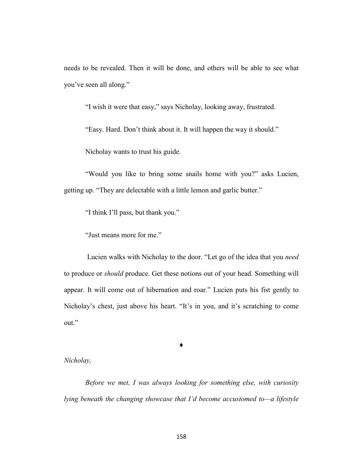needs to be revealed. Then it will be done, and others will be able to see what you've seen all along."

"I wish it were that easy," says Nicholay, looking away, frustrated.

"Easy. Hard. Don't think about it. It will happen the way it should."

Nicholay wants to trust his guide.

"Would you like to bring some snails home with you?" asks Lucien, getting up. "They are delectable with a little lemon and garlic butter."

"I think I'll pass, but thank you."

"Just means more for me."

Lucien walks with Nicholay to the door. "Let go of the idea that you *need* to produce or *should* produce. Get these notions out of your head. Something will appear. It will come out of hibernation and roar." Lucien puts his fist gently to Nicholay's chest, just above his heart. "It's in you, and it's scratching to come out."

♦

## *Nicholay,*

*Before we met, I was always looking for something else, with curiosity lying beneath the changing showcase that I'd become accustomed to—a lifestyle*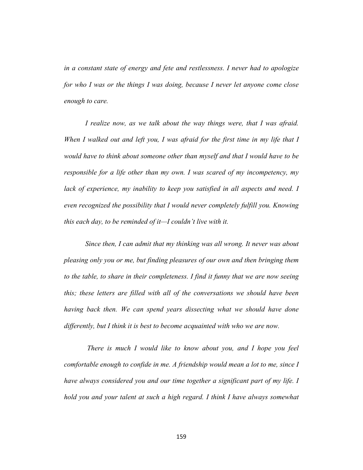*in a constant state of energy and fete and restlessness. I never had to apologize for who I was or the things I was doing, because I never let anyone come close enough to care.* 

*I realize now, as we talk about the way things were, that I was afraid. When I walked out and left you, I was afraid for the first time in my life that I would have to think about someone other than myself and that I would have to be responsible for a life other than my own. I was scared of my incompetency, my lack of experience, my inability to keep you satisfied in all aspects and need. I even recognized the possibility that I would never completely fulfill you. Knowing this each day, to be reminded of it—I couldn't live with it.* 

*Since then, I can admit that my thinking was all wrong. It never was about pleasing only you or me, but finding pleasures of our own and then bringing them to the table, to share in their completeness. I find it funny that we are now seeing this; these letters are filled with all of the conversations we should have been having back then. We can spend years dissecting what we should have done differently, but I think it is best to become acquainted with who we are now.*

*There is much I would like to know about you, and I hope you feel comfortable enough to confide in me. A friendship would mean a lot to me, since I have always considered you and our time together a significant part of my life. I hold you and your talent at such a high regard. I think I have always somewhat*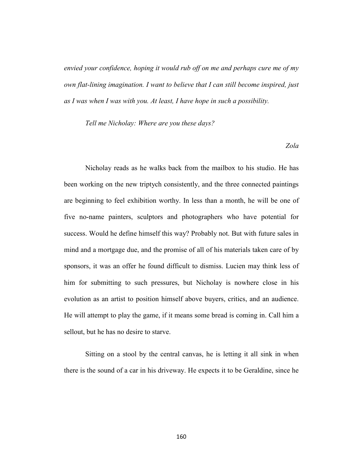*envied your confidence, hoping it would rub off on me and perhaps cure me of my own flat-lining imagination. I want to believe that I can still become inspired, just as I was when I was with you. At least, I have hope in such a possibility.*

*Tell me Nicholay: Where are you these days?* 

*Zola*

Nicholay reads as he walks back from the mailbox to his studio. He has been working on the new triptych consistently, and the three connected paintings are beginning to feel exhibition worthy. In less than a month, he will be one of five no-name painters, sculptors and photographers who have potential for success. Would he define himself this way? Probably not. But with future sales in mind and a mortgage due, and the promise of all of his materials taken care of by sponsors, it was an offer he found difficult to dismiss. Lucien may think less of him for submitting to such pressures, but Nicholay is nowhere close in his evolution as an artist to position himself above buyers, critics, and an audience. He will attempt to play the game, if it means some bread is coming in. Call him a sellout, but he has no desire to starve.

Sitting on a stool by the central canvas, he is letting it all sink in when there is the sound of a car in his driveway. He expects it to be Geraldine, since he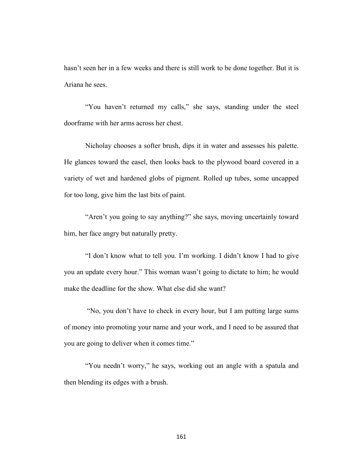hasn't seen her in a few weeks and there is still work to be done together. But it is Ariana he sees.

"You haven't returned my calls," she says, standing under the steel doorframe with her arms across her chest.

Nicholay chooses a softer brush, dips it in water and assesses his palette. He glances toward the easel, then looks back to the plywood board covered in a variety of wet and hardened globs of pigment. Rolled up tubes, some uncapped for too long, give him the last bits of paint.

"Aren't you going to say anything?" she says, moving uncertainly toward him, her face angry but naturally pretty.

"I don't know what to tell you. I'm working. I didn't know I had to give you an update every hour." This woman wasn't going to dictate to him; he would make the deadline for the show. What else did she want?

"No, you don't have to check in every hour, but I am putting large sums of money into promoting your name and your work, and I need to be assured that you are going to deliver when it comes time."

"You needn't worry," he says, working out an angle with a spatula and then blending its edges with a brush.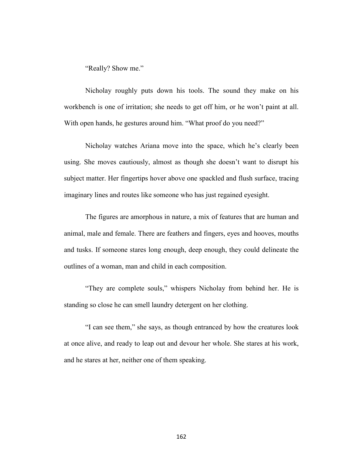"Really? Show me."

Nicholay roughly puts down his tools. The sound they make on his workbench is one of irritation; she needs to get off him, or he won't paint at all. With open hands, he gestures around him. "What proof do you need?"

Nicholay watches Ariana move into the space, which he's clearly been using. She moves cautiously, almost as though she doesn't want to disrupt his subject matter. Her fingertips hover above one spackled and flush surface, tracing imaginary lines and routes like someone who has just regained eyesight.

The figures are amorphous in nature, a mix of features that are human and animal, male and female. There are feathers and fingers, eyes and hooves, mouths and tusks. If someone stares long enough, deep enough, they could delineate the outlines of a woman, man and child in each composition.

"They are complete souls," whispers Nicholay from behind her. He is standing so close he can smell laundry detergent on her clothing.

"I can see them," she says, as though entranced by how the creatures look at once alive, and ready to leap out and devour her whole. She stares at his work, and he stares at her, neither one of them speaking.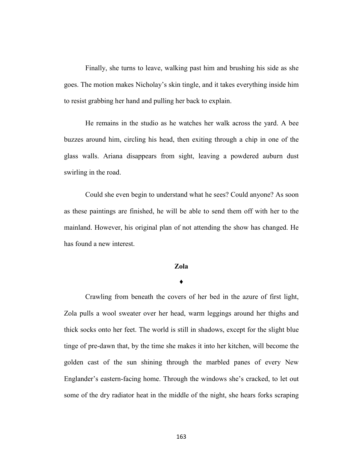Finally, she turns to leave, walking past him and brushing his side as she goes. The motion makes Nicholay's skin tingle, and it takes everything inside him to resist grabbing her hand and pulling her back to explain.

He remains in the studio as he watches her walk across the yard. A bee buzzes around him, circling his head, then exiting through a chip in one of the glass walls. Ariana disappears from sight, leaving a powdered auburn dust swirling in the road.

Could she even begin to understand what he sees? Could anyone? As soon as these paintings are finished, he will be able to send them off with her to the mainland. However, his original plan of not attending the show has changed. He has found a new interest.

### **Zola**

#### **♦**

Crawling from beneath the covers of her bed in the azure of first light, Zola pulls a wool sweater over her head, warm leggings around her thighs and thick socks onto her feet. The world is still in shadows, except for the slight blue tinge of pre-dawn that, by the time she makes it into her kitchen, will become the golden cast of the sun shining through the marbled panes of every New Englander's eastern-facing home. Through the windows she's cracked, to let out some of the dry radiator heat in the middle of the night, she hears forks scraping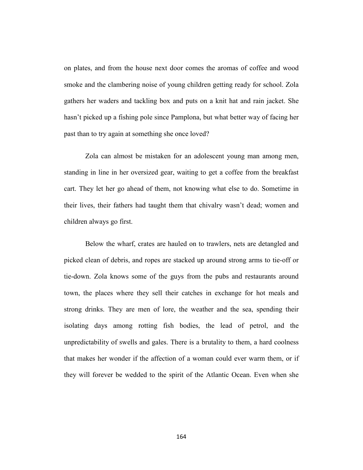on plates, and from the house next door comes the aromas of coffee and wood smoke and the clambering noise of young children getting ready for school. Zola gathers her waders and tackling box and puts on a knit hat and rain jacket. She hasn't picked up a fishing pole since Pamplona, but what better way of facing her past than to try again at something she once loved?

Zola can almost be mistaken for an adolescent young man among men, standing in line in her oversized gear, waiting to get a coffee from the breakfast cart. They let her go ahead of them, not knowing what else to do. Sometime in their lives, their fathers had taught them that chivalry wasn't dead; women and children always go first.

Below the wharf, crates are hauled on to trawlers, nets are detangled and picked clean of debris, and ropes are stacked up around strong arms to tie-off or tie-down. Zola knows some of the guys from the pubs and restaurants around town, the places where they sell their catches in exchange for hot meals and strong drinks. They are men of lore, the weather and the sea, spending their isolating days among rotting fish bodies, the lead of petrol, and the unpredictability of swells and gales. There is a brutality to them, a hard coolness that makes her wonder if the affection of a woman could ever warm them, or if they will forever be wedded to the spirit of the Atlantic Ocean. Even when she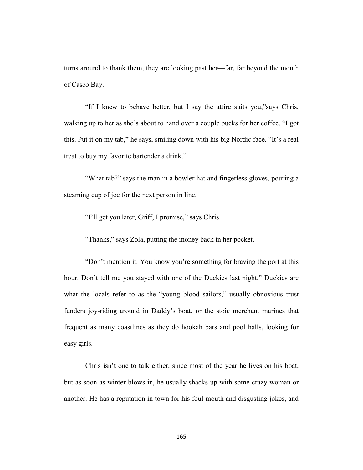turns around to thank them, they are looking past her—far, far beyond the mouth of Casco Bay.

"If I knew to behave better, but I say the attire suits you,"says Chris, walking up to her as she's about to hand over a couple bucks for her coffee. "I got this. Put it on my tab," he says, smiling down with his big Nordic face. "It's a real treat to buy my favorite bartender a drink."

"What tab?" says the man in a bowler hat and fingerless gloves, pouring a steaming cup of joe for the next person in line.

"I'll get you later, Griff, I promise," says Chris.

"Thanks," says Zola, putting the money back in her pocket.

"Don't mention it. You know you're something for braving the port at this hour. Don't tell me you stayed with one of the Duckies last night." Duckies are what the locals refer to as the "young blood sailors," usually obnoxious trust funders joy-riding around in Daddy's boat, or the stoic merchant marines that frequent as many coastlines as they do hookah bars and pool halls, looking for easy girls.

Chris isn't one to talk either, since most of the year he lives on his boat, but as soon as winter blows in, he usually shacks up with some crazy woman or another. He has a reputation in town for his foul mouth and disgusting jokes, and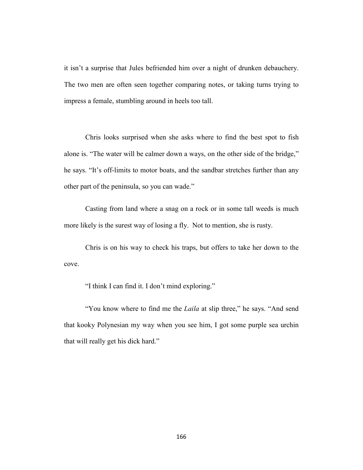it isn't a surprise that Jules befriended him over a night of drunken debauchery. The two men are often seen together comparing notes, or taking turns trying to impress a female, stumbling around in heels too tall.

Chris looks surprised when she asks where to find the best spot to fish alone is. "The water will be calmer down a ways, on the other side of the bridge," he says. "It's off-limits to motor boats, and the sandbar stretches further than any other part of the peninsula, so you can wade."

Casting from land where a snag on a rock or in some tall weeds is much more likely is the surest way of losing a fly. Not to mention, she is rusty.

Chris is on his way to check his traps, but offers to take her down to the cove.

"I think I can find it. I don't mind exploring."

"You know where to find me the *Laila* at slip three," he says. "And send that kooky Polynesian my way when you see him, I got some purple sea urchin that will really get his dick hard."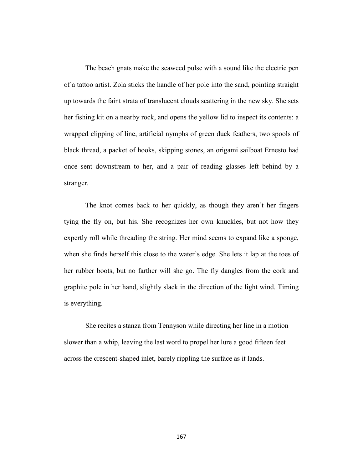The beach gnats make the seaweed pulse with a sound like the electric pen of a tattoo artist. Zola sticks the handle of her pole into the sand, pointing straight up towards the faint strata of translucent clouds scattering in the new sky. She sets her fishing kit on a nearby rock, and opens the yellow lid to inspect its contents: a wrapped clipping of line, artificial nymphs of green duck feathers, two spools of black thread, a packet of hooks, skipping stones, an origami sailboat Ernesto had once sent downstream to her, and a pair of reading glasses left behind by a stranger.

The knot comes back to her quickly, as though they aren't her fingers tying the fly on, but his. She recognizes her own knuckles, but not how they expertly roll while threading the string. Her mind seems to expand like a sponge, when she finds herself this close to the water's edge. She lets it lap at the toes of her rubber boots, but no farther will she go. The fly dangles from the cork and graphite pole in her hand, slightly slack in the direction of the light wind. Timing is everything.

She recites a stanza from Tennyson while directing her line in a motion slower than a whip, leaving the last word to propel her lure a good fifteen feet across the crescent-shaped inlet, barely rippling the surface as it lands.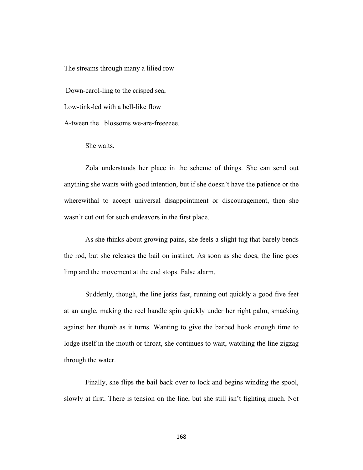The streams through many a lilied row

Down-carol-ling to the crisped sea,

Low-tink-led with a bell-like flow

A-tween the blossoms we-are-freeeeee.

She waits.

Zola understands her place in the scheme of things. She can send out anything she wants with good intention, but if she doesn't have the patience or the wherewithal to accept universal disappointment or discouragement, then she wasn't cut out for such endeavors in the first place.

As she thinks about growing pains, she feels a slight tug that barely bends the rod, but she releases the bail on instinct. As soon as she does, the line goes limp and the movement at the end stops. False alarm.

Suddenly, though, the line jerks fast, running out quickly a good five feet at an angle, making the reel handle spin quickly under her right palm, smacking against her thumb as it turns. Wanting to give the barbed hook enough time to lodge itself in the mouth or throat, she continues to wait, watching the line zigzag through the water.

Finally, she flips the bail back over to lock and begins winding the spool, slowly at first. There is tension on the line, but she still isn't fighting much. Not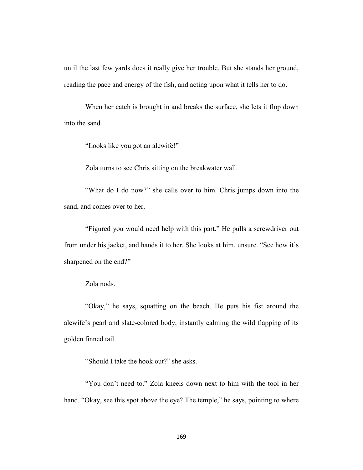until the last few yards does it really give her trouble. But she stands her ground, reading the pace and energy of the fish, and acting upon what it tells her to do.

When her catch is brought in and breaks the surface, she lets it flop down into the sand.

"Looks like you got an alewife!"

Zola turns to see Chris sitting on the breakwater wall.

"What do I do now?" she calls over to him. Chris jumps down into the sand, and comes over to her.

"Figured you would need help with this part." He pulls a screwdriver out from under his jacket, and hands it to her. She looks at him, unsure. "See how it's sharpened on the end?"

Zola nods.

"Okay," he says, squatting on the beach. He puts his fist around the alewife's pearl and slate-colored body, instantly calming the wild flapping of its golden finned tail.

"Should I take the hook out?" she asks.

"You don't need to." Zola kneels down next to him with the tool in her hand. "Okay, see this spot above the eye? The temple," he says, pointing to where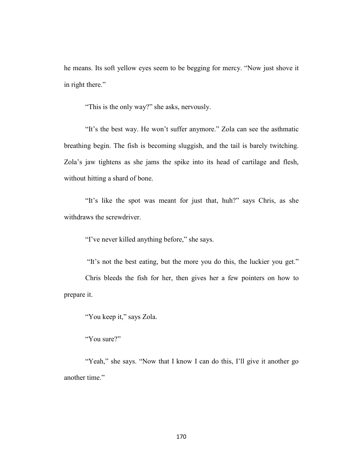he means. Its soft yellow eyes seem to be begging for mercy. "Now just shove it in right there."

"This is the only way?" she asks, nervously.

"It's the best way. He won't suffer anymore." Zola can see the asthmatic breathing begin. The fish is becoming sluggish, and the tail is barely twitching. Zola's jaw tightens as she jams the spike into its head of cartilage and flesh, without hitting a shard of bone.

"It's like the spot was meant for just that, huh?" says Chris, as she withdraws the screwdriver.

"I've never killed anything before," she says.

"It's not the best eating, but the more you do this, the luckier you get." Chris bleeds the fish for her, then gives her a few pointers on how to prepare it.

"You keep it," says Zola.

"You sure?"

"Yeah," she says. "Now that I know I can do this, I'll give it another go another time."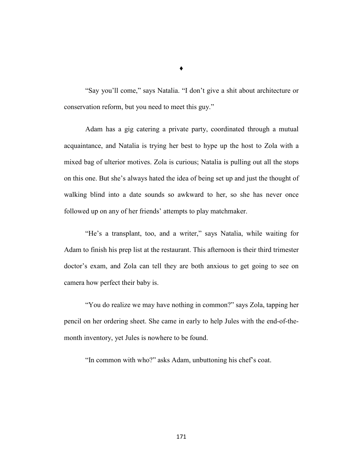"Say you'll come," says Natalia. "I don't give a shit about architecture or conservation reform, but you need to meet this guy."

Adam has a gig catering a private party, coordinated through a mutual acquaintance, and Natalia is trying her best to hype up the host to Zola with a mixed bag of ulterior motives. Zola is curious; Natalia is pulling out all the stops on this one. But she's always hated the idea of being set up and just the thought of walking blind into a date sounds so awkward to her, so she has never once followed up on any of her friends' attempts to play matchmaker.

"He's a transplant, too, and a writer," says Natalia, while waiting for Adam to finish his prep list at the restaurant. This afternoon is their third trimester doctor's exam, and Zola can tell they are both anxious to get going to see on camera how perfect their baby is.

"You do realize we may have nothing in common?" says Zola, tapping her pencil on her ordering sheet. She came in early to help Jules with the end-of-themonth inventory, yet Jules is nowhere to be found.

"In common with who?" asks Adam, unbuttoning his chef's coat.

♦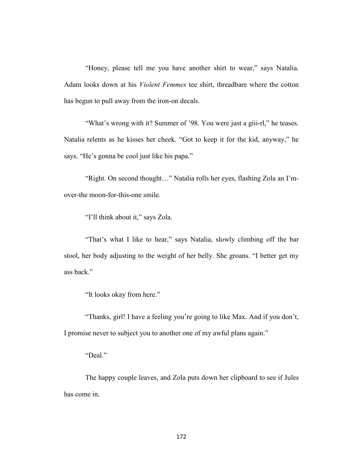"Honey, please tell me you have another shirt to wear," says Natalia. Adam looks down at his *Violent Femmes* tee shirt, threadbare where the cotton has begun to pull away from the iron-on decals.

"What's wrong with it? Summer of '98. You were just a giii-rl," he teases. Natalia relents as he kisses her cheek. "Got to keep it for the kid, anyway," he says. "He's gonna be cool just like his papa."

"Right. On second thought…" Natalia rolls her eyes, flashing Zola an I'mover-the moon-for-this-one smile.

"I'll think about it," says Zola.

"That's what I like to hear," says Natalia, slowly climbing off the bar stool, her body adjusting to the weight of her belly. She groans. "I better get my ass back."

"It looks okay from here."

"Thanks, girl! I have a feeling you're going to like Max. And if you don't, I promise never to subject you to another one of my awful plans again."

"Deal."

The happy couple leaves, and Zola puts down her clipboard to see if Jules has come in.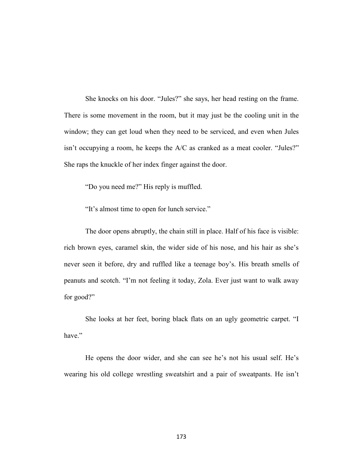She knocks on his door. "Jules?" she says, her head resting on the frame. There is some movement in the room, but it may just be the cooling unit in the window; they can get loud when they need to be serviced, and even when Jules isn't occupying a room, he keeps the A/C as cranked as a meat cooler. "Jules?" She raps the knuckle of her index finger against the door.

"Do you need me?" His reply is muffled.

"It's almost time to open for lunch service."

The door opens abruptly, the chain still in place. Half of his face is visible: rich brown eyes, caramel skin, the wider side of his nose, and his hair as she's never seen it before, dry and ruffled like a teenage boy's. His breath smells of peanuts and scotch. "I'm not feeling it today, Zola. Ever just want to walk away for good?"

She looks at her feet, boring black flats on an ugly geometric carpet. "I have."

He opens the door wider, and she can see he's not his usual self. He's wearing his old college wrestling sweatshirt and a pair of sweatpants. He isn't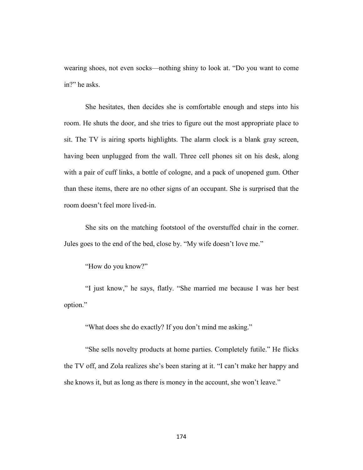wearing shoes, not even socks—nothing shiny to look at. "Do you want to come in?" he asks.

She hesitates, then decides she is comfortable enough and steps into his room. He shuts the door, and she tries to figure out the most appropriate place to sit. The TV is airing sports highlights. The alarm clock is a blank gray screen, having been unplugged from the wall. Three cell phones sit on his desk, along with a pair of cuff links, a bottle of cologne, and a pack of unopened gum. Other than these items, there are no other signs of an occupant. She is surprised that the room doesn't feel more lived-in.

She sits on the matching footstool of the overstuffed chair in the corner. Jules goes to the end of the bed, close by. "My wife doesn't love me."

"How do you know?"

"I just know," he says, flatly. "She married me because I was her best option."

"What does she do exactly? If you don't mind me asking."

"She sells novelty products at home parties. Completely futile." He flicks the TV off, and Zola realizes she's been staring at it. "I can't make her happy and she knows it, but as long as there is money in the account, she won't leave."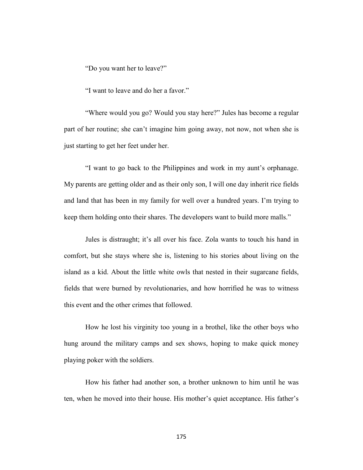"Do you want her to leave?"

"I want to leave and do her a favor."

"Where would you go? Would you stay here?" Jules has become a regular part of her routine; she can't imagine him going away, not now, not when she is just starting to get her feet under her.

"I want to go back to the Philippines and work in my aunt's orphanage. My parents are getting older and as their only son, I will one day inherit rice fields and land that has been in my family for well over a hundred years. I'm trying to keep them holding onto their shares. The developers want to build more malls."

Jules is distraught; it's all over his face. Zola wants to touch his hand in comfort, but she stays where she is, listening to his stories about living on the island as a kid. About the little white owls that nested in their sugarcane fields, fields that were burned by revolutionaries, and how horrified he was to witness this event and the other crimes that followed.

How he lost his virginity too young in a brothel, like the other boys who hung around the military camps and sex shows, hoping to make quick money playing poker with the soldiers.

How his father had another son, a brother unknown to him until he was ten, when he moved into their house. His mother's quiet acceptance. His father's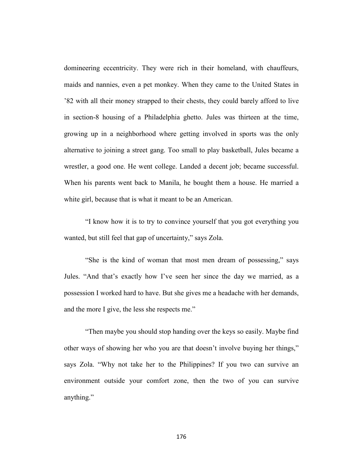domineering eccentricity. They were rich in their homeland, with chauffeurs, maids and nannies, even a pet monkey. When they came to the United States in '82 with all their money strapped to their chests, they could barely afford to live in section-8 housing of a Philadelphia ghetto. Jules was thirteen at the time, growing up in a neighborhood where getting involved in sports was the only alternative to joining a street gang. Too small to play basketball, Jules became a wrestler, a good one. He went college. Landed a decent job; became successful. When his parents went back to Manila, he bought them a house. He married a white girl, because that is what it meant to be an American.

"I know how it is to try to convince yourself that you got everything you wanted, but still feel that gap of uncertainty," says Zola.

"She is the kind of woman that most men dream of possessing," says Jules. "And that's exactly how I've seen her since the day we married, as a possession I worked hard to have. But she gives me a headache with her demands, and the more I give, the less she respects me."

"Then maybe you should stop handing over the keys so easily. Maybe find other ways of showing her who you are that doesn't involve buying her things," says Zola. "Why not take her to the Philippines? If you two can survive an environment outside your comfort zone, then the two of you can survive anything."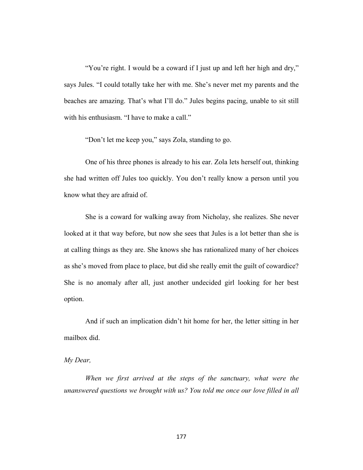"You're right. I would be a coward if I just up and left her high and dry," says Jules. "I could totally take her with me. She's never met my parents and the beaches are amazing. That's what I'll do." Jules begins pacing, unable to sit still with his enthusiasm. "I have to make a call."

"Don't let me keep you," says Zola, standing to go.

One of his three phones is already to his ear. Zola lets herself out, thinking she had written off Jules too quickly. You don't really know a person until you know what they are afraid of.

She is a coward for walking away from Nicholay, she realizes. She never looked at it that way before, but now she sees that Jules is a lot better than she is at calling things as they are. She knows she has rationalized many of her choices as she's moved from place to place, but did she really emit the guilt of cowardice? She is no anomaly after all, just another undecided girl looking for her best option.

And if such an implication didn't hit home for her, the letter sitting in her mailbox did.

## *My Dear,*

*When we first arrived at the steps of the sanctuary, what were the unanswered questions we brought with us? You told me once our love filled in all*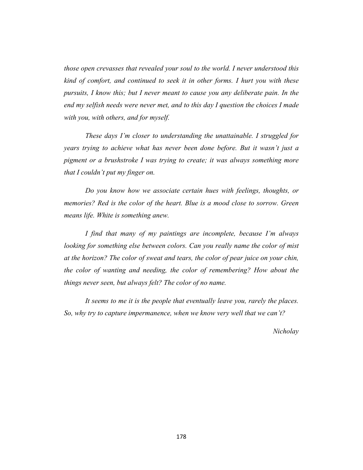*those open crevasses that revealed your soul to the world. I never understood this kind of comfort, and continued to seek it in other forms. I hurt you with these pursuits, I know this; but I never meant to cause you any deliberate pain. In the end my selfish needs were never met, and to this day I question the choices I made with you, with others, and for myself.* 

*These days I'm closer to understanding the unattainable. I struggled for years trying to achieve what has never been done before. But it wasn't just a pigment or a brushstroke I was trying to create; it was always something more that I couldn't put my finger on.* 

*Do you know how we associate certain hues with feelings, thoughts, or memories? Red is the color of the heart. Blue is a mood close to sorrow. Green means life. White is something anew.*

*I find that many of my paintings are incomplete, because I'm always looking for something else between colors. Can you really name the color of mist at the horizon? The color of sweat and tears, the color of pear juice on your chin, the color of wanting and needing, the color of remembering? How about the things never seen, but always felt? The color of no name.*

*It seems to me it is the people that eventually leave you, rarely the places. So, why try to capture impermanence, when we know very well that we can't?* 

*Nicholay*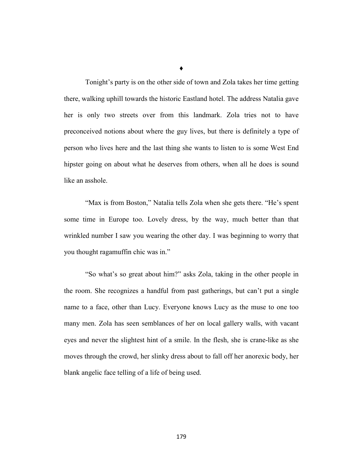Tonight's party is on the other side of town and Zola takes her time getting there, walking uphill towards the historic Eastland hotel. The address Natalia gave her is only two streets over from this landmark. Zola tries not to have preconceived notions about where the guy lives, but there is definitely a type of person who lives here and the last thing she wants to listen to is some West End hipster going on about what he deserves from others, when all he does is sound like an asshole.

"Max is from Boston," Natalia tells Zola when she gets there. "He's spent some time in Europe too. Lovely dress, by the way, much better than that wrinkled number I saw you wearing the other day. I was beginning to worry that you thought ragamuffin chic was in."

"So what's so great about him?" asks Zola, taking in the other people in the room. She recognizes a handful from past gatherings, but can't put a single name to a face, other than Lucy. Everyone knows Lucy as the muse to one too many men. Zola has seen semblances of her on local gallery walls, with vacant eyes and never the slightest hint of a smile. In the flesh, she is crane-like as she moves through the crowd, her slinky dress about to fall off her anorexic body, her blank angelic face telling of a life of being used.

♦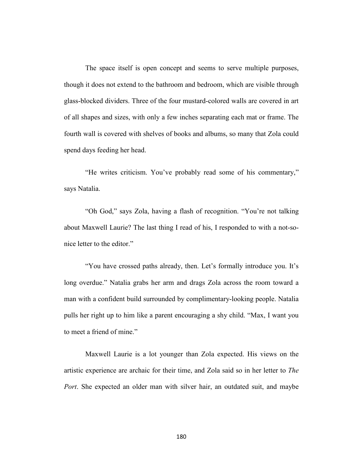The space itself is open concept and seems to serve multiple purposes, though it does not extend to the bathroom and bedroom, which are visible through glass-blocked dividers. Three of the four mustard-colored walls are covered in art of all shapes and sizes, with only a few inches separating each mat or frame. The fourth wall is covered with shelves of books and albums, so many that Zola could spend days feeding her head.

"He writes criticism. You've probably read some of his commentary," says Natalia.

"Oh God," says Zola, having a flash of recognition. "You're not talking about Maxwell Laurie? The last thing I read of his, I responded to with a not-sonice letter to the editor."

"You have crossed paths already, then. Let's formally introduce you. It's long overdue." Natalia grabs her arm and drags Zola across the room toward a man with a confident build surrounded by complimentary-looking people. Natalia pulls her right up to him like a parent encouraging a shy child. "Max, I want you to meet a friend of mine."

Maxwell Laurie is a lot younger than Zola expected. His views on the artistic experience are archaic for their time, and Zola said so in her letter to *The Port*. She expected an older man with silver hair, an outdated suit, and maybe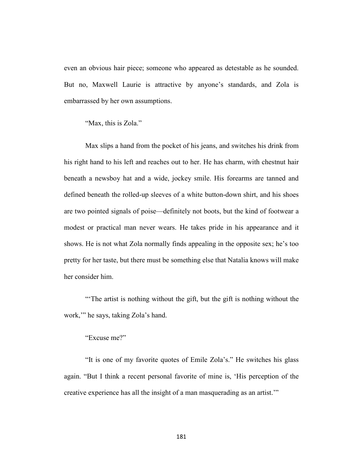even an obvious hair piece; someone who appeared as detestable as he sounded. But no, Maxwell Laurie is attractive by anyone's standards, and Zola is embarrassed by her own assumptions.

"Max, this is Zola."

Max slips a hand from the pocket of his jeans, and switches his drink from his right hand to his left and reaches out to her. He has charm, with chestnut hair beneath a newsboy hat and a wide, jockey smile. His forearms are tanned and defined beneath the rolled-up sleeves of a white button-down shirt, and his shoes are two pointed signals of poise—definitely not boots, but the kind of footwear a modest or practical man never wears. He takes pride in his appearance and it shows. He is not what Zola normally finds appealing in the opposite sex; he's too pretty for her taste, but there must be something else that Natalia knows will make her consider him.

"'The artist is nothing without the gift, but the gift is nothing without the work,'" he says, taking Zola's hand.

### "Excuse me?"

"It is one of my favorite quotes of Emile Zola's." He switches his glass again. "But I think a recent personal favorite of mine is, 'His perception of the creative experience has all the insight of a man masquerading as an artist.'"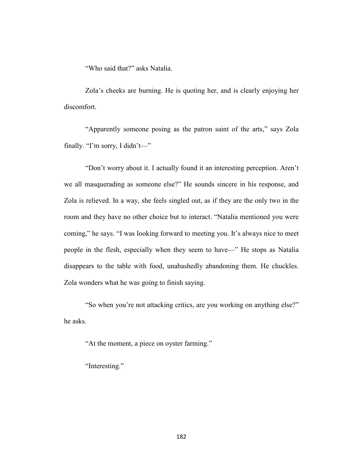"Who said that?" asks Natalia.

Zola's cheeks are burning. He is quoting her, and is clearly enjoying her discomfort.

"Apparently someone posing as the patron saint of the arts," says Zola finally. "I'm sorry, I didn't—"

"Don't worry about it. I actually found it an interesting perception. Aren't we all masquerading as someone else?" He sounds sincere in his response, and Zola is relieved. In a way, she feels singled out, as if they are the only two in the room and they have no other choice but to interact. "Natalia mentioned you were coming," he says. "I was looking forward to meeting you. It's always nice to meet people in the flesh, especially when they seem to have—" He stops as Natalia disappears to the table with food, unabashedly abandoning them. He chuckles. Zola wonders what he was going to finish saying.

"So when you're not attacking critics, are you working on anything else?" he asks.

"At the moment, a piece on oyster farming."

"Interesting."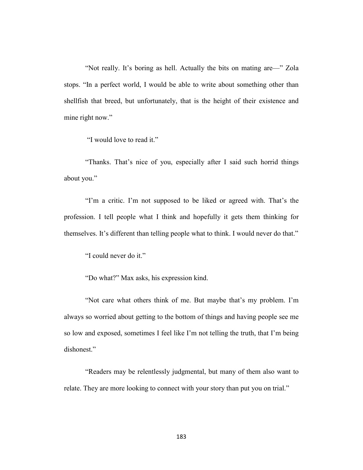"Not really. It's boring as hell. Actually the bits on mating are—" Zola stops. "In a perfect world, I would be able to write about something other than shellfish that breed, but unfortunately, that is the height of their existence and mine right now."

"I would love to read it."

"Thanks. That's nice of you, especially after I said such horrid things about you."

"I'm a critic. I'm not supposed to be liked or agreed with. That's the profession. I tell people what I think and hopefully it gets them thinking for themselves. It's different than telling people what to think. I would never do that."

"I could never do it."

"Do what?" Max asks, his expression kind.

"Not care what others think of me. But maybe that's my problem. I'm always so worried about getting to the bottom of things and having people see me so low and exposed, sometimes I feel like I'm not telling the truth, that I'm being dishonest."

"Readers may be relentlessly judgmental, but many of them also want to relate. They are more looking to connect with your story than put you on trial."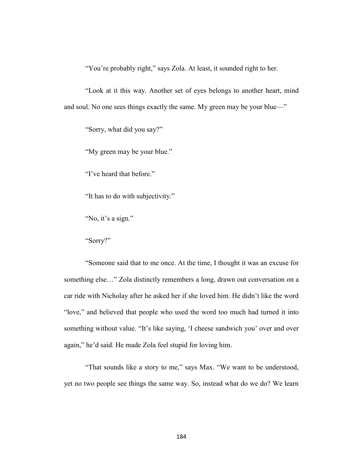"You're probably right," says Zola. At least, it sounded right to her.

"Look at it this way. Another set of eyes belongs to another heart, mind and soul. No one sees things exactly the same. My green may be your blue—"

"Sorry, what did you say?"

"My green may be your blue."

"I've heard that before."

"It has to do with subjectivity."

"No, it's a sign."

"Sorry?"

"Someone said that to me once. At the time, I thought it was an excuse for something else…" Zola distinctly remembers a long, drawn out conversation on a car ride with Nicholay after he asked her if she loved him. He didn't like the word "love," and believed that people who used the word too much had turned it into something without value. "It's like saying, 'I cheese sandwich you' over and over again," he'd said. He made Zola feel stupid for loving him.

"That sounds like a story to me," says Max. "We want to be understood, yet no two people see things the same way. So, instead what do we do? We learn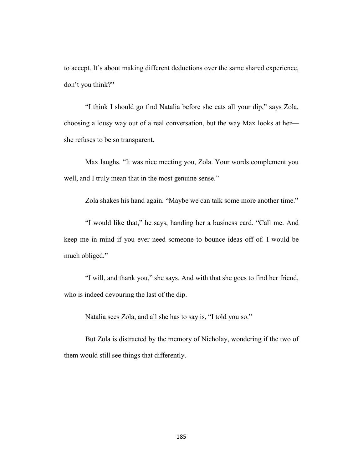to accept. It's about making different deductions over the same shared experience, don't you think?"

"I think I should go find Natalia before she eats all your dip," says Zola, choosing a lousy way out of a real conversation, but the way Max looks at her she refuses to be so transparent.

Max laughs. "It was nice meeting you, Zola. Your words complement you well, and I truly mean that in the most genuine sense."

Zola shakes his hand again. "Maybe we can talk some more another time."

"I would like that," he says, handing her a business card. "Call me. And keep me in mind if you ever need someone to bounce ideas off of. I would be much obliged."

"I will, and thank you," she says. And with that she goes to find her friend, who is indeed devouring the last of the dip.

Natalia sees Zola, and all she has to say is, "I told you so."

But Zola is distracted by the memory of Nicholay, wondering if the two of them would still see things that differently.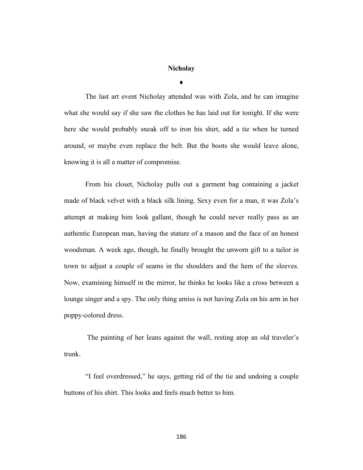### **Nicholay**

**♦**

The last art event Nicholay attended was with Zola, and he can imagine what she would say if she saw the clothes he has laid out for tonight. If she were here she would probably sneak off to iron his shirt, add a tie when he turned around, or maybe even replace the belt. But the boots she would leave alone, knowing it is all a matter of compromise.

From his closet, Nicholay pulls out a garment bag containing a jacket made of black velvet with a black silk lining. Sexy even for a man, it was Zola's attempt at making him look gallant, though he could never really pass as an authentic European man, having the stature of a mason and the face of an honest woodsman. A week ago, though, he finally brought the unworn gift to a tailor in town to adjust a couple of seams in the shoulders and the hem of the sleeves. Now, examining himself in the mirror, he thinks he looks like a cross between a lounge singer and a spy. The only thing amiss is not having Zola on his arm in her poppy-colored dress.

The painting of her leans against the wall, resting atop an old traveler's trunk.

"I feel overdressed," he says, getting rid of the tie and undoing a couple buttons of his shirt. This looks and feels much better to him.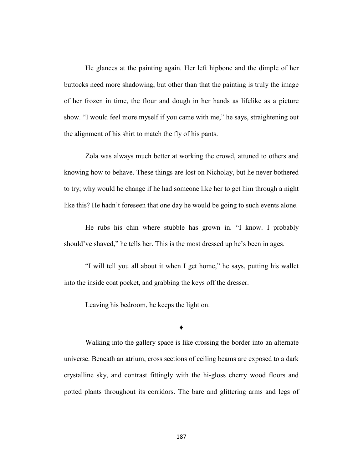He glances at the painting again. Her left hipbone and the dimple of her buttocks need more shadowing, but other than that the painting is truly the image of her frozen in time, the flour and dough in her hands as lifelike as a picture show. "I would feel more myself if you came with me," he says, straightening out the alignment of his shirt to match the fly of his pants.

Zola was always much better at working the crowd, attuned to others and knowing how to behave. These things are lost on Nicholay, but he never bothered to try; why would he change if he had someone like her to get him through a night like this? He hadn't foreseen that one day he would be going to such events alone.

He rubs his chin where stubble has grown in. "I know. I probably should've shaved," he tells her. This is the most dressed up he's been in ages.

"I will tell you all about it when I get home," he says, putting his wallet into the inside coat pocket, and grabbing the keys off the dresser.

Leaving his bedroom, he keeps the light on.

#### **♦**

Walking into the gallery space is like crossing the border into an alternate universe. Beneath an atrium, cross sections of ceiling beams are exposed to a dark crystalline sky, and contrast fittingly with the hi-gloss cherry wood floors and potted plants throughout its corridors. The bare and glittering arms and legs of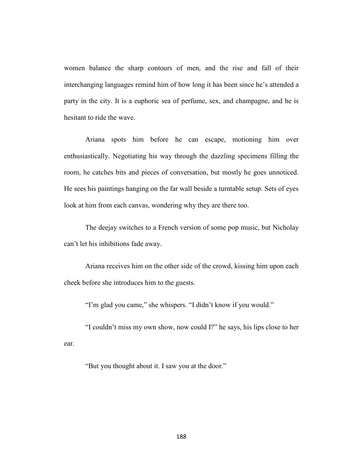women balance the sharp contours of men, and the rise and fall of their interchanging languages remind him of how long it has been since he's attended a party in the city. It is a euphoric sea of perfume, sex, and champagne, and he is hesitant to ride the wave.

Ariana spots him before he can escape, motioning him over enthusiastically. Negotiating his way through the dazzling specimens filling the room, he catches bits and pieces of conversation, but mostly he goes unnoticed. He sees his paintings hanging on the far wall beside a turntable setup. Sets of eyes look at him from each canvas, wondering why they are there too.

The deejay switches to a French version of some pop music, but Nicholay can't let his inhibitions fade away.

Ariana receives him on the other side of the crowd, kissing him upon each cheek before she introduces him to the guests.

"I'm glad you came," she whispers. "I didn't know if you would."

"I couldn't miss my own show, now could I?" he says, his lips close to her ear.

"But you thought about it. I saw you at the door."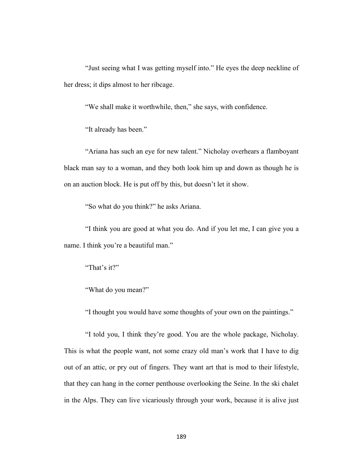"Just seeing what I was getting myself into." He eyes the deep neckline of her dress; it dips almost to her ribcage.

"We shall make it worthwhile, then," she says, with confidence.

"It already has been."

"Ariana has such an eye for new talent." Nicholay overhears a flamboyant black man say to a woman, and they both look him up and down as though he is on an auction block. He is put off by this, but doesn't let it show.

"So what do you think?" he asks Ariana.

"I think you are good at what you do. And if you let me, I can give you a name. I think you're a beautiful man."

"That's it?"

"What do you mean?"

"I thought you would have some thoughts of your own on the paintings."

"I told you, I think they're good. You are the whole package, Nicholay. This is what the people want, not some crazy old man's work that I have to dig out of an attic, or pry out of fingers. They want art that is mod to their lifestyle, that they can hang in the corner penthouse overlooking the Seine. In the ski chalet in the Alps. They can live vicariously through your work, because it is alive just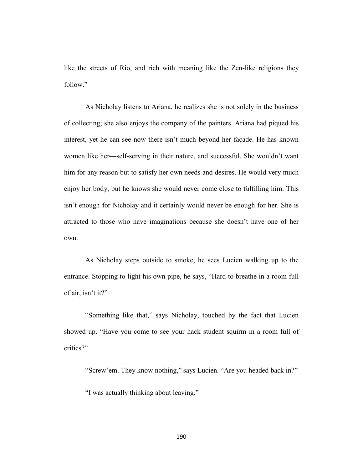like the streets of Rio, and rich with meaning like the Zen-like religions they follow."

As Nicholay listens to Ariana, he realizes she is not solely in the business of collecting; she also enjoys the company of the painters. Ariana had piqued his interest, yet he can see now there isn't much beyond her façade. He has known women like her—self-serving in their nature, and successful. She wouldn't want him for any reason but to satisfy her own needs and desires. He would very much enjoy her body, but he knows she would never come close to fulfilling him. This isn't enough for Nicholay and it certainly would never be enough for her. She is attracted to those who have imaginations because she doesn't have one of her own.

As Nicholay steps outside to smoke, he sees Lucien walking up to the entrance. Stopping to light his own pipe, he says, "Hard to breathe in a room full of air, isn't it?"

"Something like that," says Nicholay, touched by the fact that Lucien showed up. "Have you come to see your hack student squirm in a room full of critics?"

"Screw'em. They know nothing," says Lucien. "Are you headed back in?"

"I was actually thinking about leaving."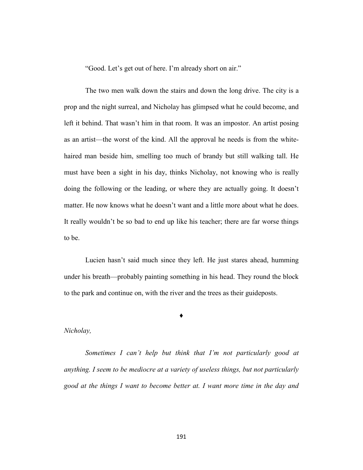"Good. Let's get out of here. I'm already short on air."

The two men walk down the stairs and down the long drive. The city is a prop and the night surreal, and Nicholay has glimpsed what he could become, and left it behind. That wasn't him in that room. It was an impostor. An artist posing as an artist—the worst of the kind. All the approval he needs is from the whitehaired man beside him, smelling too much of brandy but still walking tall. He must have been a sight in his day, thinks Nicholay, not knowing who is really doing the following or the leading, or where they are actually going. It doesn't matter. He now knows what he doesn't want and a little more about what he does. It really wouldn't be so bad to end up like his teacher; there are far worse things to be.

Lucien hasn't said much since they left. He just stares ahead, humming under his breath—probably painting something in his head. They round the block to the park and continue on, with the river and the trees as their guideposts.

#### **♦**

#### *Nicholay,*

*Sometimes I can't help but think that I'm not particularly good at anything. I seem to be mediocre at a variety of useless things, but not particularly good at the things I want to become better at. I want more time in the day and*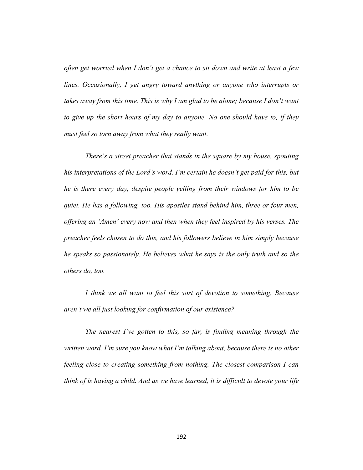*often get worried when I don't get a chance to sit down and write at least a few lines. Occasionally, I get angry toward anything or anyone who interrupts or takes away from this time. This is why I am glad to be alone; because I don't want to give up the short hours of my day to anyone. No one should have to, if they must feel so torn away from what they really want.*

*There's a street preacher that stands in the square by my house, spouting his interpretations of the Lord's word. I'm certain he doesn't get paid for this, but he is there every day, despite people yelling from their windows for him to be quiet. He has a following, too. His apostles stand behind him, three or four men, offering an 'Amen' every now and then when they feel inspired by his verses. The preacher feels chosen to do this, and his followers believe in him simply because he speaks so passionately. He believes what he says is the only truth and so the others do, too.* 

*I think we all want to feel this sort of devotion to something. Because aren't we all just looking for confirmation of our existence?* 

*The nearest I've gotten to this, so far, is finding meaning through the written word. I'm sure you know what I'm talking about, because there is no other feeling close to creating something from nothing. The closest comparison I can think of is having a child. And as we have learned, it is difficult to devote your life*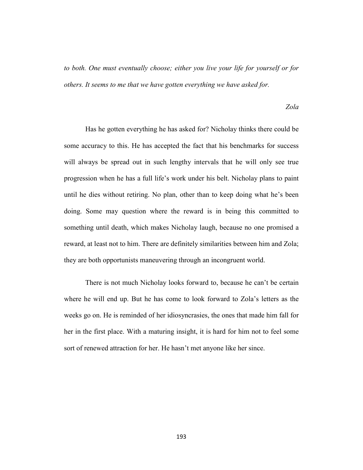*to both. One must eventually choose; either you live your life for yourself or for others. It seems to me that we have gotten everything we have asked for.* 

#### *Zola*

Has he gotten everything he has asked for? Nicholay thinks there could be some accuracy to this. He has accepted the fact that his benchmarks for success will always be spread out in such lengthy intervals that he will only see true progression when he has a full life's work under his belt. Nicholay plans to paint until he dies without retiring. No plan, other than to keep doing what he's been doing. Some may question where the reward is in being this committed to something until death, which makes Nicholay laugh, because no one promised a reward, at least not to him. There are definitely similarities between him and Zola; they are both opportunists maneuvering through an incongruent world.

There is not much Nicholay looks forward to, because he can't be certain where he will end up. But he has come to look forward to Zola's letters as the weeks go on. He is reminded of her idiosyncrasies, the ones that made him fall for her in the first place. With a maturing insight, it is hard for him not to feel some sort of renewed attraction for her. He hasn't met anyone like her since.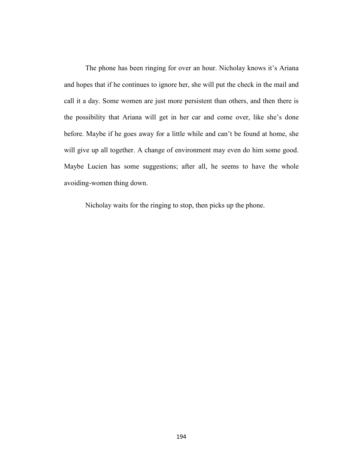The phone has been ringing for over an hour. Nicholay knows it's Ariana and hopes that if he continues to ignore her, she will put the check in the mail and call it a day. Some women are just more persistent than others, and then there is the possibility that Ariana will get in her car and come over, like she's done before. Maybe if he goes away for a little while and can't be found at home, she will give up all together. A change of environment may even do him some good. Maybe Lucien has some suggestions; after all, he seems to have the whole avoiding-women thing down.

Nicholay waits for the ringing to stop, then picks up the phone.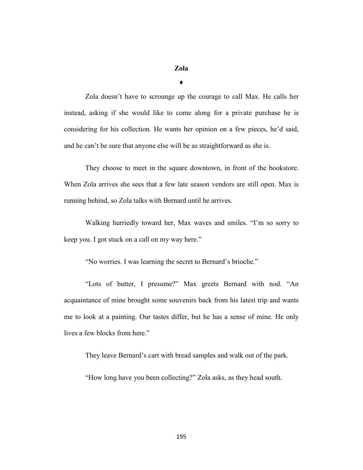# **Zola**

**♦**

Zola doesn't have to scrounge up the courage to call Max. He calls her instead, asking if she would like to come along for a private purchase he is considering for his collection. He wants her opinion on a few pieces, he'd said, and he can't be sure that anyone else will be as straightforward as she is.

They choose to meet in the square downtown, in front of the bookstore. When Zola arrives she sees that a few late season vendors are still open. Max is running behind, so Zola talks with Bernard until he arrives.

Walking hurriedly toward her, Max waves and smiles. "I'm so sorry to keep you. I got stuck on a call on my way here."

"No worries. I was learning the secret to Bernard's brioche."

"Lots of butter, I presume?" Max greets Bernard with nod. "An acquaintance of mine brought some souvenirs back from his latest trip and wants me to look at a painting. Our tastes differ, but he has a sense of mine. He only lives a few blocks from here."

They leave Bernard's cart with bread samples and walk out of the park.

"How long have you been collecting?" Zola asks, as they head south.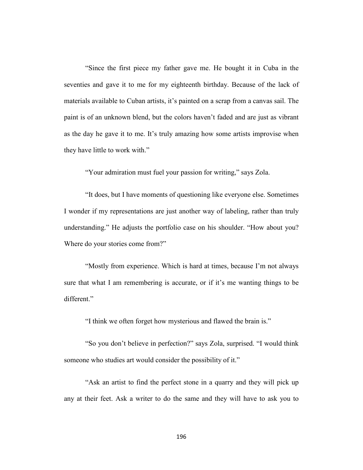"Since the first piece my father gave me. He bought it in Cuba in the seventies and gave it to me for my eighteenth birthday. Because of the lack of materials available to Cuban artists, it's painted on a scrap from a canvas sail. The paint is of an unknown blend, but the colors haven't faded and are just as vibrant as the day he gave it to me. It's truly amazing how some artists improvise when they have little to work with."

"Your admiration must fuel your passion for writing," says Zola.

"It does, but I have moments of questioning like everyone else. Sometimes I wonder if my representations are just another way of labeling, rather than truly understanding." He adjusts the portfolio case on his shoulder. "How about you? Where do your stories come from?"

"Mostly from experience. Which is hard at times, because I'm not always sure that what I am remembering is accurate, or if it's me wanting things to be different."

"I think we often forget how mysterious and flawed the brain is."

"So you don't believe in perfection?" says Zola, surprised. "I would think someone who studies art would consider the possibility of it."

"Ask an artist to find the perfect stone in a quarry and they will pick up any at their feet. Ask a writer to do the same and they will have to ask you to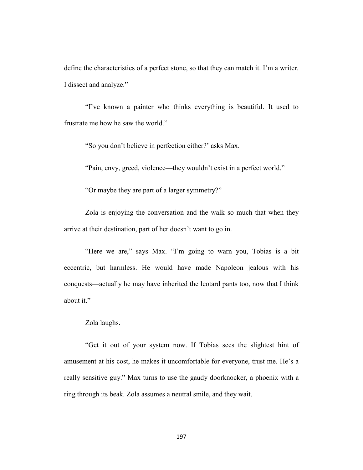define the characteristics of a perfect stone, so that they can match it. I'm a writer. I dissect and analyze."

"I've known a painter who thinks everything is beautiful. It used to frustrate me how he saw the world."

"So you don't believe in perfection either?' asks Max.

"Pain, envy, greed, violence—they wouldn't exist in a perfect world."

"Or maybe they are part of a larger symmetry?"

Zola is enjoying the conversation and the walk so much that when they arrive at their destination, part of her doesn't want to go in.

"Here we are," says Max. "I'm going to warn you, Tobias is a bit eccentric, but harmless. He would have made Napoleon jealous with his conquests—actually he may have inherited the leotard pants too, now that I think about it."

### Zola laughs.

"Get it out of your system now. If Tobias sees the slightest hint of amusement at his cost, he makes it uncomfortable for everyone, trust me. He's a really sensitive guy." Max turns to use the gaudy doorknocker, a phoenix with a ring through its beak. Zola assumes a neutral smile, and they wait.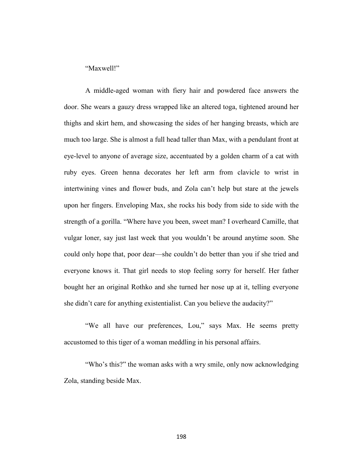"Maxwell!"

A middle-aged woman with fiery hair and powdered face answers the door. She wears a gauzy dress wrapped like an altered toga, tightened around her thighs and skirt hem, and showcasing the sides of her hanging breasts, which are much too large. She is almost a full head taller than Max, with a pendulant front at eye-level to anyone of average size, accentuated by a golden charm of a cat with ruby eyes. Green henna decorates her left arm from clavicle to wrist in intertwining vines and flower buds, and Zola can't help but stare at the jewels upon her fingers. Enveloping Max, she rocks his body from side to side with the strength of a gorilla. "Where have you been, sweet man? I overheard Camille, that vulgar loner, say just last week that you wouldn't be around anytime soon. She could only hope that, poor dear—she couldn't do better than you if she tried and everyone knows it. That girl needs to stop feeling sorry for herself. Her father bought her an original Rothko and she turned her nose up at it, telling everyone she didn't care for anything existentialist. Can you believe the audacity?"

"We all have our preferences, Lou," says Max. He seems pretty accustomed to this tiger of a woman meddling in his personal affairs.

"Who's this?" the woman asks with a wry smile, only now acknowledging Zola, standing beside Max.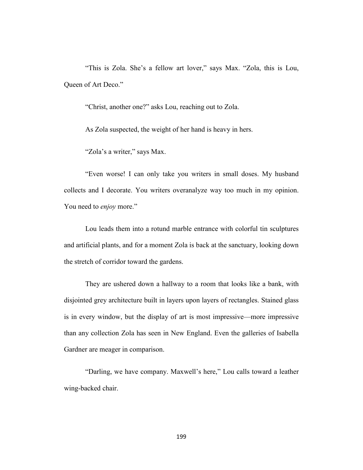"This is Zola. She's a fellow art lover," says Max. "Zola, this is Lou, Queen of Art Deco."

"Christ, another one?" asks Lou, reaching out to Zola.

As Zola suspected, the weight of her hand is heavy in hers.

"Zola's a writer," says Max.

"Even worse! I can only take you writers in small doses. My husband collects and I decorate. You writers overanalyze way too much in my opinion. You need to *enjoy* more."

Lou leads them into a rotund marble entrance with colorful tin sculptures and artificial plants, and for a moment Zola is back at the sanctuary, looking down the stretch of corridor toward the gardens.

They are ushered down a hallway to a room that looks like a bank, with disjointed grey architecture built in layers upon layers of rectangles. Stained glass is in every window, but the display of art is most impressive—more impressive than any collection Zola has seen in New England. Even the galleries of Isabella Gardner are meager in comparison.

"Darling, we have company. Maxwell's here," Lou calls toward a leather wing-backed chair.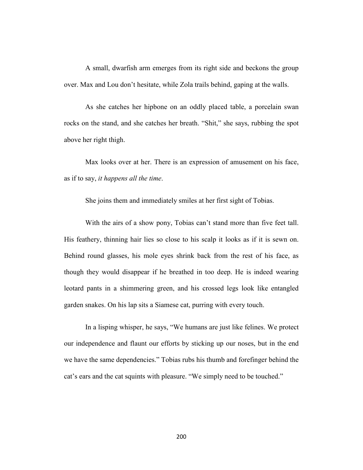A small, dwarfish arm emerges from its right side and beckons the group over. Max and Lou don't hesitate, while Zola trails behind, gaping at the walls.

As she catches her hipbone on an oddly placed table, a porcelain swan rocks on the stand, and she catches her breath. "Shit," she says, rubbing the spot above her right thigh.

Max looks over at her. There is an expression of amusement on his face, as if to say, *it happens all the time*.

She joins them and immediately smiles at her first sight of Tobias.

With the airs of a show pony, Tobias can't stand more than five feet tall. His feathery, thinning hair lies so close to his scalp it looks as if it is sewn on. Behind round glasses, his mole eyes shrink back from the rest of his face, as though they would disappear if he breathed in too deep. He is indeed wearing leotard pants in a shimmering green, and his crossed legs look like entangled garden snakes. On his lap sits a Siamese cat, purring with every touch.

In a lisping whisper, he says, "We humans are just like felines. We protect our independence and flaunt our efforts by sticking up our noses, but in the end we have the same dependencies." Tobias rubs his thumb and forefinger behind the cat's ears and the cat squints with pleasure. "We simply need to be touched."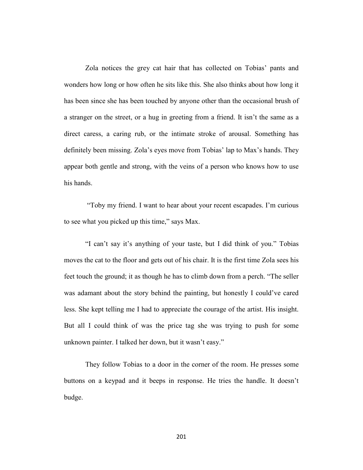Zola notices the grey cat hair that has collected on Tobias' pants and wonders how long or how often he sits like this. She also thinks about how long it has been since she has been touched by anyone other than the occasional brush of a stranger on the street, or a hug in greeting from a friend. It isn't the same as a direct caress, a caring rub, or the intimate stroke of arousal. Something has definitely been missing. Zola's eyes move from Tobias' lap to Max's hands. They appear both gentle and strong, with the veins of a person who knows how to use his hands.

"Toby my friend. I want to hear about your recent escapades. I'm curious to see what you picked up this time," says Max.

"I can't say it's anything of your taste, but I did think of you." Tobias moves the cat to the floor and gets out of his chair. It is the first time Zola sees his feet touch the ground; it as though he has to climb down from a perch. "The seller was adamant about the story behind the painting, but honestly I could've cared less. She kept telling me I had to appreciate the courage of the artist. His insight. But all I could think of was the price tag she was trying to push for some unknown painter. I talked her down, but it wasn't easy."

They follow Tobias to a door in the corner of the room. He presses some buttons on a keypad and it beeps in response. He tries the handle. It doesn't budge.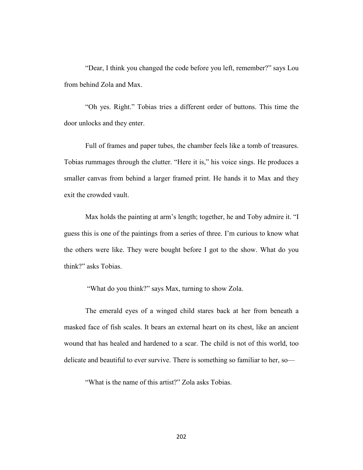"Dear, I think you changed the code before you left, remember?" says Lou from behind Zola and Max.

"Oh yes. Right." Tobias tries a different order of buttons. This time the door unlocks and they enter.

Full of frames and paper tubes, the chamber feels like a tomb of treasures. Tobias rummages through the clutter. "Here it is," his voice sings. He produces a smaller canvas from behind a larger framed print. He hands it to Max and they exit the crowded vault.

Max holds the painting at arm's length; together, he and Toby admire it. "I guess this is one of the paintings from a series of three. I'm curious to know what the others were like. They were bought before I got to the show. What do you think?" asks Tobias.

"What do you think?" says Max, turning to show Zola.

The emerald eyes of a winged child stares back at her from beneath a masked face of fish scales. It bears an external heart on its chest, like an ancient wound that has healed and hardened to a scar. The child is not of this world, too delicate and beautiful to ever survive. There is something so familiar to her, so—

"What is the name of this artist?" Zola asks Tobias.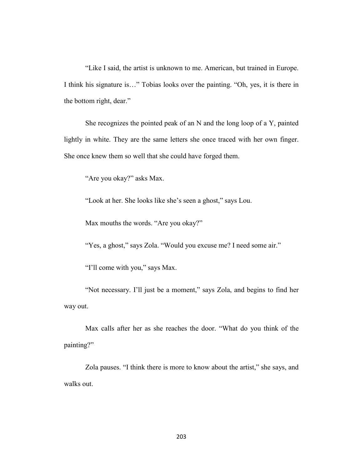"Like I said, the artist is unknown to me. American, but trained in Europe. I think his signature is…" Tobias looks over the painting. "Oh, yes, it is there in the bottom right, dear."

She recognizes the pointed peak of an N and the long loop of a Y, painted lightly in white. They are the same letters she once traced with her own finger. She once knew them so well that she could have forged them.

"Are you okay?" asks Max.

"Look at her. She looks like she's seen a ghost," says Lou.

Max mouths the words. "Are you okay?"

"Yes, a ghost," says Zola. "Would you excuse me? I need some air."

"I'll come with you," says Max.

"Not necessary. I'll just be a moment," says Zola, and begins to find her way out.

Max calls after her as she reaches the door. "What do you think of the painting?"

Zola pauses. "I think there is more to know about the artist," she says, and walks out.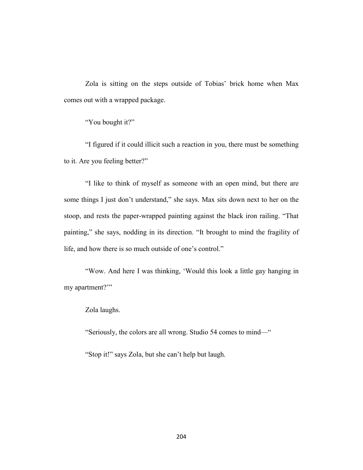Zola is sitting on the steps outside of Tobias' brick home when Max comes out with a wrapped package.

"You bought it?"

"I figured if it could illicit such a reaction in you, there must be something to it. Are you feeling better?"

"I like to think of myself as someone with an open mind, but there are some things I just don't understand," she says. Max sits down next to her on the stoop, and rests the paper-wrapped painting against the black iron railing. "That painting," she says, nodding in its direction. "It brought to mind the fragility of life, and how there is so much outside of one's control."

"Wow. And here I was thinking, 'Would this look a little gay hanging in my apartment?"

Zola laughs.

"Seriously, the colors are all wrong. Studio 54 comes to mind—"

"Stop it!" says Zola, but she can't help but laugh.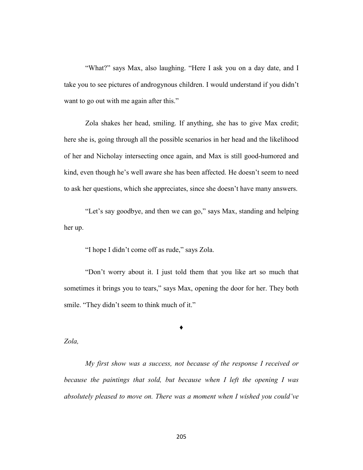"What?" says Max, also laughing. "Here I ask you on a day date, and I take you to see pictures of androgynous children. I would understand if you didn't want to go out with me again after this."

Zola shakes her head, smiling. If anything, she has to give Max credit; here she is, going through all the possible scenarios in her head and the likelihood of her and Nicholay intersecting once again, and Max is still good-humored and kind, even though he's well aware she has been affected. He doesn't seem to need to ask her questions, which she appreciates, since she doesn't have many answers.

"Let's say goodbye, and then we can go," says Max, standing and helping her up.

"I hope I didn't come off as rude," says Zola.

"Don't worry about it. I just told them that you like art so much that sometimes it brings you to tears," says Max, opening the door for her. They both smile. "They didn't seem to think much of it."

**♦**

*Zola,*

*My first show was a success, not because of the response I received or because the paintings that sold, but because when I left the opening I was absolutely pleased to move on. There was a moment when I wished you could've*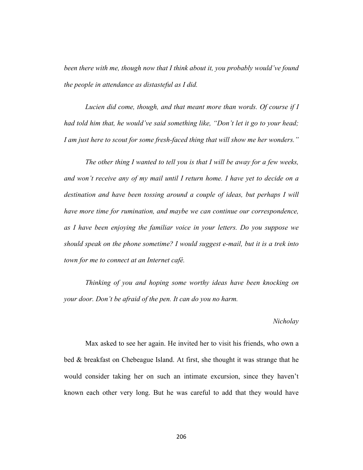*been there with me, though now that I think about it, you probably would've found the people in attendance as distasteful as I did.* 

*Lucien did come, though, and that meant more than words. Of course if I had told him that, he would've said something like, "Don't let it go to your head; I am just here to scout for some fresh-faced thing that will show me her wonders."* 

*The other thing I wanted to tell you is that I will be away for a few weeks, and won't receive any of my mail until I return home. I have yet to decide on a destination and have been tossing around a couple of ideas, but perhaps I will have more time for rumination, and maybe we can continue our correspondence, as I have been enjoying the familiar voice in your letters. Do you suppose we should speak on the phone sometime? I would suggest e-mail, but it is a trek into town for me to connect at an Internet café.* 

*Thinking of you and hoping some worthy ideas have been knocking on your door. Don't be afraid of the pen. It can do you no harm.*

#### *Nicholay*

Max asked to see her again. He invited her to visit his friends, who own a bed & breakfast on Chebeague Island. At first, she thought it was strange that he would consider taking her on such an intimate excursion, since they haven't known each other very long. But he was careful to add that they would have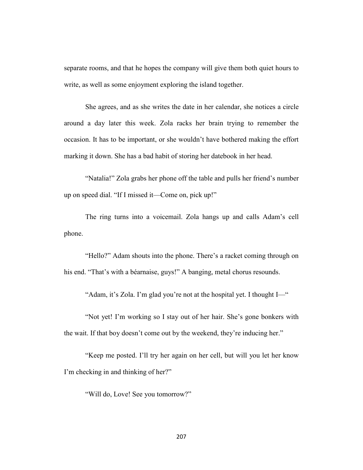separate rooms, and that he hopes the company will give them both quiet hours to write, as well as some enjoyment exploring the island together.

She agrees, and as she writes the date in her calendar, she notices a circle around a day later this week. Zola racks her brain trying to remember the occasion. It has to be important, or she wouldn't have bothered making the effort marking it down. She has a bad habit of storing her datebook in her head.

"Natalia!" Zola grabs her phone off the table and pulls her friend's number up on speed dial. "If I missed it—Come on, pick up!"

The ring turns into a voicemail. Zola hangs up and calls Adam's cell phone.

"Hello?" Adam shouts into the phone. There's a racket coming through on his end. "That's with a béarnaise, guys!" A banging, metal chorus resounds.

"Adam, it's Zola. I'm glad you're not at the hospital yet. I thought I—"

"Not yet! I'm working so I stay out of her hair. She's gone bonkers with the wait. If that boy doesn't come out by the weekend, they're inducing her."

"Keep me posted. I'll try her again on her cell, but will you let her know I'm checking in and thinking of her?"

"Will do, Love! See you tomorrow?"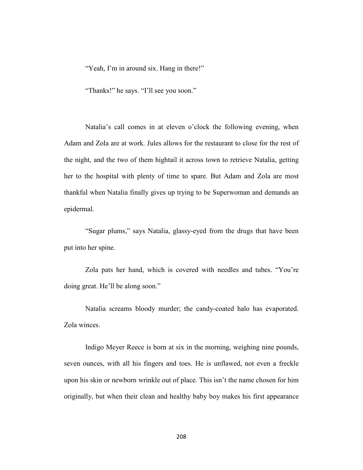"Yeah, I'm in around six. Hang in there!"

"Thanks!" he says. "I'll see you soon."

Natalia's call comes in at eleven o'clock the following evening, when Adam and Zola are at work. Jules allows for the restaurant to close for the rest of the night, and the two of them hightail it across town to retrieve Natalia, getting her to the hospital with plenty of time to spare. But Adam and Zola are most thankful when Natalia finally gives up trying to be Superwoman and demands an epidermal.

"Sugar plums," says Natalia, glassy-eyed from the drugs that have been put into her spine.

Zola pats her hand, which is covered with needles and tubes. "You're doing great. He'll be along soon."

Natalia screams bloody murder; the candy-coated halo has evaporated. Zola winces.

Indigo Meyer Reece is born at six in the morning, weighing nine pounds, seven ounces, with all his fingers and toes. He is unflawed, not even a freckle upon his skin or newborn wrinkle out of place. This isn't the name chosen for him originally, but when their clean and healthy baby boy makes his first appearance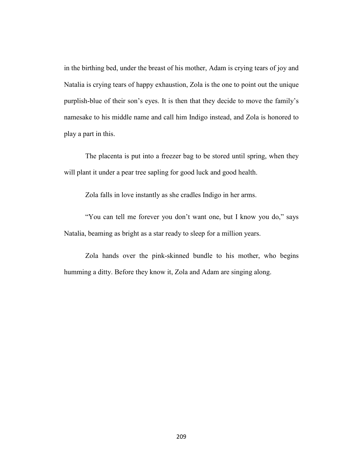in the birthing bed, under the breast of his mother, Adam is crying tears of joy and Natalia is crying tears of happy exhaustion, Zola is the one to point out the unique purplish-blue of their son's eyes. It is then that they decide to move the family's namesake to his middle name and call him Indigo instead, and Zola is honored to play a part in this.

The placenta is put into a freezer bag to be stored until spring, when they will plant it under a pear tree sapling for good luck and good health.

Zola falls in love instantly as she cradles Indigo in her arms.

"You can tell me forever you don't want one, but I know you do," says Natalia, beaming as bright as a star ready to sleep for a million years.

Zola hands over the pink-skinned bundle to his mother, who begins humming a ditty. Before they know it, Zola and Adam are singing along.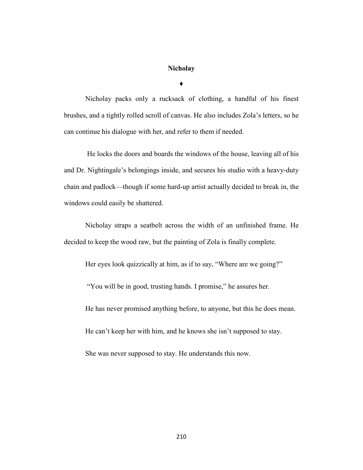## **Nicholay**

**♦**

Nicholay packs only a rucksack of clothing, a handful of his finest brushes, and a tightly rolled scroll of canvas. He also includes Zola's letters, so he can continue his dialogue with her, and refer to them if needed.

He locks the doors and boards the windows of the house, leaving all of his and Dr. Nightingale's belongings inside, and secures his studio with a heavy-duty chain and padlock—though if some hard-up artist actually decided to break in, the windows could easily be shattered.

Nicholay straps a seatbelt across the width of an unfinished frame. He decided to keep the wood raw, but the painting of Zola is finally complete.

Her eyes look quizzically at him, as if to say, "Where are we going?"

"You will be in good, trusting hands. I promise," he assures her.

He has never promised anything before, to anyone, but this he does mean.

He can't keep her with him, and he knows she isn't supposed to stay.

She was never supposed to stay. He understands this now.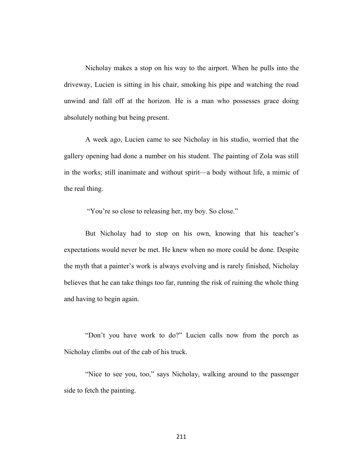Nicholay makes a stop on his way to the airport. When he pulls into the driveway, Lucien is sitting in his chair, smoking his pipe and watching the road unwind and fall off at the horizon. He is a man who possesses grace doing absolutely nothing but being present.

A week ago, Lucien came to see Nicholay in his studio, worried that the gallery opening had done a number on his student. The painting of Zola was still in the works; still inanimate and without spirit—a body without life, a mimic of the real thing.

"You're so close to releasing her, my boy. So close."

But Nicholay had to stop on his own, knowing that his teacher's expectations would never be met. He knew when no more could be done. Despite the myth that a painter's work is always evolving and is rarely finished, Nicholay believes that he can take things too far, running the risk of ruining the whole thing and having to begin again.

"Don't you have work to do?" Lucien calls now from the porch as Nicholay climbs out of the cab of his truck.

"Nice to see you, too," says Nicholay, walking around to the passenger side to fetch the painting.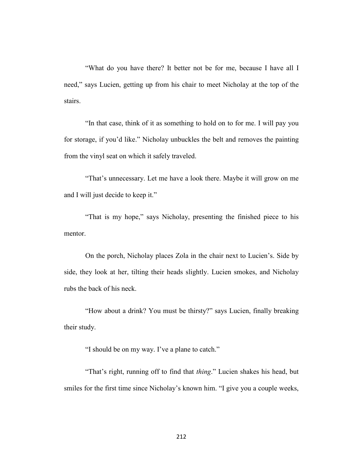"What do you have there? It better not be for me, because I have all I need," says Lucien, getting up from his chair to meet Nicholay at the top of the stairs.

"In that case, think of it as something to hold on to for me. I will pay you for storage, if you'd like." Nicholay unbuckles the belt and removes the painting from the vinyl seat on which it safely traveled.

"That's unnecessary. Let me have a look there. Maybe it will grow on me and I will just decide to keep it."

"That is my hope," says Nicholay, presenting the finished piece to his mentor.

On the porch, Nicholay places Zola in the chair next to Lucien's. Side by side, they look at her, tilting their heads slightly. Lucien smokes, and Nicholay rubs the back of his neck.

"How about a drink? You must be thirsty?" says Lucien, finally breaking their study.

"I should be on my way. I've a plane to catch."

"That's right, running off to find that *thing*." Lucien shakes his head, but smiles for the first time since Nicholay's known him. "I give you a couple weeks,

212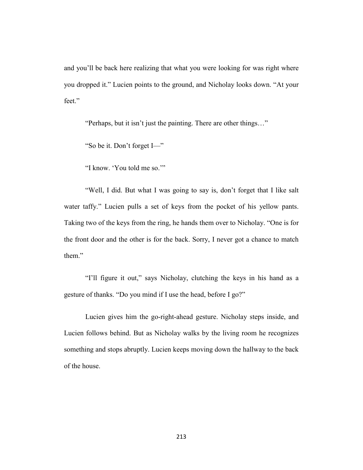and you'll be back here realizing that what you were looking for was right where you dropped it." Lucien points to the ground, and Nicholay looks down. "At your feet."

"Perhaps, but it isn't just the painting. There are other things…"

"So be it. Don't forget I—"

"I know. 'You told me so.'"

"Well, I did. But what I was going to say is, don't forget that I like salt water taffy." Lucien pulls a set of keys from the pocket of his yellow pants. Taking two of the keys from the ring, he hands them over to Nicholay. "One is for the front door and the other is for the back. Sorry, I never got a chance to match them"

"I'll figure it out," says Nicholay, clutching the keys in his hand as a gesture of thanks. "Do you mind if I use the head, before I go?"

Lucien gives him the go-right-ahead gesture. Nicholay steps inside, and Lucien follows behind. But as Nicholay walks by the living room he recognizes something and stops abruptly. Lucien keeps moving down the hallway to the back of the house.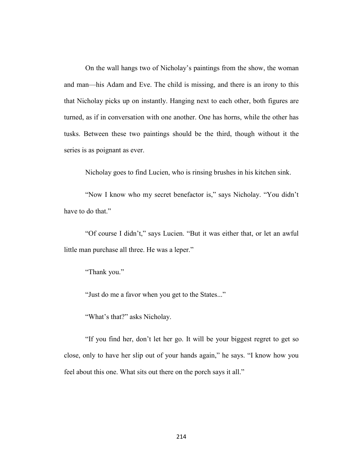On the wall hangs two of Nicholay's paintings from the show, the woman and man—his Adam and Eve. The child is missing, and there is an irony to this that Nicholay picks up on instantly. Hanging next to each other, both figures are turned, as if in conversation with one another. One has horns, while the other has tusks. Between these two paintings should be the third, though without it the series is as poignant as ever.

Nicholay goes to find Lucien, who is rinsing brushes in his kitchen sink.

"Now I know who my secret benefactor is," says Nicholay. "You didn't have to do that."

"Of course I didn't," says Lucien. "But it was either that, or let an awful little man purchase all three. He was a leper."

"Thank you."

"Just do me a favor when you get to the States..."

"What's that?" asks Nicholay.

"If you find her, don't let her go. It will be your biggest regret to get so close, only to have her slip out of your hands again," he says. "I know how you feel about this one. What sits out there on the porch says it all."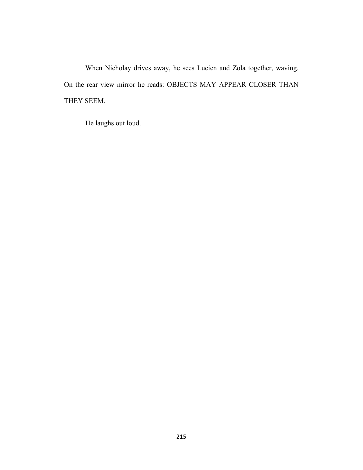When Nicholay drives away, he sees Lucien and Zola together, waving. On the rear view mirror he reads: OBJECTS MAY APPEAR CLOSER THAN THEY SEEM.

He laughs out loud.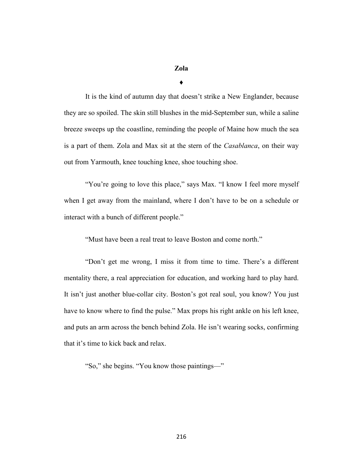## **Zola**

**♦**

It is the kind of autumn day that doesn't strike a New Englander, because they are so spoiled. The skin still blushes in the mid-September sun, while a saline breeze sweeps up the coastline, reminding the people of Maine how much the sea is a part of them. Zola and Max sit at the stern of the *Casablanca*, on their way out from Yarmouth, knee touching knee, shoe touching shoe.

"You're going to love this place," says Max. "I know I feel more myself when I get away from the mainland, where I don't have to be on a schedule or interact with a bunch of different people."

"Must have been a real treat to leave Boston and come north."

"Don't get me wrong, I miss it from time to time. There's a different mentality there, a real appreciation for education, and working hard to play hard. It isn't just another blue-collar city. Boston's got real soul, you know? You just have to know where to find the pulse." Max props his right ankle on his left knee, and puts an arm across the bench behind Zola. He isn't wearing socks, confirming that it's time to kick back and relax.

"So," she begins. "You know those paintings—"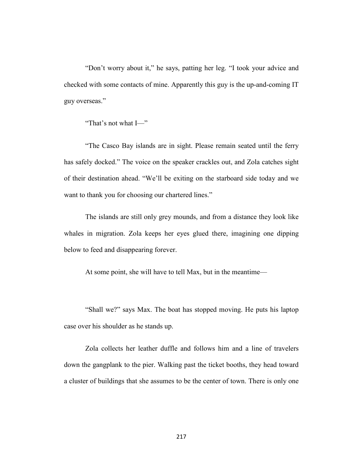"Don't worry about it," he says, patting her leg. "I took your advice and checked with some contacts of mine. Apparently this guy is the up-and-coming IT guy overseas."

"That's not what I—"

"The Casco Bay islands are in sight. Please remain seated until the ferry has safely docked." The voice on the speaker crackles out, and Zola catches sight of their destination ahead. "We'll be exiting on the starboard side today and we want to thank you for choosing our chartered lines."

The islands are still only grey mounds, and from a distance they look like whales in migration. Zola keeps her eyes glued there, imagining one dipping below to feed and disappearing forever.

At some point, she will have to tell Max, but in the meantime—

"Shall we?" says Max. The boat has stopped moving. He puts his laptop case over his shoulder as he stands up.

Zola collects her leather duffle and follows him and a line of travelers down the gangplank to the pier. Walking past the ticket booths, they head toward a cluster of buildings that she assumes to be the center of town. There is only one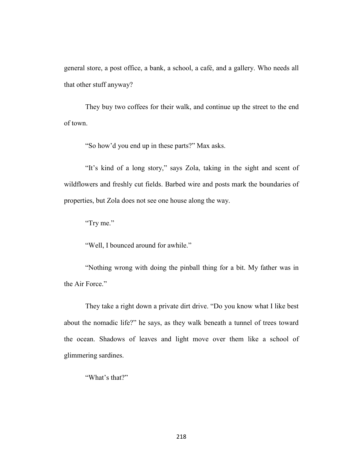general store, a post office, a bank, a school, a café, and a gallery. Who needs all that other stuff anyway?

They buy two coffees for their walk, and continue up the street to the end of town.

"So how'd you end up in these parts?" Max asks.

"It's kind of a long story," says Zola, taking in the sight and scent of wildflowers and freshly cut fields. Barbed wire and posts mark the boundaries of properties, but Zola does not see one house along the way.

"Try me."

"Well, I bounced around for awhile."

"Nothing wrong with doing the pinball thing for a bit. My father was in the Air Force."

They take a right down a private dirt drive. "Do you know what I like best about the nomadic life?" he says, as they walk beneath a tunnel of trees toward the ocean. Shadows of leaves and light move over them like a school of glimmering sardines.

"What's that?"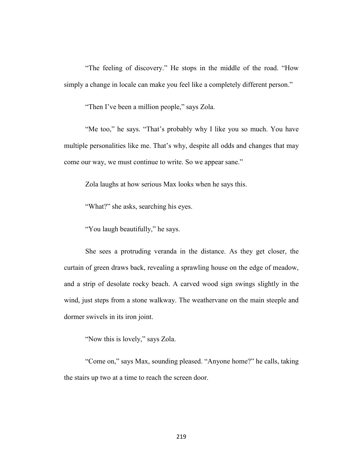"The feeling of discovery." He stops in the middle of the road. "How simply a change in locale can make you feel like a completely different person."

"Then I've been a million people," says Zola.

"Me too," he says. "That's probably why I like you so much. You have multiple personalities like me. That's why, despite all odds and changes that may come our way, we must continue to write. So we appear sane."

Zola laughs at how serious Max looks when he says this.

"What?" she asks, searching his eyes.

"You laugh beautifully," he says.

She sees a protruding veranda in the distance. As they get closer, the curtain of green draws back, revealing a sprawling house on the edge of meadow, and a strip of desolate rocky beach. A carved wood sign swings slightly in the wind, just steps from a stone walkway. The weathervane on the main steeple and dormer swivels in its iron joint.

"Now this is lovely," says Zola.

"Come on," says Max, sounding pleased. "Anyone home?" he calls, taking the stairs up two at a time to reach the screen door.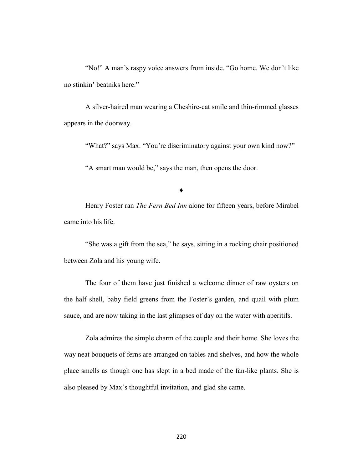"No!" A man's raspy voice answers from inside. "Go home. We don't like no stinkin' beatniks here."

A silver-haired man wearing a Cheshire-cat smile and thin-rimmed glasses appears in the doorway.

"What?" says Max. "You're discriminatory against your own kind now?"

"A smart man would be," says the man, then opens the door.

**♦**

Henry Foster ran *The Fern Bed Inn* alone for fifteen years, before Mirabel came into his life.

"She was a gift from the sea," he says, sitting in a rocking chair positioned between Zola and his young wife.

The four of them have just finished a welcome dinner of raw oysters on the half shell, baby field greens from the Foster's garden, and quail with plum sauce, and are now taking in the last glimpses of day on the water with aperitifs.

Zola admires the simple charm of the couple and their home. She loves the way neat bouquets of ferns are arranged on tables and shelves, and how the whole place smells as though one has slept in a bed made of the fan-like plants. She is also pleased by Max's thoughtful invitation, and glad she came.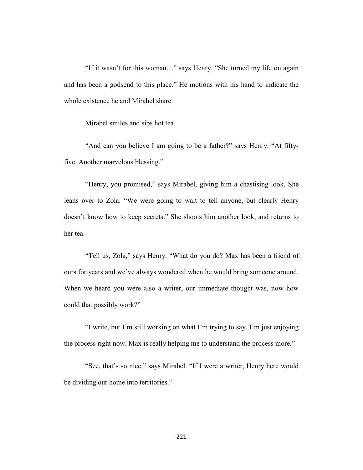"If it wasn't for this woman…" says Henry. "She turned my life on again and has been a godsend to this place." He motions with his hand to indicate the whole existence he and Mirabel share.

Mirabel smiles and sips hot tea.

"And can you believe I am going to be a father?" says Henry. "At fiftyfive. Another marvelous blessing."

"Henry, you promised," says Mirabel, giving him a chastising look. She leans over to Zola. "We were going to wait to tell anyone, but clearly Henry doesn't know how to keep secrets." She shoots him another look, and returns to her tea.

"Tell us, Zola," says Henry. "What do you do? Max has been a friend of ours for years and we've always wondered when he would bring someone around. When we heard you were also a writer, our immediate thought was, now how could that possibly work?"

"I write, but I'm still working on what I'm trying to say. I'm just enjoying the process right now. Max is really helping me to understand the process more."

"See, that's so nice," says Mirabel. "If I were a writer, Henry here would be dividing our home into territories."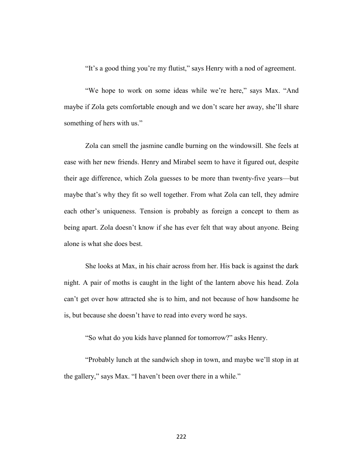"It's a good thing you're my flutist," says Henry with a nod of agreement.

"We hope to work on some ideas while we're here," says Max. "And maybe if Zola gets comfortable enough and we don't scare her away, she'll share something of hers with us."

Zola can smell the jasmine candle burning on the windowsill. She feels at ease with her new friends. Henry and Mirabel seem to have it figured out, despite their age difference, which Zola guesses to be more than twenty-five years—but maybe that's why they fit so well together. From what Zola can tell, they admire each other's uniqueness. Tension is probably as foreign a concept to them as being apart. Zola doesn't know if she has ever felt that way about anyone. Being alone is what she does best.

She looks at Max, in his chair across from her. His back is against the dark night. A pair of moths is caught in the light of the lantern above his head. Zola can't get over how attracted she is to him, and not because of how handsome he is, but because she doesn't have to read into every word he says.

"So what do you kids have planned for tomorrow?" asks Henry.

"Probably lunch at the sandwich shop in town, and maybe we'll stop in at the gallery," says Max. "I haven't been over there in a while."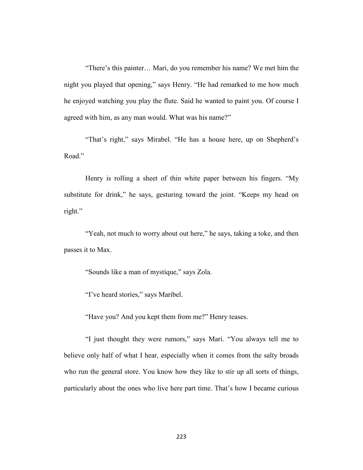"There's this painter… Mari, do you remember his name? We met him the night you played that opening," says Henry. "He had remarked to me how much he enjoyed watching you play the flute. Said he wanted to paint you. Of course I agreed with him, as any man would. What was his name?"

"That's right," says Mirabel. "He has a house here, up on Shepherd's Road."

Henry is rolling a sheet of thin white paper between his fingers. "My substitute for drink," he says, gesturing toward the joint. "Keeps my head on right."

"Yeah, not much to worry about out here," he says, taking a toke, and then passes it to Max.

"Sounds like a man of mystique," says Zola.

"I've heard stories," says Maribel.

"Have you? And you kept them from me?" Henry teases.

"I just thought they were rumors," says Mari. "You always tell me to believe only half of what I hear, especially when it comes from the salty broads who run the general store. You know how they like to stir up all sorts of things, particularly about the ones who live here part time. That's how I became curious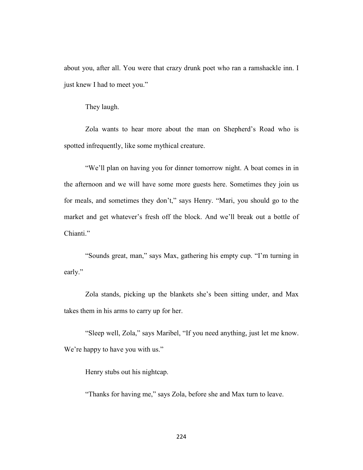about you, after all. You were that crazy drunk poet who ran a ramshackle inn. I just knew I had to meet you."

They laugh.

Zola wants to hear more about the man on Shepherd's Road who is spotted infrequently, like some mythical creature.

"We'll plan on having you for dinner tomorrow night. A boat comes in in the afternoon and we will have some more guests here. Sometimes they join us for meals, and sometimes they don't," says Henry. "Mari, you should go to the market and get whatever's fresh off the block. And we'll break out a bottle of Chianti."

"Sounds great, man," says Max, gathering his empty cup. "I'm turning in early."

Zola stands, picking up the blankets she's been sitting under, and Max takes them in his arms to carry up for her.

"Sleep well, Zola," says Maribel, "If you need anything, just let me know. We're happy to have you with us."

Henry stubs out his nightcap.

"Thanks for having me," says Zola, before she and Max turn to leave.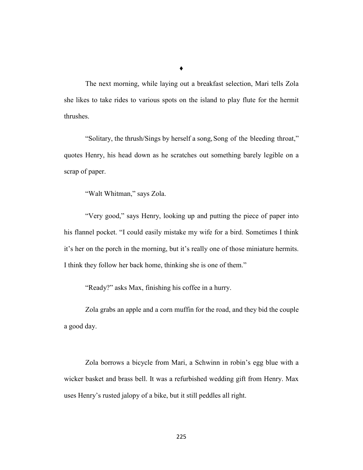**♦**

The next morning, while laying out a breakfast selection, Mari tells Zola she likes to take rides to various spots on the island to play flute for the hermit thrushes.

"Solitary, the thrush/Sings by herself a song,Song of the bleeding throat," quotes Henry, his head down as he scratches out something barely legible on a scrap of paper.

"Walt Whitman," says Zola.

"Very good," says Henry, looking up and putting the piece of paper into his flannel pocket. "I could easily mistake my wife for a bird. Sometimes I think it's her on the porch in the morning, but it's really one of those miniature hermits. I think they follow her back home, thinking she is one of them."

"Ready?" asks Max, finishing his coffee in a hurry.

Zola grabs an apple and a corn muffin for the road, and they bid the couple a good day.

Zola borrows a bicycle from Mari, a Schwinn in robin's egg blue with a wicker basket and brass bell. It was a refurbished wedding gift from Henry. Max uses Henry's rusted jalopy of a bike, but it still peddles all right.

225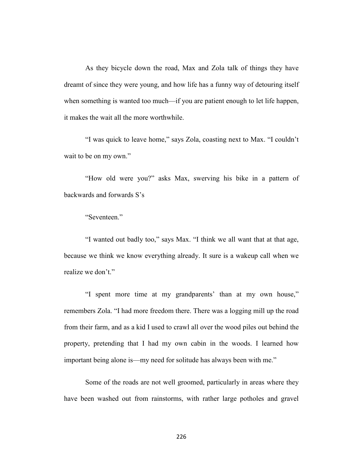As they bicycle down the road, Max and Zola talk of things they have dreamt of since they were young, and how life has a funny way of detouring itself when something is wanted too much—if you are patient enough to let life happen, it makes the wait all the more worthwhile.

"I was quick to leave home," says Zola, coasting next to Max. "I couldn't wait to be on my own."

"How old were you?" asks Max, swerving his bike in a pattern of backwards and forwards S's

"Seventeen."

"I wanted out badly too," says Max. "I think we all want that at that age, because we think we know everything already. It sure is a wakeup call when we realize we don't."

"I spent more time at my grandparents' than at my own house," remembers Zola. "I had more freedom there. There was a logging mill up the road from their farm, and as a kid I used to crawl all over the wood piles out behind the property, pretending that I had my own cabin in the woods. I learned how important being alone is—my need for solitude has always been with me."

Some of the roads are not well groomed, particularly in areas where they have been washed out from rainstorms, with rather large potholes and gravel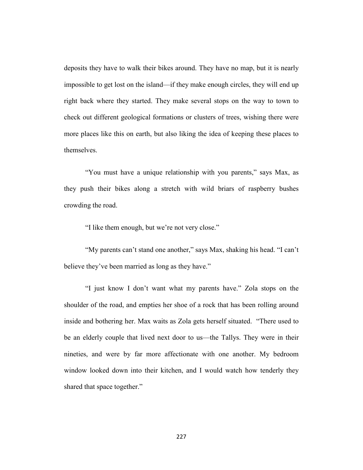deposits they have to walk their bikes around. They have no map, but it is nearly impossible to get lost on the island—if they make enough circles, they will end up right back where they started. They make several stops on the way to town to check out different geological formations or clusters of trees, wishing there were more places like this on earth, but also liking the idea of keeping these places to themselves.

"You must have a unique relationship with you parents," says Max, as they push their bikes along a stretch with wild briars of raspberry bushes crowding the road.

"I like them enough, but we're not very close."

"My parents can't stand one another," says Max, shaking his head. "I can't believe they've been married as long as they have."

"I just know I don't want what my parents have." Zola stops on the shoulder of the road, and empties her shoe of a rock that has been rolling around inside and bothering her. Max waits as Zola gets herself situated. "There used to be an elderly couple that lived next door to us—the Tallys. They were in their nineties, and were by far more affectionate with one another. My bedroom window looked down into their kitchen, and I would watch how tenderly they shared that space together."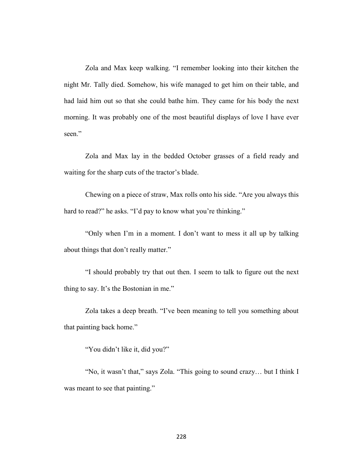Zola and Max keep walking. "I remember looking into their kitchen the night Mr. Tally died. Somehow, his wife managed to get him on their table, and had laid him out so that she could bathe him. They came for his body the next morning. It was probably one of the most beautiful displays of love I have ever seen."

Zola and Max lay in the bedded October grasses of a field ready and waiting for the sharp cuts of the tractor's blade.

Chewing on a piece of straw, Max rolls onto his side. "Are you always this hard to read?" he asks. "I'd pay to know what you're thinking."

"Only when I'm in a moment. I don't want to mess it all up by talking about things that don't really matter."

"I should probably try that out then. I seem to talk to figure out the next thing to say. It's the Bostonian in me."

Zola takes a deep breath. "I've been meaning to tell you something about that painting back home."

"You didn't like it, did you?"

"No, it wasn't that," says Zola. "This going to sound crazy… but I think I was meant to see that painting."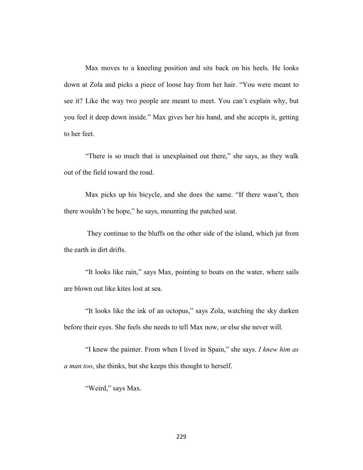Max moves to a kneeling position and sits back on his heels. He looks down at Zola and picks a piece of loose hay from her hair. "You were meant to see it? Like the way two people are meant to meet. You can't explain why, but you feel it deep down inside." Max gives her his hand, and she accepts it, getting to her feet.

"There is so much that is unexplained out there," she says, as they walk out of the field toward the road.

Max picks up his bicycle, and she does the same. "If there wasn't, then there wouldn't be hope," he says, mounting the patched seat.

They continue to the bluffs on the other side of the island, which jut from the earth in dirt drifts.

"It looks like rain," says Max, pointing to boats on the water, where sails are blown out like kites lost at sea.

"It looks like the ink of an octopus," says Zola, watching the sky darken before their eyes. She feels she needs to tell Max now, or else she never will.

"I knew the painter. From when I lived in Spain," she says. *I knew him as a man too*, she thinks, but she keeps this thought to herself.

"Weird," says Max.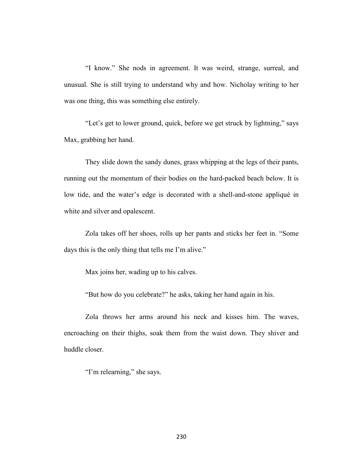"I know." She nods in agreement. It was weird, strange, surreal, and unusual. She is still trying to understand why and how. Nicholay writing to her was one thing, this was something else entirely.

"Let's get to lower ground, quick, before we get struck by lightning," says Max, grabbing her hand.

They slide down the sandy dunes, grass whipping at the legs of their pants, running out the momentum of their bodies on the hard-packed beach below. It is low tide, and the water's edge is decorated with a shell-and-stone appliqué in white and silver and opalescent.

Zola takes off her shoes, rolls up her pants and sticks her feet in. "Some days this is the only thing that tells me I'm alive."

Max joins her, wading up to his calves.

"But how do you celebrate?" he asks, taking her hand again in his.

Zola throws her arms around his neck and kisses him. The waves, encroaching on their thighs, soak them from the waist down. They shiver and huddle closer.

"I'm relearning," she says.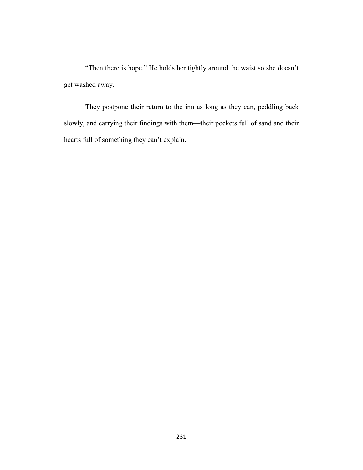"Then there is hope." He holds her tightly around the waist so she doesn't get washed away.

They postpone their return to the inn as long as they can, peddling back slowly, and carrying their findings with them—their pockets full of sand and their hearts full of something they can't explain.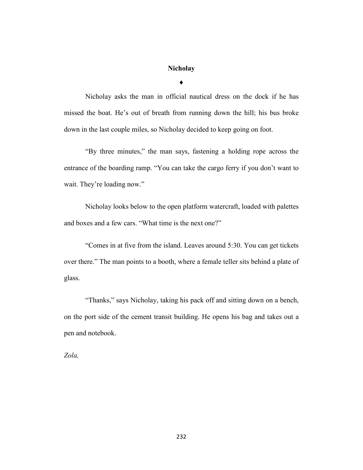## **Nicholay**

**♦**

Nicholay asks the man in official nautical dress on the dock if he has missed the boat. He's out of breath from running down the hill; his bus broke down in the last couple miles, so Nicholay decided to keep going on foot.

"By three minutes," the man says, fastening a holding rope across the entrance of the boarding ramp. "You can take the cargo ferry if you don't want to wait. They're loading now."

Nicholay looks below to the open platform watercraft, loaded with palettes and boxes and a few cars. "What time is the next one?"

"Comes in at five from the island. Leaves around 5:30. You can get tickets over there." The man points to a booth, where a female teller sits behind a plate of glass.

"Thanks," says Nicholay, taking his pack off and sitting down on a bench, on the port side of the cement transit building. He opens his bag and takes out a pen and notebook.

*Zola,*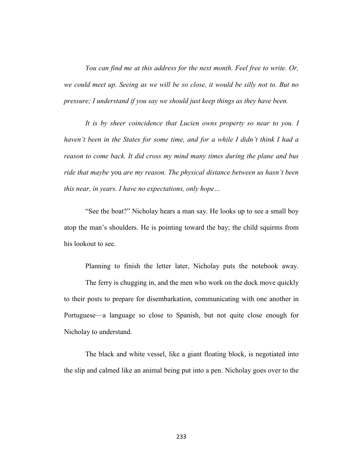*You can find me at this address for the next month. Feel free to write. Or, we could meet up. Seeing as we will be so close, it would be silly not to. But no pressure; I understand if you say we should just keep things as they have been.* 

*It is by sheer coincidence that Lucien owns property so near to you. I haven't been in the States for some time, and for a while I didn't think I had a reason to come back. It did cross my mind many times during the plane and bus ride that maybe* you *are my reason. The physical distance between us hasn't been this near, in years. I have no expectations, only hope…*

"See the boat?" Nicholay hears a man say. He looks up to see a small boy atop the man's shoulders. He is pointing toward the bay; the child squirms from his lookout to see.

Planning to finish the letter later, Nicholay puts the notebook away.

The ferry is chugging in, and the men who work on the dock move quickly to their posts to prepare for disembarkation, communicating with one another in Portuguese—a language so close to Spanish, but not quite close enough for Nicholay to understand.

The black and white vessel, like a giant floating block, is negotiated into the slip and calmed like an animal being put into a pen. Nicholay goes over to the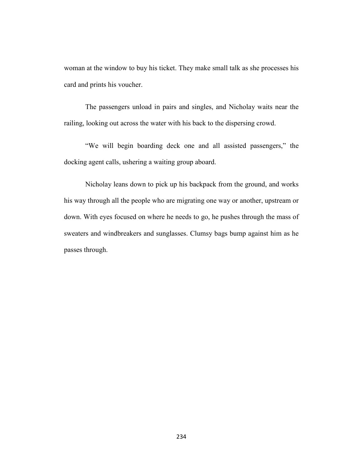woman at the window to buy his ticket. They make small talk as she processes his card and prints his voucher.

The passengers unload in pairs and singles, and Nicholay waits near the railing, looking out across the water with his back to the dispersing crowd.

"We will begin boarding deck one and all assisted passengers," the docking agent calls, ushering a waiting group aboard.

Nicholay leans down to pick up his backpack from the ground, and works his way through all the people who are migrating one way or another, upstream or down. With eyes focused on where he needs to go, he pushes through the mass of sweaters and windbreakers and sunglasses. Clumsy bags bump against him as he passes through.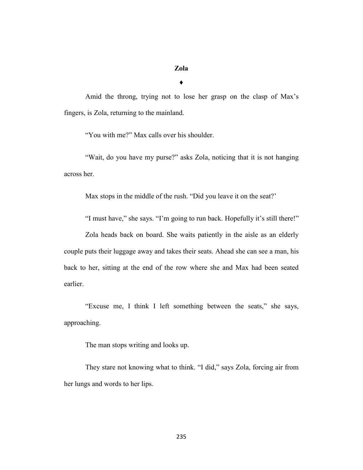## **Zola**

♦

Amid the throng, trying not to lose her grasp on the clasp of Max's fingers, is Zola, returning to the mainland.

"You with me?" Max calls over his shoulder.

"Wait, do you have my purse?" asks Zola, noticing that it is not hanging across her.

Max stops in the middle of the rush. "Did you leave it on the seat?'

"I must have," she says. "I'm going to run back. Hopefully it's still there!"

Zola heads back on board. She waits patiently in the aisle as an elderly couple puts their luggage away and takes their seats. Ahead she can see a man, his back to her, sitting at the end of the row where she and Max had been seated earlier.

"Excuse me, I think I left something between the seats," she says, approaching.

The man stops writing and looks up.

They stare not knowing what to think. "I did," says Zola, forcing air from her lungs and words to her lips.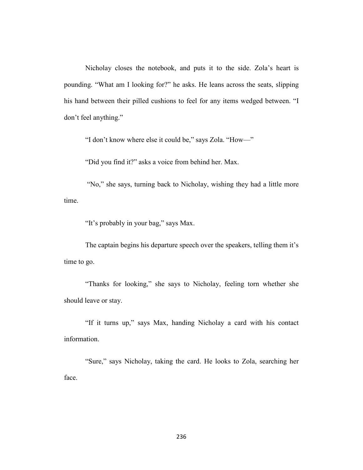Nicholay closes the notebook, and puts it to the side. Zola's heart is pounding. "What am I looking for?" he asks. He leans across the seats, slipping his hand between their pilled cushions to feel for any items wedged between. "I don't feel anything."

"I don't know where else it could be," says Zola. "How—"

"Did you find it?" asks a voice from behind her. Max.

"No," she says, turning back to Nicholay, wishing they had a little more time.

"It's probably in your bag," says Max.

The captain begins his departure speech over the speakers, telling them it's time to go.

"Thanks for looking," she says to Nicholay, feeling torn whether she should leave or stay.

"If it turns up," says Max, handing Nicholay a card with his contact information.

"Sure," says Nicholay, taking the card. He looks to Zola, searching her face.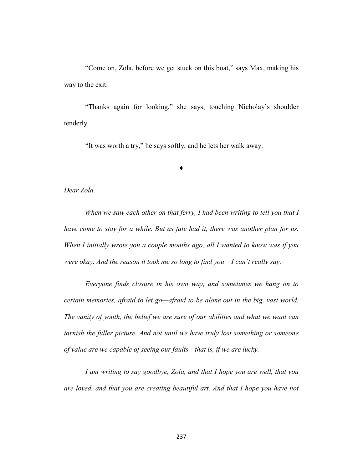"Come on, Zola, before we get stuck on this boat," says Max, making his way to the exit.

"Thanks again for looking," she says, touching Nicholay's shoulder tenderly.

♦

"It was worth a try," he says softly, and he lets her walk away.

## *Dear Zola,*

When we saw each other on that ferry, I had been writing to tell you that I *have come to stay for a while. But as fate had it, there was another plan for us. When I initially wrote you a couple months ago, all I wanted to know was if you were okay. And the reason it took me so long to find you – I can't really say.* 

*Everyone finds closure in his own way, and sometimes we hang on to certain memories, afraid to let go—afraid to be alone out in the big, vast world. The vanity of youth, the belief we are sure of our abilities and what we want can tarnish the fuller picture. And not until we have truly lost something or someone of value are we capable of seeing our faults—that is, if we are lucky.* 

*I am writing to say goodbye, Zola, and that I hope you are well, that you are loved, and that you are creating beautiful art. And that I hope you have not*